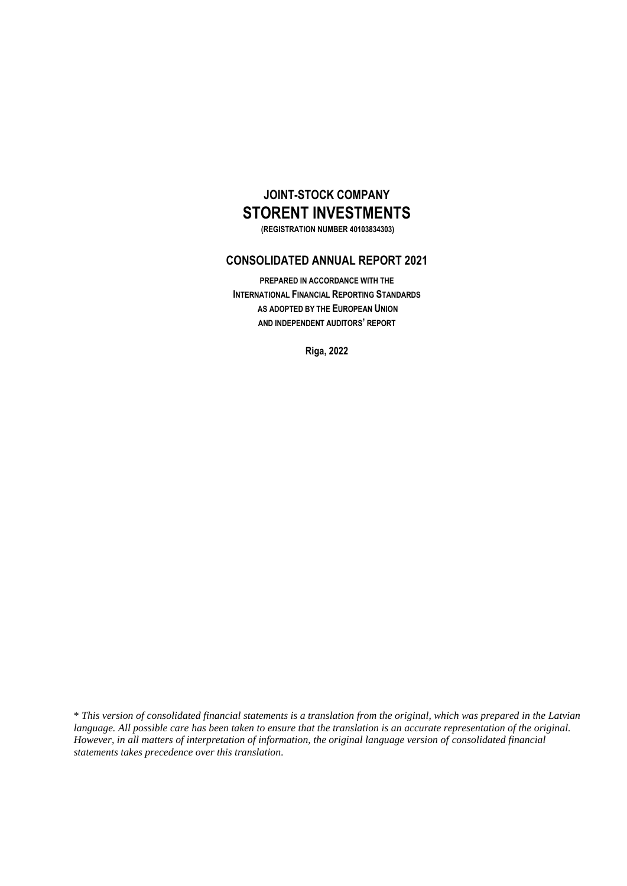# **JOINT-STOCK COMPANY STORENT INVESTMENTS**

**(REGISTRATION NUMBER 40103834303)**

## **CONSOLIDATED ANNUAL REPORT 2021**

**PREPARED IN ACCORDANCE WITH THE INTERNATIONAL FINANCIAL REPORTING STANDARDS AS ADOPTED BY THE EUROPEAN UNION AND INDEPENDENT AUDITORS' REPORT**

**Riga, 2022**

\* *This version of consolidated financial statements is a translation from the original, which was prepared in the Latvian language. All possible care has been taken to ensure that the translation is an accurate representation of the original. However, in all matters of interpretation of information, the original language version of consolidated financial statements takes precedence over this translation.*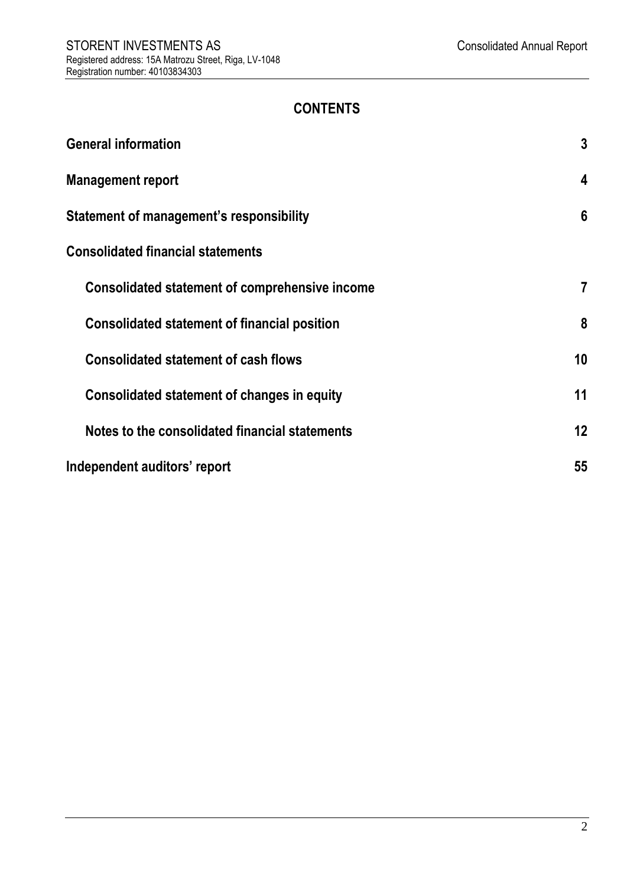# **CONTENTS**

| <b>General information</b>                          | $\mathbf{3}$ |
|-----------------------------------------------------|--------------|
| <b>Management report</b>                            | 4            |
| Statement of management's responsibility            | 6            |
| <b>Consolidated financial statements</b>            |              |
| Consolidated statement of comprehensive income      | 7            |
| <b>Consolidated statement of financial position</b> | 8            |
| <b>Consolidated statement of cash flows</b>         | 10           |
| Consolidated statement of changes in equity         | 11           |
| Notes to the consolidated financial statements      | 12           |
| Independent auditors' report                        | 55           |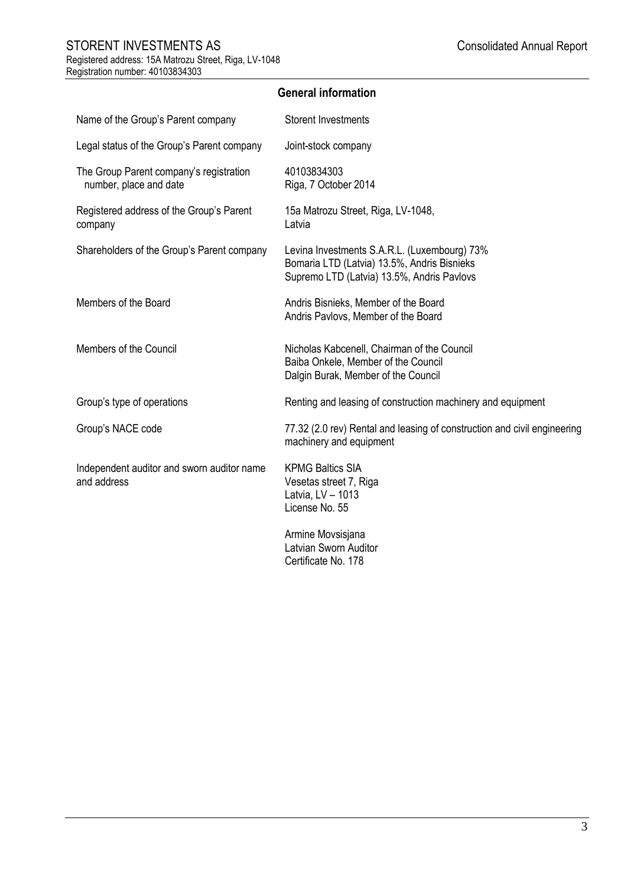<span id="page-2-0"></span>

| Name of the Group's Parent company                                | <b>Storent Investments</b>                                                                                                                |
|-------------------------------------------------------------------|-------------------------------------------------------------------------------------------------------------------------------------------|
| Legal status of the Group's Parent company                        | Joint-stock company                                                                                                                       |
| The Group Parent company's registration<br>number, place and date | 40103834303<br>Riga, 7 October 2014                                                                                                       |
| Registered address of the Group's Parent<br>company               | 15a Matrozu Street, Riga, LV-1048,<br>Latvia                                                                                              |
| Shareholders of the Group's Parent company                        | Levina Investments S.A.R.L. (Luxembourg) 73%<br>Bomaria LTD (Latvia) 13.5%, Andris Bisnieks<br>Supremo LTD (Latvia) 13.5%, Andris Pavlovs |
| Members of the Board                                              | Andris Bisnieks, Member of the Board<br>Andris Pavlovs, Member of the Board                                                               |
| Members of the Council                                            | Nicholas Kabcenell, Chairman of the Council<br>Baiba Onkele, Member of the Council<br>Dalgin Burak, Member of the Council                 |
| Group's type of operations                                        | Renting and leasing of construction machinery and equipment                                                                               |
| Group's NACE code                                                 | 77.32 (2.0 rev) Rental and leasing of construction and civil engineering<br>machinery and equipment                                       |
| Independent auditor and sworn auditor name<br>and address         | <b>KPMG Baltics SIA</b><br>Vesetas street 7, Riga<br>Latvia, LV - 1013<br>License No. 55                                                  |
|                                                                   | Armine Movsisjana<br><b>Latvian Sworn Auditor</b><br>Certificate No. 178                                                                  |

**General information**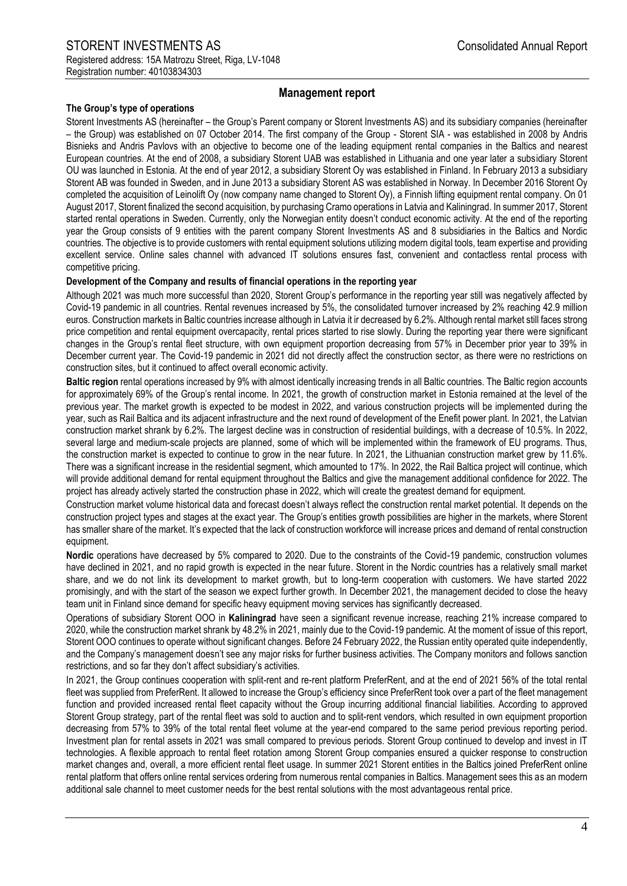## **Management report**

## <span id="page-3-0"></span>**The Group's type of operations**

Storent Investments AS (hereinafter – the Group's Parent company or Storent Investments AS) and its subsidiary companies (hereinafter – the Group) was established on 07 October 2014. The first company of the Group - Storent SIA - was established in 2008 by Andris Bisnieks and Andris Pavlovs with an objective to become one of the leading equipment rental companies in the Baltics and nearest European countries. At the end of 2008, a subsidiary Storent UAB was established in Lithuania and one year later a subsidiary Storent OU was launched in Estonia. At the end of year 2012, a subsidiary Storent Oy was established in Finland. In February 2013 a subsidiary Storent AB was founded in Sweden, and in June 2013 a subsidiary Storent AS was established in Norway. In December 2016 Storent Oy completed the acquisition of Leinolift Oy (now company name changed to Storent Oy), a Finnish lifting equipment rental company. On 01 August 2017, Storent finalized the second acquisition, by purchasing Cramo operations in Latvia and Kaliningrad. In summer 2017, Storent started rental operations in Sweden. Currently, only the Norwegian entity doesn't conduct economic activity. At the end of the reporting year the Group consists of 9 entities with the parent company Storent Investments AS and 8 subsidiaries in the Baltics and Nordic countries. The objective is to provide customers with rental equipment solutions utilizing modern digital tools, team expertise and providing excellent service. Online sales channel with advanced IT solutions ensures fast, convenient and contactless rental process with competitive pricing.

#### **Development of the Company and results of financial operations in the reporting year**

Although 2021 was much more successful than 2020, Storent Group's performance in the reporting year still was negatively affected by Covid-19 pandemic in all countries. Rental revenues increased by 5%, the consolidated turnover increased by 2% reaching 42.9 million euros. Construction markets in Baltic countries increase although in Latvia it ir decreased by 6.2%. Although rental market still faces strong price competition and rental equipment overcapacity, rental prices started to rise slowly. During the reporting year there were significant changes in the Group's rental fleet structure, with own equipment proportion decreasing from 57% in December prior year to 39% in December current year. The Covid-19 pandemic in 2021 did not directly affect the construction sector, as there were no restrictions on construction sites, but it continued to affect overall economic activity.

**Baltic region** rental operations increased by 9% with almost identically increasing trends in all Baltic countries. The Baltic region accounts for approximately 69% of the Group's rental income. In 2021, the growth of construction market in Estonia remained at the level of the previous year. The market growth is expected to be modest in 2022, and various construction projects will be implemented during the year, such as Rail Baltica and its adjacent infrastructure and the next round of development of the Enefit power plant. In 2021, the Latvian construction market shrank by 6.2%. The largest decline was in construction of residential buildings, with a decrease of 10.5%. In 2022, several large and medium-scale projects are planned, some of which will be implemented within the framework of EU programs. Thus, the construction market is expected to continue to grow in the near future. In 2021, the Lithuanian construction market grew by 11.6%. There was a significant increase in the residential segment, which amounted to 17%. In 2022, the Rail Baltica project will continue, which will provide additional demand for rental equipment throughout the Baltics and give the management additional confidence for 2022. The project has already actively started the construction phase in 2022, which will create the greatest demand for equipment.

Construction market volume historical data and forecast doesn't always reflect the construction rental market potential. It depends on the construction project types and stages at the exact year. The Group's entities growth possibilities are higher in the markets, where Storent has smaller share of the market. It's expected that the lack of construction workforce will increase prices and demand of rental construction equipment.

**Nordic** operations have decreased by 5% compared to 2020. Due to the constraints of the Covid-19 pandemic, construction volumes have declined in 2021, and no rapid growth is expected in the near future. Storent in the Nordic countries has a relatively small market share, and we do not link its development to market growth, but to long-term cooperation with customers. We have started 2022 promisingly, and with the start of the season we expect further growth. In December 2021, the management decided to close the heavy team unit in Finland since demand for specific heavy equipment moving services has significantly decreased.

Operations of subsidiary Storent OOO in **Kaliningrad** have seen a significant revenue increase, reaching 21% increase compared to 2020, while the construction market shrank by 48.2% in 2021, mainly due to the Covid-19 pandemic. At the moment of issue of this report, Storent OOO continues to operate without significant changes. Before 24 February 2022, the Russian entity operated quite independently, and the Company's management doesn't see any major risks for further business activities. The Company monitors and follows sanction restrictions, and so far they don't affect subsidiary's activities.

In 2021, the Group continues cooperation with split-rent and re-rent platform PreferRent, and at the end of 2021 56% of the total rental fleet was supplied from PreferRent. It allowed to increase the Group's efficiency since PreferRent took over a part of the fleet management function and provided increased rental fleet capacity without the Group incurring additional financial liabilities. According to approved Storent Group strategy, part of the rental fleet was sold to auction and to split-rent vendors, which resulted in own equipment proportion decreasing from 57% to 39% of the total rental fleet volume at the year-end compared to the same period previous reporting period. Investment plan for rental assets in 2021 was small compared to previous periods. Storent Group continued to develop and invest in IT technologies. A flexible approach to rental fleet rotation among Storent Group companies ensured a quicker response to construction market changes and, overall, a more efficient rental fleet usage. In summer 2021 Storent entities in the Baltics joined PreferRent online rental platform that offers online rental services ordering from numerous rental companies in Baltics. Management sees this as an modern additional sale channel to meet customer needs for the best rental solutions with the most advantageous rental price.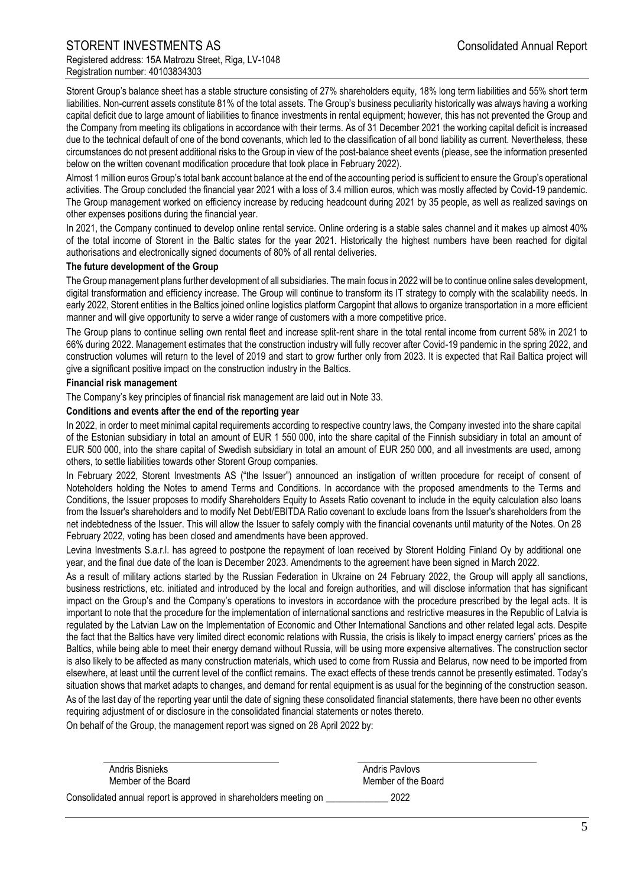Storent Group's balance sheet has a stable structure consisting of 27% shareholders equity, 18% long term liabilities and 55% short term liabilities. Non-current assets constitute 81% of the total assets. The Group's business peculiarity historically was always having a working capital deficit due to large amount of liabilities to finance investments in rental equipment; however, this has not prevented the Group and the Company from meeting its obligations in accordance with their terms. As of 31 December 2021 the working capital deficit is increased due to the technical default of one of the bond covenants, which led to the classification of all bond liability as current. Nevertheless, these circumstances do not present additional risks to the Group in view of the post-balance sheet events (please, see the information presented below on the written covenant modification procedure that took place in February 2022).

Almost 1 million euros Group's total bank account balance at the end of the accounting period is sufficient to ensure the Group's operational activities. The Group concluded the financial year 2021 with a loss of 3.4 million euros, which was mostly affected by Covid-19 pandemic. The Group management worked on efficiency increase by reducing headcount during 2021 by 35 people, as well as realized savings on other expenses positions during the financial year.

In 2021, the Company continued to develop online rental service. Online ordering is a stable sales channel and it makes up almost 40% of the total income of Storent in the Baltic states for the year 2021. Historically the highest numbers have been reached for digital authorisations and electronically signed documents of 80% of all rental deliveries.

#### **The future development of the Group**

The Group management plans further development of all subsidiaries. The main focus in 2022 will be to continue online sales development, digital transformation and efficiency increase. The Group will continue to transform its IT strategy to comply with the scalability needs. In early 2022, Storent entities in the Baltics joined online logistics platform Cargopint that allows to organize transportation in a more efficient manner and will give opportunity to serve a wider range of customers with a more competitive price.

The Group plans to continue selling own rental fleet and increase split-rent share in the total rental income from current 58% in 2021 to 66% during 2022. Management estimates that the construction industry will fully recover after Covid-19 pandemic in the spring 2022, and construction volumes will return to the level of 2019 and start to grow further only from 2023. It is expected that Rail Baltica project will give a significant positive impact on the construction industry in the Baltics.

#### **Financial risk management**

The Company's key principles of financial risk management are laid out in Note 33.

#### **Conditions and events after the end of the reporting year**

In 2022, in order to meet minimal capital requirements according to respective country laws, the Company invested into the share capital of the Estonian subsidiary in total an amount of EUR 1 550 000, into the share capital of the Finnish subsidiary in total an amount of EUR 500 000, into the share capital of Swedish subsidiary in total an amount of EUR 250 000, and all investments are used, among others, to settle liabilities towards other Storent Group companies.

In February 2022, Storent Investments AS ("the Issuer") announced an instigation of written procedure for receipt of consent of Noteholders holding the Notes to amend Terms and Conditions. In accordance with the proposed amendments to the Terms and Conditions, the Issuer proposes to modify Shareholders Equity to Assets Ratio covenant to include in the equity calculation also loans from the Issuer's shareholders and to modify Net Debt/EBITDA Ratio covenant to exclude loans from the Issuer's shareholders from the net indebtedness of the Issuer. This will allow the Issuer to safely comply with the financial covenants until maturity of the Notes. On 28 February 2022, voting has been closed and amendments have been approved.

Levina Investments S.a.r.l. has agreed to postpone the repayment of loan received by Storent Holding Finland Oy by additional one year, and the final due date of the loan is December 2023. Amendments to the agreement have been signed in March 2022.

As a result of military actions started by the Russian Federation in Ukraine on 24 February 2022, the Group will apply all sanctions, business restrictions, etc. initiated and introduced by the local and foreign authorities, and will disclose information that has significant impact on the Group's and the Company's operations to investors in accordance with the procedure prescribed by the legal acts. It is important to note that the procedure for the implementation of international sanctions and restrictive measures in the Republic of Latvia is regulated by the Latvian Law on the Implementation of Economic and Other International Sanctions and other related legal acts. Despite the fact that the Baltics have very limited direct economic relations with Russia, the crisis is likely to impact energy carriers' prices as the Baltics, while being able to meet their energy demand without Russia, will be using more expensive alternatives. The construction sector is also likely to be affected as many construction materials, which used to come from Russia and Belarus, now need to be imported from elsewhere, at least until the current level of the conflict remains. The exact effects of these trends cannot be presently estimated. Today's situation shows that market adapts to changes, and demand for rental equipment is as usual for the beginning of the construction season. As of the last day of the reporting year until the date of signing these consolidated financial statements, there have been no other events

requiring adjustment of or disclosure in the consolidated financial statements or notes thereto.

On behalf of the Group, the management report was signed on 28 April 2022 by:

| Andris Bisnieks                                                   | Andris Pavlovs      |
|-------------------------------------------------------------------|---------------------|
| Member of the Board                                               | Member of the Board |
| Consolidated annual report is approved in shareholders meeting on | 2022                |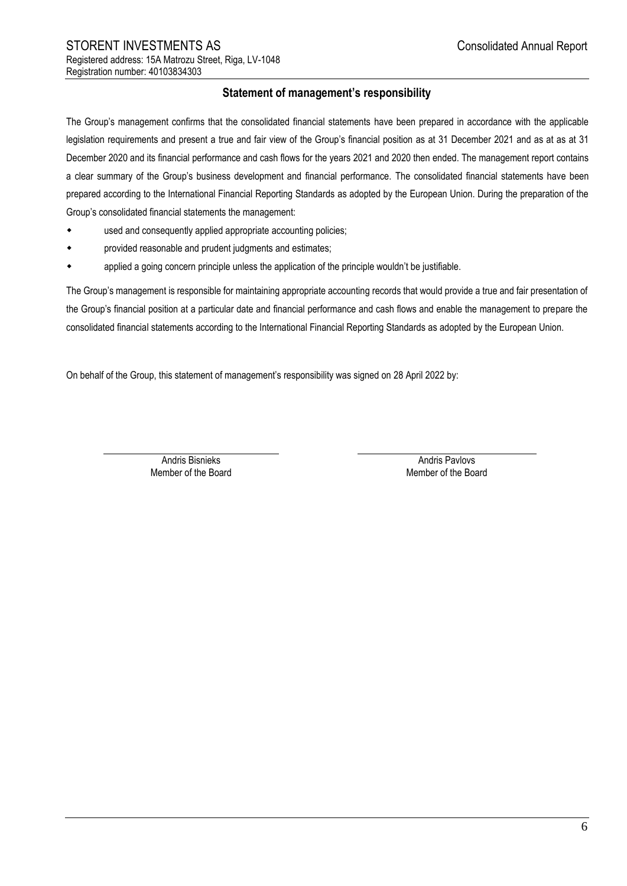## **Statement of management's responsibility**

<span id="page-5-0"></span>The Group's management confirms that the consolidated financial statements have been prepared in accordance with the applicable legislation requirements and present a true and fair view of the Group's financial position as at 31 December 2021 and as at as at 31 December 2020 and its financial performance and cash flows for the years 2021 and 2020 then ended. The management report contains a clear summary of the Group's business development and financial performance. The consolidated financial statements have been prepared according to the International Financial Reporting Standards as adopted by the European Union. During the preparation of the Group's consolidated financial statements the management:

- used and consequently applied appropriate accounting policies;
- provided reasonable and prudent judgments and estimates;
- applied a going concern principle unless the application of the principle wouldn't be justifiable.

The Group's management is responsible for maintaining appropriate accounting records that would provide a true and fair presentation of the Group's financial position at a particular date and financial performance and cash flows and enable the management to prepare the consolidated financial statements according to the International Financial Reporting Standards as adopted by the European Union.

On behalf of the Group, this statement of management's responsibility was signed on 28 April 2022 by:

Andris Bisnieks **Andris Pavlovs** Andris Pavlovs Member of the Board Member of the Board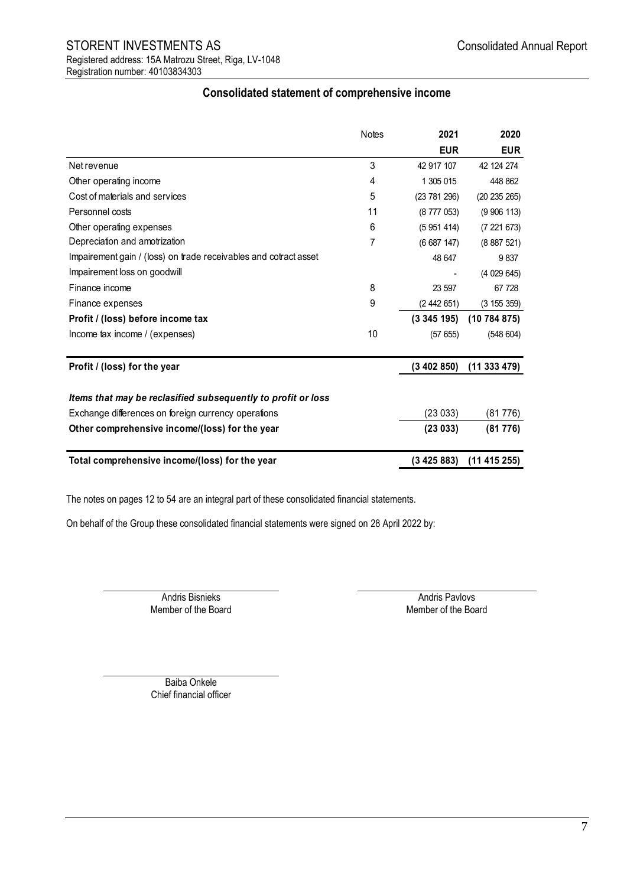## STORENT INVESTMENTS AS **STORENT** INVESTMENTS AS Registered address: 15A Matrozu Street, Riga, LV-1048 Registration number: 40103834303

<span id="page-6-0"></span>

|                                                                  | <b>Notes</b> | 2021       | 2020         |
|------------------------------------------------------------------|--------------|------------|--------------|
|                                                                  |              | <b>EUR</b> | <b>EUR</b>   |
| Net revenue                                                      | 3            | 42 917 107 | 42 124 274   |
| Other operating income                                           | 4            | 1 305 015  | 448 862      |
| Cost of materials and services                                   | 5            | (23781296) | (20 235 265) |
| Personnel costs                                                  | 11           | (8777053)  | (9906113)    |
| Other operating expenses                                         | 6            | (5951414)  | (7221673)    |
| Depreciation and amotrization                                    | 7            | (6687147)  | (8887521)    |
| Impairement gain / (loss) on trade receivables and cotract asset |              | 48 647     | 9837         |
| Impairement loss on goodwill                                     |              |            | (4029645)    |
| Finance income                                                   | 8            | 23 597     | 67 728       |
| Finance expenses                                                 | 9            | (2442651)  | (3155359)    |
| Profit / (loss) before income tax                                |              | (3345195)  | (10784875)   |
| Income tax income / (expenses)                                   | 10           | (57655)    | (548604)     |
| Profit / (loss) for the year                                     |              | (3402850)  | (11333479)   |
| Items that may be reclasified subsequently to profit or loss     |              |            |              |
| Exchange differences on foreign currency operations              |              | (23 033)   | (81776)      |
| Other comprehensive income/(loss) for the year                   |              | (23033)    | (81776)      |
| Total comprehensive income/(loss) for the year                   |              | (3425883)  | (11415255)   |

## **Consolidated statement of comprehensive income**

The notes on pages 12 to 54 are an integral part of these consolidated financial statements.

On behalf of the Group these consolidated financial statements were signed on 28 April 2022 by:

Member of the Board

Andris Bisnieks Andris Pavlovs<br>
Andris Pavlovs Andris Pavlovs<br>
Member of the Board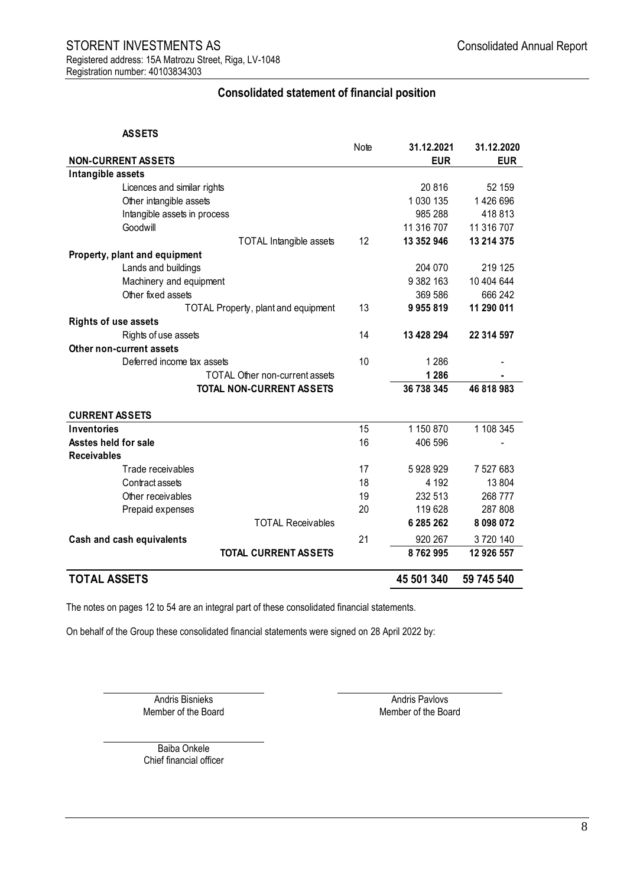## **Consolidated statement of financial position**

#### **ASSETS**

<span id="page-7-0"></span>

|                                            | Note | 31.12.2021 | 31.12.2020 |
|--------------------------------------------|------|------------|------------|
| <b>NON-CURRENT ASSETS</b>                  |      | <b>EUR</b> | <b>EUR</b> |
| Intangible assets                          |      |            |            |
| Licences and similar rights                |      | 20816      | 52 159     |
| Other intangible assets                    |      | 1 030 135  | 1 426 696  |
| Intangible assets in process               |      | 985 288    | 418813     |
| Goodwill                                   |      | 11 316 707 | 11 316 707 |
| <b>TOTAL Intangible assets</b>             | 12   | 13 352 946 | 13 214 375 |
| Property, plant and equipment              |      |            |            |
| Lands and buildings                        |      | 204 070    | 219 125    |
| Machinery and equipment                    |      | 9 382 163  | 10 404 644 |
| Other fixed assets                         |      | 369 586    | 666 242    |
| <b>TOTAL Property, plant and equipment</b> | 13   | 9955819    | 11 290 011 |
| <b>Rights of use assets</b>                |      |            |            |
| Rights of use assets                       | 14   | 13 428 294 | 22 314 597 |
| Other non-current assets                   |      |            |            |
| Deferred income tax assets                 | 10   | 1 2 8 6    |            |
| <b>TOTAL Other non-current assets</b>      |      | 1 2 8 6    |            |
| <b>TOTAL NON-CURRENT ASSETS</b>            |      | 36 738 345 | 46 818 983 |
|                                            |      |            |            |
| <b>CURRENT ASSETS</b>                      |      |            |            |
| <b>Inventories</b>                         | 15   | 1 150 870  | 1 108 345  |
| Asstes held for sale                       | 16   | 406 596    |            |
| <b>Receivables</b>                         |      |            |            |
| Trade receivables                          | 17   | 5928929    | 7 527 683  |
| Contract assets                            | 18   | 4 1 9 2    | 13 804     |
| Other receivables                          | 19   | 232 513    | 268 777    |
| Prepaid expenses                           | 20   | 119 628    | 287 808    |
| <b>TOTAL Receivables</b>                   |      | 6 285 262  | 8 098 072  |
| Cash and cash equivalents                  | 21   | 920 267    | 3720140    |
| <b>TOTAL CURRENT ASSETS</b>                |      | 8762995    | 12 926 557 |
| <b>TOTAL ASSETS</b>                        |      | 45 501 340 | 59 745 540 |

The notes on pages 12 to 54 are an integral part of these consolidated financial statements.

On behalf of the Group these consolidated financial statements were signed on 28 April 2022 by:

Andris Bisnieks **Andris Pavlovs** Andris Pavlovs Member of the Board Member of the Board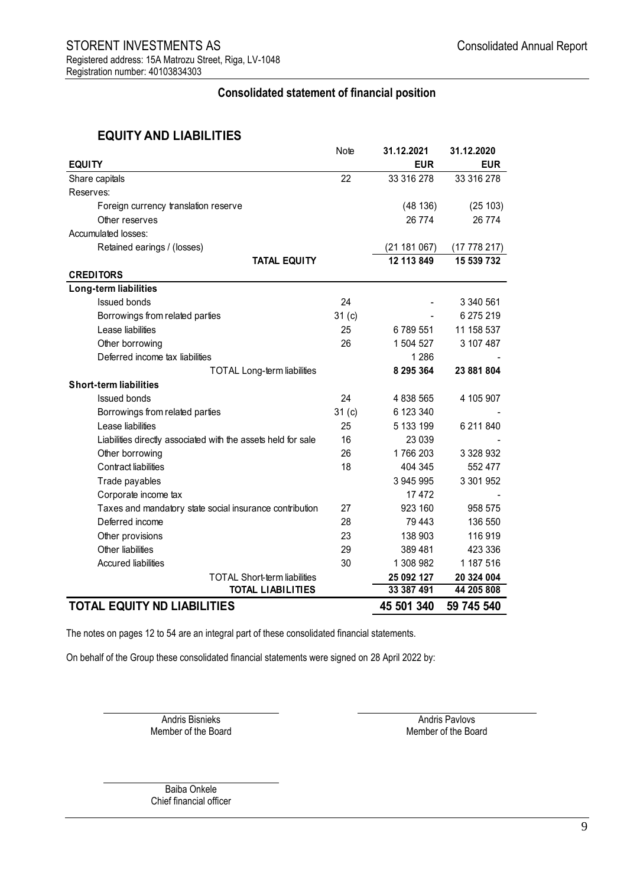## **Consolidated statement of financial position**

# **EQUITY AND LIABILITIES**

|                                                               | Note              | 31.12.2021   | 31.12.2020 |
|---------------------------------------------------------------|-------------------|--------------|------------|
| <b>EQUITY</b>                                                 |                   | <b>EUR</b>   | <b>EUR</b> |
| Share capitals                                                | 22                | 33 316 278   | 33 316 278 |
| Reserves:                                                     |                   |              |            |
| Foreign currency translation reserve                          |                   | (48136)      | (25103)    |
| Other reserves                                                |                   | 26 774       | 26 774     |
| Accumulated losses:                                           |                   |              |            |
| Retained earings / (losses)                                   |                   | (21 181 067) | (17778217) |
| <b>TATAL EQUITY</b>                                           |                   | 12 113 849   | 15 539 732 |
| <b>CREDITORS</b>                                              |                   |              |            |
| Long-term liabilities                                         |                   |              |            |
| <b>Issued bonds</b>                                           | 24                |              | 3 340 561  |
| Borrowings from related parties                               | 31 <sub>(c)</sub> |              | 6 275 219  |
| Lease liabilities                                             | 25                | 6789551      | 11 158 537 |
| Other borrowing                                               | 26                | 1 504 527    | 3 107 487  |
| Deferred income tax liabilities                               |                   | 1 2 8 6      |            |
| <b>TOTAL Long-term liabilities</b>                            |                   | 8 295 364    | 23 881 804 |
| <b>Short-term liabilities</b>                                 |                   |              |            |
| <b>Issued bonds</b>                                           | 24                | 4 838 565    | 4 105 907  |
| Borrowings from related parties                               | 31(c)             | 6 123 340    |            |
| Lease liabilities                                             | 25                | 5 133 199    | 6 211 840  |
| Liabilities directly associated with the assets held for sale | 16                | 23 039       |            |
| Other borrowing                                               | 26                | 1766203      | 3 328 932  |
| Contract liabilities                                          | 18                | 404 345      | 552 477    |
| Trade payables                                                |                   | 3 945 995    | 3 301 952  |
| Corporate income tax                                          |                   | 17472        |            |
| Taxes and mandatory state social insurance contribution       | 27                | 923 160      | 958 575    |
| Deferred income                                               | 28                | 79 443       | 136 550    |
| Other provisions                                              | 23                | 138 903      | 116919     |
| Other liabilities                                             | 29                | 389 481      | 423 336    |
| <b>Accured liabilities</b>                                    | 30                | 1 308 982    | 1 187 516  |
| <b>TOTAL Short-term liabilities</b>                           |                   | 25 092 127   | 20 324 004 |
| <b>TOTAL LIABILITIES</b>                                      |                   | 33 387 491   | 44 205 808 |
| <b>TOTAL EQUITY ND LIABILITIES</b>                            |                   | 45 501 340   | 59 745 540 |

The notes on pages 12 to 54 are an integral part of these consolidated financial statements.

On behalf of the Group these consolidated financial statements were signed on 28 April 2022 by:

Member of the Board

Andris Bisnieks Andris Pavlovs<br>
Andris Pavlovs Andris Pavlovs<br>
Member of the Board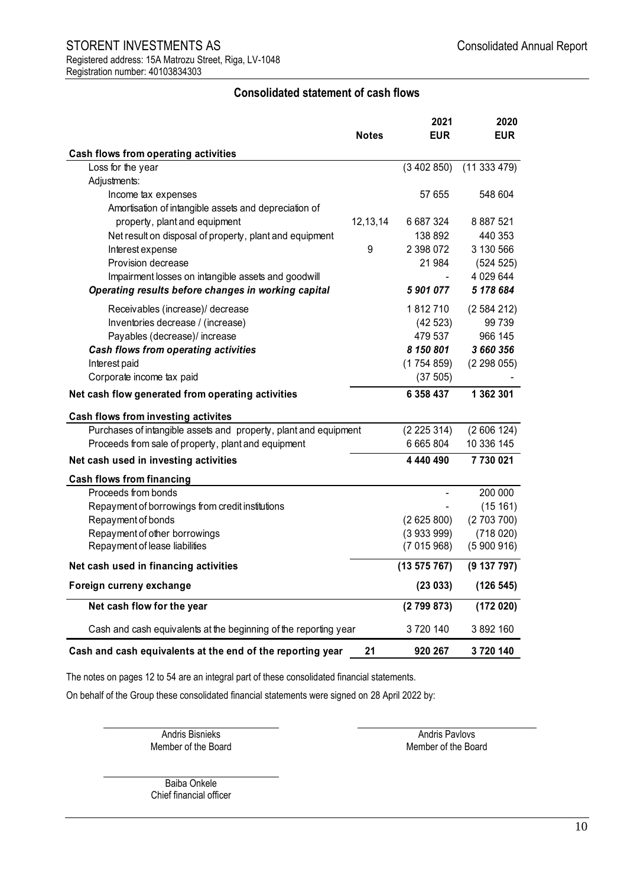## STORENT INVESTMENTS AS **STORENT** INVESTMENTS AS Registered address: 15A Matrozu Street, Riga, LV-1048 Registration number: 40103834303

## **Consolidated statement of cash flows**

<span id="page-9-0"></span>

|                                                                  |          | 2021       | 2020        |
|------------------------------------------------------------------|----------|------------|-------------|
|                                                                  | Notes    | <b>EUR</b> | <b>EUR</b>  |
| Cash flows from operating activities                             |          |            |             |
| Loss for the year                                                |          | (3402850)  | (11333479)  |
| Adjustments:                                                     |          |            |             |
| Income tax expenses                                              |          | 57 655     | 548 604     |
| Amortisation of intangible assets and depreciation of            |          |            |             |
| property, plant and equipment                                    | 12,13,14 | 6 687 324  | 8 887 521   |
| Net result on disposal of property, plant and equipment          |          | 138 892    | 440 353     |
| Interest expense                                                 | 9        | 2 398 072  | 3 130 566   |
| Provision decrease                                               |          | 21 984     | (524 525)   |
| Impairment losses on intangible assets and goodwill              |          |            | 4 0 29 6 44 |
| Operating results before changes in working capital              |          | 5901077    | 5 178 684   |
| Receivables (increase)/ decrease                                 |          | 1812710    | (2584212)   |
| Inventories decrease / (increase)                                |          | (42523)    | 99 739      |
| Payables (decrease)/ increase                                    |          | 479 537    | 966 145     |
| Cash flows from operating activities                             |          | 8 150 801  | 3 660 356   |
| Interest paid                                                    |          | (1754859)  | (2298055)   |
| Corporate income tax paid                                        |          | (37 505)   |             |
| Net cash flow generated from operating activities                |          | 6 358 437  | 1 362 301   |
| Cash flows from investing activites                              |          |            |             |
| Purchases of intangible assets and property, plant and equipment |          | (2225314)  | (2606124)   |
| Proceeds from sale of property, plant and equipment              |          | 6 665 804  | 10 336 145  |
| Net cash used in investing activities                            |          | 4 440 490  | 7730021     |
| <b>Cash flows from financing</b>                                 |          |            |             |
| Proceeds from bonds                                              |          |            | 200 000     |
| Repayment of borrowings from credit institutions                 |          |            | (15161)     |
| Repayment of bonds                                               |          | (2625800)  | (2703700)   |
| Repayment of other borrowings                                    |          | (3933999)  | (718020)    |
| Repayment of lease liabilities                                   |          | (7015968)  | (5900916)   |
| Net cash used in financing activities                            |          | (13575767) | (9137797)   |
| Foreign curreny exchange                                         |          | (23033)    | (126 545)   |
| Net cash flow for the year                                       |          | (2799873)  | (172020)    |
| Cash and cash equivalents at the beginning of the reporting year |          | 3720140    | 3 892 160   |
| Cash and cash equivalents at the end of the reporting year       | 21       | 920 267    | 3720140     |

The notes on pages 12 to 54 are an integral part of these consolidated financial statements.

On behalf of the Group these consolidated financial statements were signed on 28 April 2022 by:

Andris Bisnieks Andris Pavlovs<br>
Member of the Board Member of the Board

Member of the Board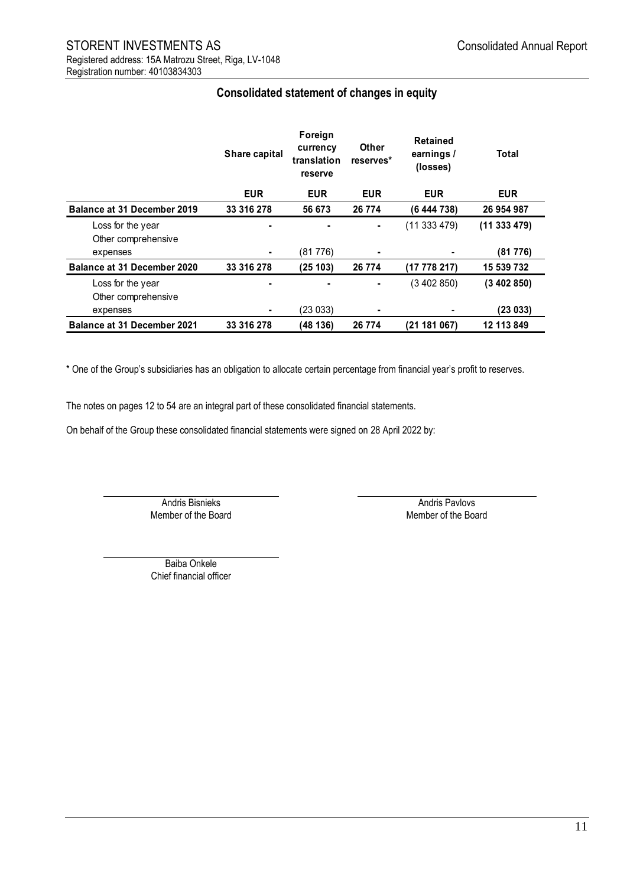<span id="page-10-0"></span>

|                                          | Share capital | Foreign<br>currency<br>translation<br>reserve | Other<br>reserves* | <b>Retained</b><br>earnings /<br>(losses) | Total      |
|------------------------------------------|---------------|-----------------------------------------------|--------------------|-------------------------------------------|------------|
|                                          | <b>EUR</b>    | <b>EUR</b>                                    | <b>EUR</b>         | <b>EUR</b>                                | <b>EUR</b> |
| Balance at 31 December 2019              | 33 316 278    | 56 673                                        | 26 774             | (6 444 738)                               | 26 954 987 |
| Loss for the year<br>Other comprehensive |               | $\blacksquare$                                | $\blacksquare$     | (11333479)                                | (11333479) |
| expenses                                 |               | (81 776)                                      | $\blacksquare$     |                                           | (81 776)   |
| Balance at 31 December 2020              | 33 316 278    | (25103)                                       | 26 774             | (17778217)                                | 15 539 732 |
| Loss for the year<br>Other comprehensive |               |                                               | $\blacksquare$     | (3 402 850)                               | (3402850)  |
| expenses                                 |               | (23 033)                                      | $\blacksquare$     |                                           | (23 033)   |
| <b>Balance at 31 December 2021</b>       | 33 316 278    | (48 136)                                      | 26 7 74            | (21181067)                                | 12 113 849 |

## **Consolidated statement of changes in equity**

\* One of the Group's subsidiaries has an obligation to allocate certain percentage from financial year's profit to reserves.

The notes on pages 12 to 54 are an integral part of these consolidated financial statements.

On behalf of the Group these consolidated financial statements were signed on 28 April 2022 by:

Member of the Board

Andris Bisnieks Andris Pavlovs<br>
Andris Pavlovs Andris Pavlovs<br>
Member of the Board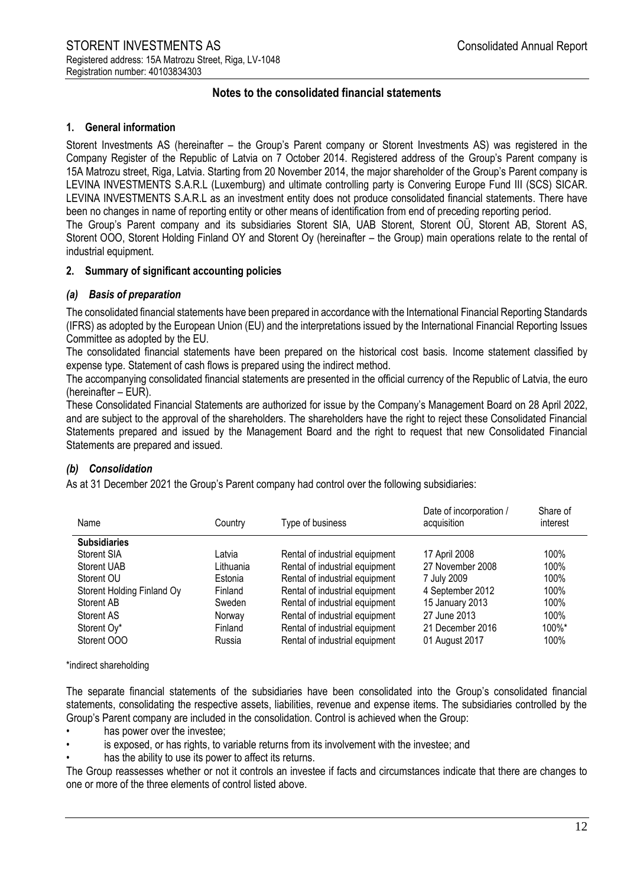## **Notes to the consolidated financial statements**

## <span id="page-11-0"></span>**1. General information**

Storent Investments AS (hereinafter – the Group's Parent company or Storent Investments AS) was registered in the Company Register of the Republic of Latvia on 7 October 2014. Registered address of the Group's Parent company is 15A Matrozu street, Riga, Latvia. Starting from 20 November 2014, the major shareholder of the Group's Parent company is LEVINA INVESTMENTS S.A.R.L (Luxemburg) and ultimate controlling party is Convering Europe Fund III (SCS) SICAR. LEVINA INVESTMENTS S.A.R.L as an investment entity does not produce consolidated financial statements. There have been no changes in name of reporting entity or other means of identification from end of preceding reporting period. The Group's Parent company and its subsidiaries Storent SIA, UAB Storent, Storent OÜ, Storent AB, Storent AS,

Storent OOO, Storent Holding Finland OY and Storent Oy (hereinafter – the Group) main operations relate to the rental of industrial equipment.

## **2. Summary of significant accounting policies**

## *(a) Basis of preparation*

The consolidated financial statements have been prepared in accordance with the International Financial Reporting Standards (IFRS) as adopted by the European Union (EU) and the interpretations issued by the International Financial Reporting Issues Committee as adopted by the EU.

The consolidated financial statements have been prepared on the historical cost basis. Income statement classified by expense type. Statement of cash flows is prepared using the indirect method.

The accompanying consolidated financial statements are presented in the official currency of the Republic of Latvia, the euro (hereinafter – EUR).

These Consolidated Financial Statements are authorized for issue by the Company's Management Board on 28 April 2022, and are subject to the approval of the shareholders. The shareholders have the right to reject these Consolidated Financial Statements prepared and issued by the Management Board and the right to request that new Consolidated Financial Statements are prepared and issued.

## *(b) Consolidation*

As at 31 December 2021 the Group's Parent company had control over the following subsidiaries:

| Name                       | Country   | Type of business               | Date of incorporation /<br>acquisition | Share of<br>interest |
|----------------------------|-----------|--------------------------------|----------------------------------------|----------------------|
| <b>Subsidiaries</b>        |           |                                |                                        |                      |
| Storent SIA                | Latvia    | Rental of industrial equipment | 17 April 2008                          | 100%                 |
| <b>Storent UAB</b>         | Lithuania | Rental of industrial equipment | 27 November 2008                       | 100%                 |
| Storent OU                 | Estonia   | Rental of industrial equipment | 7 July 2009                            | 100%                 |
| Storent Holding Finland Oy | Finland   | Rental of industrial equipment | 4 September 2012                       | 100%                 |
| Storent AB                 | Sweden    | Rental of industrial equipment | 15 January 2013                        | 100%                 |
| Storent AS                 | Norway    | Rental of industrial equipment | 27 June 2013                           | 100%                 |
| Storent Oy*                | Finland   | Rental of industrial equipment | 21 December 2016                       | 100%*                |
| Storent OOO                | Russia    | Rental of industrial equipment | 01 August 2017                         | 100%                 |

\*indirect shareholding

The separate financial statements of the subsidiaries have been consolidated into the Group's consolidated financial statements, consolidating the respective assets, liabilities, revenue and expense items. The subsidiaries controlled by the Group's Parent company are included in the consolidation. Control is achieved when the Group:

- has power over the investee;
- is exposed, or has rights, to variable returns from its involvement with the investee; and
- has the ability to use its power to affect its returns.

The Group reassesses whether or not it controls an investee if facts and circumstances indicate that there are changes to one or more of the three elements of control listed above.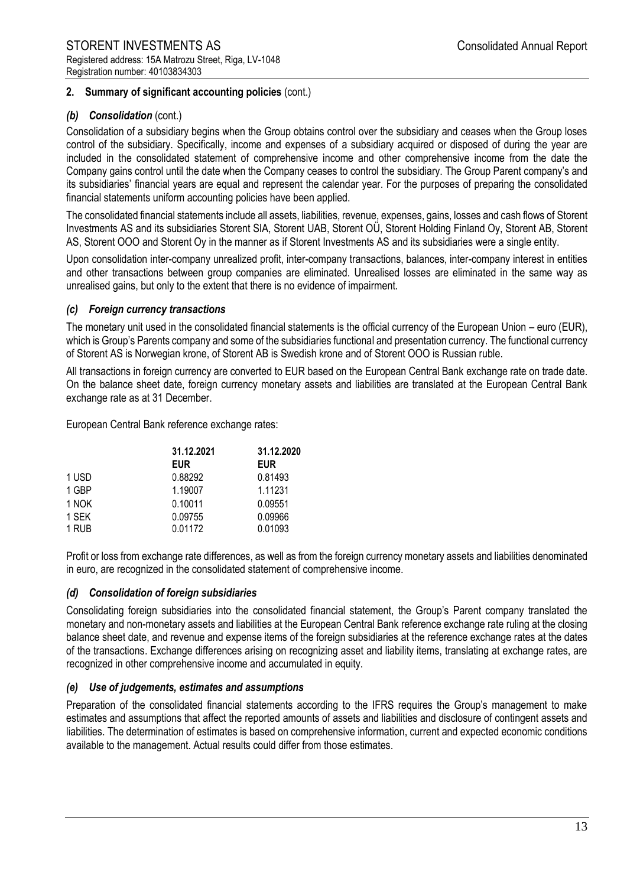## *(b) Consolidation* (cont.)

Consolidation of a subsidiary begins when the Group obtains control over the subsidiary and ceases when the Group loses control of the subsidiary. Specifically, income and expenses of a subsidiary acquired or disposed of during the year are included in the consolidated statement of comprehensive income and other comprehensive income from the date the Company gains control until the date when the Company ceases to control the subsidiary. The Group Parent company's and its subsidiaries' financial years are equal and represent the calendar year. For the purposes of preparing the consolidated financial statements uniform accounting policies have been applied.

The consolidated financial statements include all assets, liabilities, revenue, expenses, gains, losses and cash flows of Storent Investments AS and its subsidiaries Storent SIA, Storent UAB, Storent OÜ, Storent Holding Finland Oy, Storent AB, Storent AS, Storent OOO and Storent Oy in the manner as if Storent Investments AS and its subsidiaries were a single entity.

Upon consolidation inter-company unrealized profit, inter-company transactions, balances, inter-company interest in entities and other transactions between group companies are eliminated. Unrealised losses are eliminated in the same way as unrealised gains, but only to the extent that there is no evidence of impairment.

#### *(c) Foreign currency transactions*

The monetary unit used in the consolidated financial statements is the official currency of the European Union – euro (EUR), which is Group's Parents company and some of the subsidiaries functional and presentation currency. The functional currency of Storent AS is Norwegian krone, of Storent AB is Swedish krone and of Storent OOO is Russian ruble.

All transactions in foreign currency are converted to EUR based on the European Central Bank exchange rate on trade date. On the balance sheet date, foreign currency monetary assets and liabilities are translated at the European Central Bank exchange rate as at 31 December.

European Central Bank reference exchange rates:

|       | 31.12.2021 | 31.12.2020 |  |  |
|-------|------------|------------|--|--|
|       | <b>EUR</b> | <b>EUR</b> |  |  |
| 1 USD | 0.88292    | 0.81493    |  |  |
| 1 GBP | 1.19007    | 1.11231    |  |  |
| 1 NOK | 0.10011    | 0.09551    |  |  |
| 1 SEK | 0.09755    | 0.09966    |  |  |
| 1 RUB | 0.01172    | 0.01093    |  |  |

Profit or loss from exchange rate differences, as well as from the foreign currency monetary assets and liabilities denominated in euro, are recognized in the consolidated statement of comprehensive income.

#### *(d) Consolidation of foreign subsidiaries*

Consolidating foreign subsidiaries into the consolidated financial statement, the Group's Parent company translated the monetary and non-monetary assets and liabilities at the European Central Bank reference exchange rate ruling at the closing balance sheet date, and revenue and expense items of the foreign subsidiaries at the reference exchange rates at the dates of the transactions. Exchange differences arising on recognizing asset and liability items, translating at exchange rates, are recognized in other comprehensive income and accumulated in equity.

#### *(e) Use of judgements, estimates and assumptions*

Preparation of the consolidated financial statements according to the IFRS requires the Group's management to make estimates and assumptions that affect the reported amounts of assets and liabilities and disclosure of contingent assets and liabilities. The determination of estimates is based on comprehensive information, current and expected economic conditions available to the management. Actual results could differ from those estimates.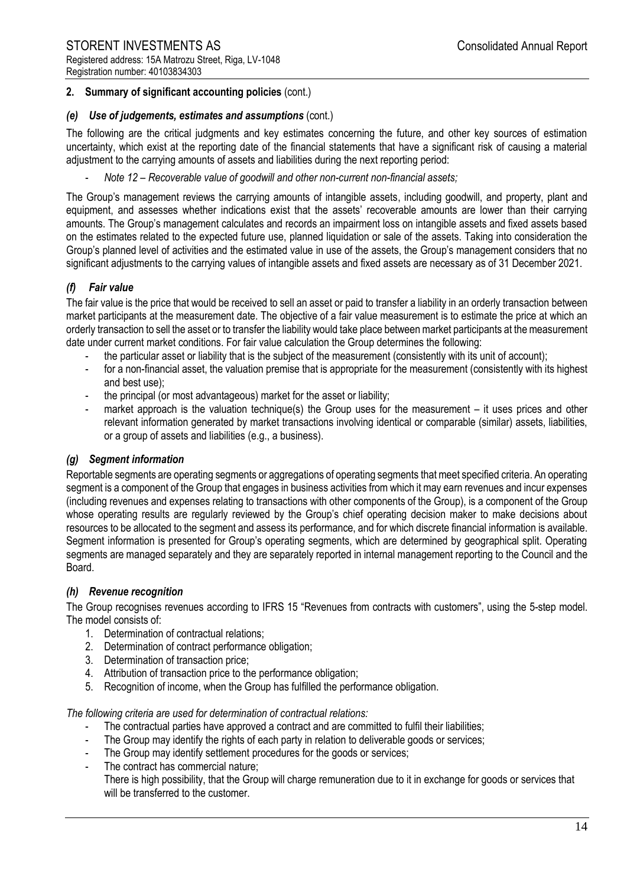## *(e) Use of judgements, estimates and assumptions* (cont.)

The following are the critical judgments and key estimates concerning the future, and other key sources of estimation uncertainty, which exist at the reporting date of the financial statements that have a significant risk of causing a material adjustment to the carrying amounts of assets and liabilities during the next reporting period:

- *Note 12 – Recoverable value of goodwill and other non-current non-financial assets;*

The Group's management reviews the carrying amounts of intangible assets, including goodwill, and property, plant and equipment, and assesses whether indications exist that the assets' recoverable amounts are lower than their carrying amounts. The Group's management calculates and records an impairment loss on intangible assets and fixed assets based on the estimates related to the expected future use, planned liquidation or sale of the assets. Taking into consideration the Group's planned level of activities and the estimated value in use of the assets, the Group's management considers that no significant adjustments to the carrying values of intangible assets and fixed assets are necessary as of 31 December 2021.

## *(f) Fair value*

The fair value is the price that would be received to sell an asset or paid to transfer a liability in an orderly transaction between market participants at the measurement date. The objective of a fair value measurement is to estimate the price at which an orderly transaction to sell the asset or to transfer the liability would take place between market participants at the measurement date under current market conditions. For fair value calculation the Group determines the following:

- the particular asset or liability that is the subject of the measurement (consistently with its unit of account);
- for a non-financial asset, the valuation premise that is appropriate for the measurement (consistently with its highest and best use);
- the principal (or most advantageous) market for the asset or liability;
- market approach is the valuation technique(s) the Group uses for the measurement  $-$  it uses prices and other relevant information generated by market transactions involving identical or comparable (similar) assets, liabilities, or a group of assets and liabilities (e.g., a business).

## *(g) Segment information*

Reportable segments are operating segments or aggregations of operating segments that meet specified criteria. An operating segment is a component of the Group that engages in business activities from which it may earn revenues and incur expenses (including revenues and expenses relating to transactions with other components of the Group), is a component of the Group whose operating results are regularly reviewed by the Group's chief operating decision maker to make decisions about resources to be allocated to the segment and assess its performance, and for which discrete financial information is available. Segment information is presented for Group's operating segments, which are determined by geographical split. Operating segments are managed separately and they are separately reported in internal management reporting to the Council and the Board.

## *(h) Revenue recognition*

The Group recognises revenues according to IFRS 15 "Revenues from contracts with customers", using the 5-step model. The model consists of:

- 1. Determination of contractual relations;
- 2. Determination of contract performance obligation;
- 3. Determination of transaction price;
- 4. Attribution of transaction price to the performance obligation;
- 5. Recognition of income, when the Group has fulfilled the performance obligation.

*The following criteria are used for determination of contractual relations:*

- The contractual parties have approved a contract and are committed to fulfil their liabilities;
- The Group may identify the rights of each party in relation to deliverable goods or services;
- The Group may identify settlement procedures for the goods or services;
- The contract has commercial nature;
- There is high possibility, that the Group will charge remuneration due to it in exchange for goods or services that will be transferred to the customer.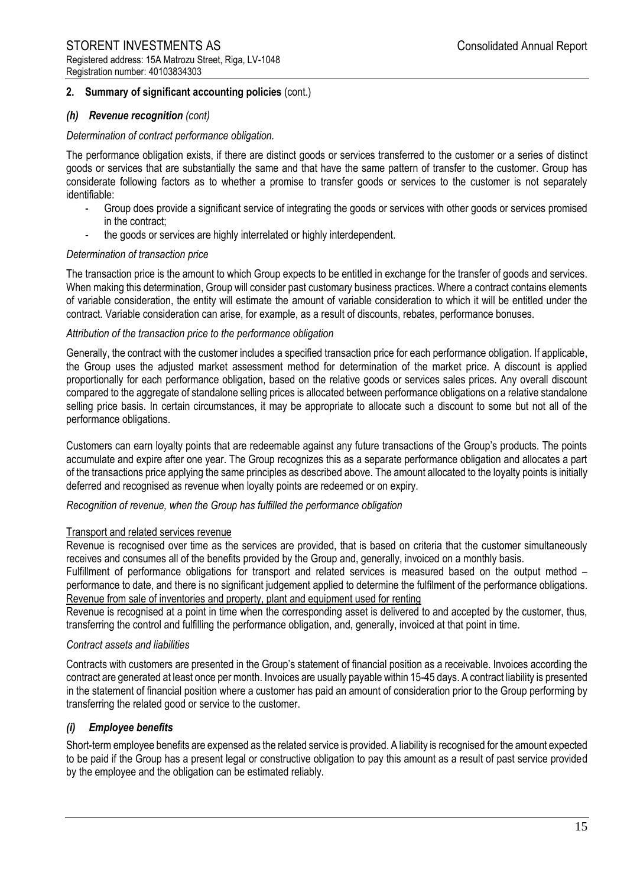## *(h) Revenue recognition (cont)*

#### *Determination of contract performance obligation.*

The performance obligation exists, if there are distinct goods or services transferred to the customer or a series of distinct goods or services that are substantially the same and that have the same pattern of transfer to the customer. Group has considerate following factors as to whether a promise to transfer goods or services to the customer is not separately identifiable:

- Group does provide a significant service of integrating the goods or services with other goods or services promised in the contract;
- the goods or services are highly interrelated or highly interdependent.

## *Determination of transaction price*

The transaction price is the amount to which Group expects to be entitled in exchange for the transfer of goods and services. When making this determination, Group will consider past customary business practices. Where a contract contains elements of variable consideration, the entity will estimate the amount of variable consideration to which it will be entitled under the contract. Variable consideration can arise, for example, as a result of discounts, rebates, performance bonuses.

## *Attribution of the transaction price to the performance obligation*

Generally, the contract with the customer includes a specified transaction price for each performance obligation. If applicable, the Group uses the adjusted market assessment method for determination of the market price. A discount is applied proportionally for each performance obligation, based on the relative goods or services sales prices. Any overall discount compared to the aggregate of standalone selling prices is allocated between performance obligations on a relative standalone selling price basis. In certain circumstances, it may be appropriate to allocate such a discount to some but not all of the performance obligations.

Customers can earn loyalty points that are redeemable against any future transactions of the Group's products. The points accumulate and expire after one year. The Group recognizes this as a separate performance obligation and allocates a part of the transactions price applying the same principles as described above. The amount allocated to the loyalty points is initially deferred and recognised as revenue when loyalty points are redeemed or on expiry.

#### *Recognition of revenue, when the Group has fulfilled the performance obligation*

#### Transport and related services revenue

Revenue is recognised over time as the services are provided, that is based on criteria that the customer simultaneously receives and consumes all of the benefits provided by the Group and, generally, invoiced on a monthly basis.

Fulfillment of performance obligations for transport and related services is measured based on the output method – performance to date, and there is no significant judgement applied to determine the fulfilment of the performance obligations. Revenue from sale of inventories and property, plant and equipment used for renting

Revenue is recognised at a point in time when the corresponding asset is delivered to and accepted by the customer, thus, transferring the control and fulfilling the performance obligation, and, generally, invoiced at that point in time.

#### *Contract assets and liabilities*

Contracts with customers are presented in the Group's statement of financial position as a receivable. Invoices according the contract are generated at least once per month. Invoices are usually payable within 15-45 days. A contract liability is presented in the statement of financial position where a customer has paid an amount of consideration prior to the Group performing by transferring the related good or service to the customer.

## *(i) Employee benefits*

Short-term employee benefits are expensed as the related service is provided. A liability is recognised for the amount expected to be paid if the Group has a present legal or constructive obligation to pay this amount as a result of past service provided by the employee and the obligation can be estimated reliably.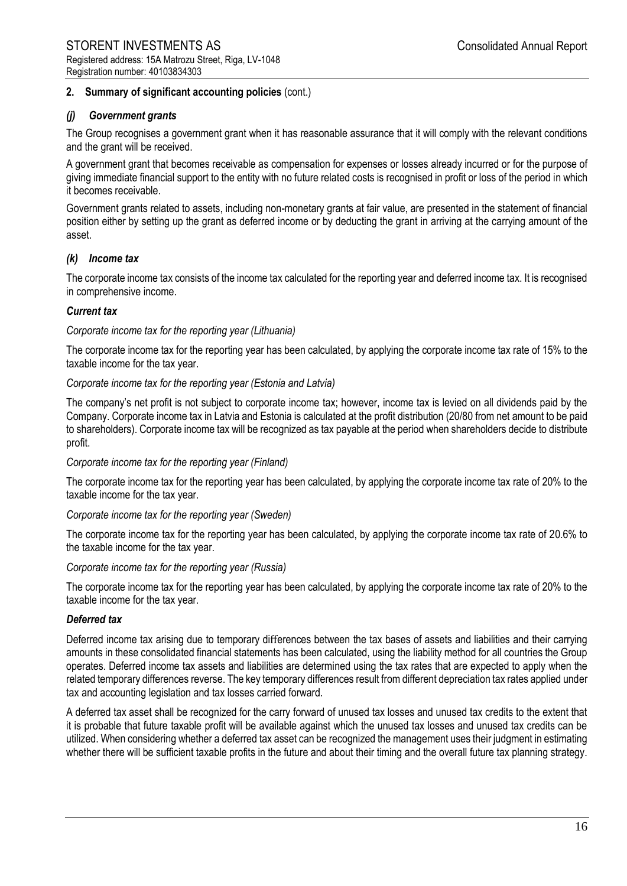## *(j) Government grants*

The Group recognises a government grant when it has reasonable assurance that it will comply with the relevant conditions and the grant will be received.

A government grant that becomes receivable as compensation for expenses or losses already incurred or for the purpose of giving immediate financial support to the entity with no future related costs is recognised in profit or loss of the period in which it becomes receivable.

Government grants related to assets, including non-monetary grants at fair value, are presented in the statement of financial position either by setting up the grant as deferred income or by deducting the grant in arriving at the carrying amount of the asset.

## *(k) Income tax*

The corporate income tax consists of the income tax calculated for the reporting year and deferred income tax. It is recognised in comprehensive income.

## *Current tax*

#### *Corporate income tax for the reporting year (Lithuania)*

The corporate income tax for the reporting year has been calculated, by applying the corporate income tax rate of 15% to the taxable income for the tax year.

#### *Corporate income tax for the reporting year (Estonia and Latvia)*

The company's net profit is not subject to corporate income tax; however, income tax is levied on all dividends paid by the Company. Corporate income tax in Latvia and Estonia is calculated at the profit distribution (20/80 from net amount to be paid to shareholders). Corporate income tax will be recognized as tax payable at the period when shareholders decide to distribute profit.

#### *Corporate income tax for the reporting year (Finland)*

The corporate income tax for the reporting year has been calculated, by applying the corporate income tax rate of 20% to the taxable income for the tax year.

#### *Corporate income tax for the reporting year (Sweden)*

The corporate income tax for the reporting year has been calculated, by applying the corporate income tax rate of 20.6% to the taxable income for the tax year.

#### *Corporate income tax for the reporting year (Russia)*

The corporate income tax for the reporting year has been calculated, by applying the corporate income tax rate of 20% to the taxable income for the tax year.

#### *Deferred tax*

Deferred income tax arising due to temporary differences between the tax bases of assets and liabilities and their carrying amounts in these consolidated financial statements has been calculated, using the liability method for all countries the Group operates. Deferred income tax assets and liabilities are determined using the tax rates that are expected to apply when the related temporary differences reverse. The key temporary differences result from different depreciation tax rates applied under tax and accounting legislation and tax losses carried forward.

A deferred tax asset shall be recognized for the carry forward of unused tax losses and unused tax credits to the extent that it is probable that future taxable profit will be available against which the unused tax losses and unused tax credits can be utilized. When considering whether a deferred tax asset can be recognized the management uses their judgment in estimating whether there will be sufficient taxable profits in the future and about their timing and the overall future tax planning strategy.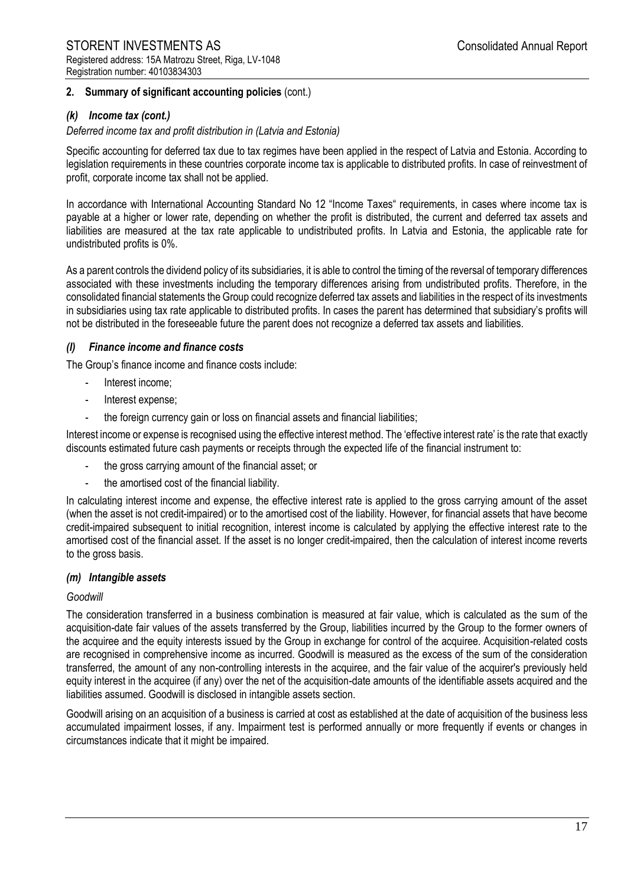## *(k) Income tax (cont.)*

*Deferred income tax and profit distribution in (Latvia and Estonia)*

Specific accounting for deferred tax due to tax regimes have been applied in the respect of Latvia and Estonia. According to legislation requirements in these countries corporate income tax is applicable to distributed profits. In case of reinvestment of profit, corporate income tax shall not be applied.

In accordance with International Accounting Standard No 12 "Income Taxes" requirements, in cases where income tax is payable at a higher or lower rate, depending on whether the profit is distributed, the current and deferred tax assets and liabilities are measured at the tax rate applicable to undistributed profits. In Latvia and Estonia, the applicable rate for undistributed profits is 0%.

As a parent controls the dividend policy of its subsidiaries, it is able to control the timing of the reversal of temporary differences associated with these investments including the temporary differences arising from undistributed profits. Therefore, in the consolidated financial statements the Group could recognize deferred tax assets and liabilities in the respect of its investments in subsidiaries using tax rate applicable to distributed profits. In cases the parent has determined that subsidiary's profits will not be distributed in the foreseeable future the parent does not recognize a deferred tax assets and liabilities.

#### *(l) Finance income and finance costs*

The Group's finance income and finance costs include:

- Interest income;
- Interest expense;
- the foreign currency gain or loss on financial assets and financial liabilities;

Interest income or expense is recognised using the effective interest method. The 'effective interest rate' is the rate that exactly discounts estimated future cash payments or receipts through the expected life of the financial instrument to:

- the gross carrying amount of the financial asset; or
- the amortised cost of the financial liability.

In calculating interest income and expense, the effective interest rate is applied to the gross carrying amount of the asset (when the asset is not credit-impaired) or to the amortised cost of the liability. However, for financial assets that have become credit-impaired subsequent to initial recognition, interest income is calculated by applying the effective interest rate to the amortised cost of the financial asset. If the asset is no longer credit-impaired, then the calculation of interest income reverts to the gross basis.

#### *(m) Intangible assets*

#### *Goodwill*

The consideration transferred in a business combination is measured at fair value, which is calculated as the sum of the acquisition-date fair values of the assets transferred by the Group, liabilities incurred by the Group to the former owners of the acquiree and the equity interests issued by the Group in exchange for control of the acquiree. Acquisition-related costs are recognised in comprehensive income as incurred. Goodwill is measured as the excess of the sum of the consideration transferred, the amount of any non-controlling interests in the acquiree, and the fair value of the acquirer's previously held equity interest in the acquiree (if any) over the net of the acquisition-date amounts of the identifiable assets acquired and the liabilities assumed. Goodwill is disclosed in intangible assets section.

Goodwill arising on an acquisition of a business is carried at cost as established at the date of acquisition of the business less accumulated impairment losses, if any. Impairment test is performed annually or more frequently if events or changes in circumstances indicate that it might be impaired.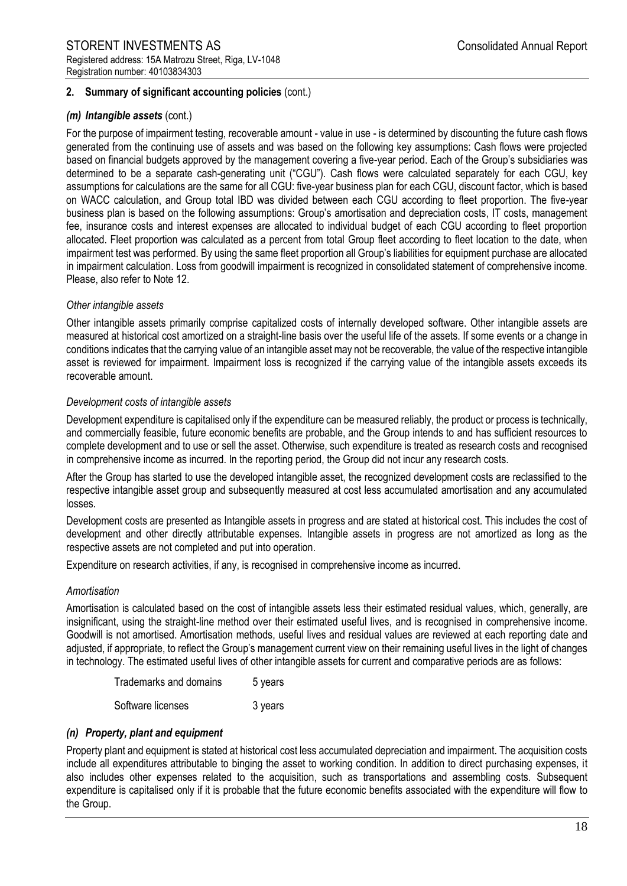## *(m) Intangible assets* (cont.)

For the purpose of impairment testing, recoverable amount - value in use - is determined by discounting the future cash flows generated from the continuing use of assets and was based on the following key assumptions: Cash flows were projected based on financial budgets approved by the management covering a five-year period. Each of the Group's subsidiaries was determined to be a separate cash-generating unit ("CGU"). Cash flows were calculated separately for each CGU, key assumptions for calculations are the same for all CGU: five-year business plan for each CGU, discount factor, which is based on WACC calculation, and Group total IBD was divided between each CGU according to fleet proportion. The five-year business plan is based on the following assumptions: Group's amortisation and depreciation costs, IT costs, management fee, insurance costs and interest expenses are allocated to individual budget of each CGU according to fleet proportion allocated. Fleet proportion was calculated as a percent from total Group fleet according to fleet location to the date, when impairment test was performed. By using the same fleet proportion all Group's liabilities for equipment purchase are allocated in impairment calculation. Loss from goodwill impairment is recognized in consolidated statement of comprehensive income. Please, also refer to Note 12.

## *Other intangible assets*

Other intangible assets primarily comprise capitalized costs of internally developed software. Other intangible assets are measured at historical cost amortized on a straight-line basis over the useful life of the assets. If some events or a change in conditions indicates that the carrying value of an intangible asset may not be recoverable, the value of the respective intangible asset is reviewed for impairment. Impairment loss is recognized if the carrying value of the intangible assets exceeds its recoverable amount.

## *Development costs of intangible assets*

Development expenditure is capitalised only if the expenditure can be measured reliably, the product or process is technically, and commercially feasible, future economic benefits are probable, and the Group intends to and has sufficient resources to complete development and to use or sell the asset. Otherwise, such expenditure is treated as research costs and recognised in comprehensive income as incurred. In the reporting period, the Group did not incur any research costs.

After the Group has started to use the developed intangible asset, the recognized development costs are reclassified to the respective intangible asset group and subsequently measured at cost less accumulated amortisation and any accumulated losses.

Development costs are presented as Intangible assets in progress and are stated at historical cost. This includes the cost of development and other directly attributable expenses. Intangible assets in progress are not amortized as long as the respective assets are not completed and put into operation.

Expenditure on research activities, if any, is recognised in comprehensive income as incurred.

#### *Amortisation*

Amortisation is calculated based on the cost of intangible assets less their estimated residual values, which, generally, are insignificant, using the straight-line method over their estimated useful lives, and is recognised in comprehensive income. Goodwill is not amortised. Amortisation methods, useful lives and residual values are reviewed at each reporting date and adjusted, if appropriate, to reflect the Group's management current view on their remaining useful lives in the light of changes in technology. The estimated useful lives of other intangible assets for current and comparative periods are as follows:

| Trademarks and domains | 5 years |
|------------------------|---------|
| Software licenses      | 3 years |

## *(n) Property, plant and equipment*

Property plant and equipment is stated at historical cost less accumulated depreciation and impairment. The acquisition costs include all expenditures attributable to binging the asset to working condition. In addition to direct purchasing expenses, it also includes other expenses related to the acquisition, such as transportations and assembling costs. Subsequent expenditure is capitalised only if it is probable that the future economic benefits associated with the expenditure will flow to the Group.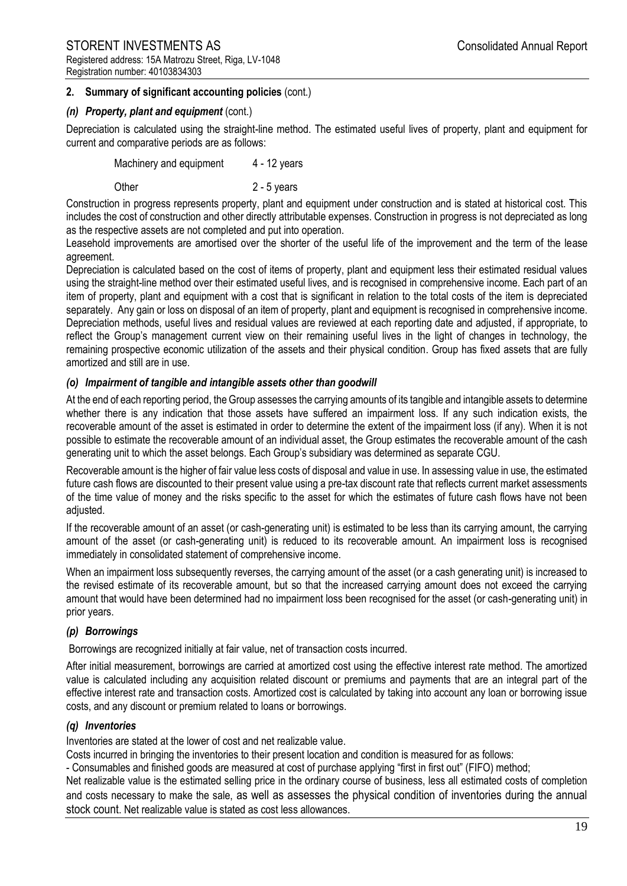## *(n) Property, plant and equipment* (cont.)

Depreciation is calculated using the straight-line method. The estimated useful lives of property, plant and equipment for current and comparative periods are as follows:

Machinery and equipment 4 - 12 years

Other 2 - 5 years

Construction in progress represents property, plant and equipment under construction and is stated at historical cost. This includes the cost of construction and other directly attributable expenses. Construction in progress is not depreciated as long as the respective assets are not completed and put into operation.

Leasehold improvements are amortised over the shorter of the useful life of the improvement and the term of the lease agreement.

Depreciation is calculated based on the cost of items of property, plant and equipment less their estimated residual values using the straight-line method over their estimated useful lives, and is recognised in comprehensive income. Each part of an item of property, plant and equipment with a cost that is significant in relation to the total costs of the item is depreciated separately. Any gain or loss on disposal of an item of property, plant and equipment is recognised in comprehensive income. Depreciation methods, useful lives and residual values are reviewed at each reporting date and adjusted, if appropriate, to reflect the Group's management current view on their remaining useful lives in the light of changes in technology, the remaining prospective economic utilization of the assets and their physical condition. Group has fixed assets that are fully amortized and still are in use.

## *(o) Impairment of tangible and intangible assets other than goodwill*

At the end of each reporting period, the Group assesses the carrying amounts of its tangible and intangible assets to determine whether there is any indication that those assets have suffered an impairment loss. If any such indication exists, the recoverable amount of the asset is estimated in order to determine the extent of the impairment loss (if any). When it is not possible to estimate the recoverable amount of an individual asset, the Group estimates the recoverable amount of the cash generating unit to which the asset belongs. Each Group's subsidiary was determined as separate CGU.

Recoverable amount is the higher of fair value less costs of disposal and value in use. In assessing value in use, the estimated future cash flows are discounted to their present value using a pre-tax discount rate that reflects current market assessments of the time value of money and the risks specific to the asset for which the estimates of future cash flows have not been adjusted.

If the recoverable amount of an asset (or cash-generating unit) is estimated to be less than its carrying amount, the carrying amount of the asset (or cash-generating unit) is reduced to its recoverable amount. An impairment loss is recognised immediately in consolidated statement of comprehensive income.

When an impairment loss subsequently reverses, the carrying amount of the asset (or a cash generating unit) is increased to the revised estimate of its recoverable amount, but so that the increased carrying amount does not exceed the carrying amount that would have been determined had no impairment loss been recognised for the asset (or cash-generating unit) in prior years.

## *(p) Borrowings*

Borrowings are recognized initially at fair value, net of transaction costs incurred.

After initial measurement, borrowings are carried at amortized cost using the effective interest rate method. The amortized value is calculated including any acquisition related discount or premiums and payments that are an integral part of the effective interest rate and transaction costs. Amortized cost is calculated by taking into account any loan or borrowing issue costs, and any discount or premium related to loans or borrowings.

## *(q) Inventories*

Inventories are stated at the lower of cost and net realizable value.

Costs incurred in bringing the inventories to their present location and condition is measured for as follows:

- Consumables and finished goods are measured at cost of purchase applying "first in first out" (FIFO) method;

Net realizable value is the estimated selling price in the ordinary course of business, less all estimated costs of completion and costs necessary to make the sale, as well as assesses the physical condition of inventories during the annual stock count. Net realizable value is stated as cost less allowances.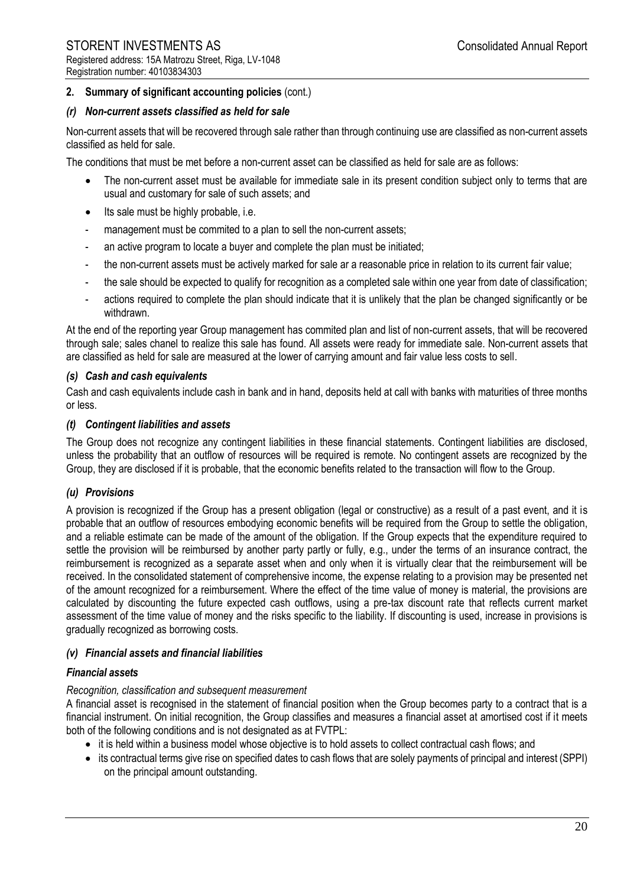## *(r) Non-current assets classified as held for sale*

Non-current assets that will be recovered through sale rather than through continuing use are classified as non-current assets classified as held for sale.

The conditions that must be met before a non-current asset can be classified as held for sale are as follows:

- The non-current asset must be available for immediate sale in its present condition subject only to terms that are usual and customary for sale of such assets; and
- Its sale must be highly probable, i.e.
- management must be commited to a plan to sell the non-current assets;
- an active program to locate a buyer and complete the plan must be initiated;
- the non-current assets must be actively marked for sale ar a reasonable price in relation to its current fair value;
- the sale should be expected to qualify for recognition as a completed sale within one year from date of classification;
- actions required to complete the plan should indicate that it is unlikely that the plan be changed significantly or be withdrawn.

At the end of the reporting year Group management has commited plan and list of non-current assets, that will be recovered through sale; sales chanel to realize this sale has found. All assets were ready for immediate sale. Non-current assets that are classified as held for sale are measured at the lower of carrying amount and fair value less costs to sell.

## *(s) Cash and cash equivalents*

Cash and cash equivalents include cash in bank and in hand, deposits held at call with banks with maturities of three months or less.

## *(t) Contingent liabilities and assets*

The Group does not recognize any contingent liabilities in these financial statements. Contingent liabilities are disclosed, unless the probability that an outflow of resources will be required is remote. No contingent assets are recognized by the Group, they are disclosed if it is probable, that the economic benefits related to the transaction will flow to the Group.

## *(u) Provisions*

A provision is recognized if the Group has a present obligation (legal or constructive) as a result of a past event, and it is probable that an outflow of resources embodying economic benefits will be required from the Group to settle the obligation, and a reliable estimate can be made of the amount of the obligation. If the Group expects that the expenditure required to settle the provision will be reimbursed by another party partly or fully, e.g., under the terms of an insurance contract, the reimbursement is recognized as a separate asset when and only when it is virtually clear that the reimbursement will be received. In the consolidated statement of comprehensive income, the expense relating to a provision may be presented net of the amount recognized for a reimbursement. Where the effect of the time value of money is material, the provisions are calculated by discounting the future expected cash outflows, using a pre-tax discount rate that reflects current market assessment of the time value of money and the risks specific to the liability. If discounting is used, increase in provisions is gradually recognized as borrowing costs.

## *(v) Financial assets and financial liabilities*

## *Financial assets*

#### *Recognition, classification and subsequent measurement*

A financial asset is recognised in the statement of financial position when the Group becomes party to a contract that is a financial instrument. On initial recognition, the Group classifies and measures a financial asset at amortised cost if it meets both of the following conditions and is not designated as at FVTPL:

- it is held within a business model whose objective is to hold assets to collect contractual cash flows; and
- its contractual terms give rise on specified dates to cash flows that are solely payments of principal and interest (SPPI) on the principal amount outstanding.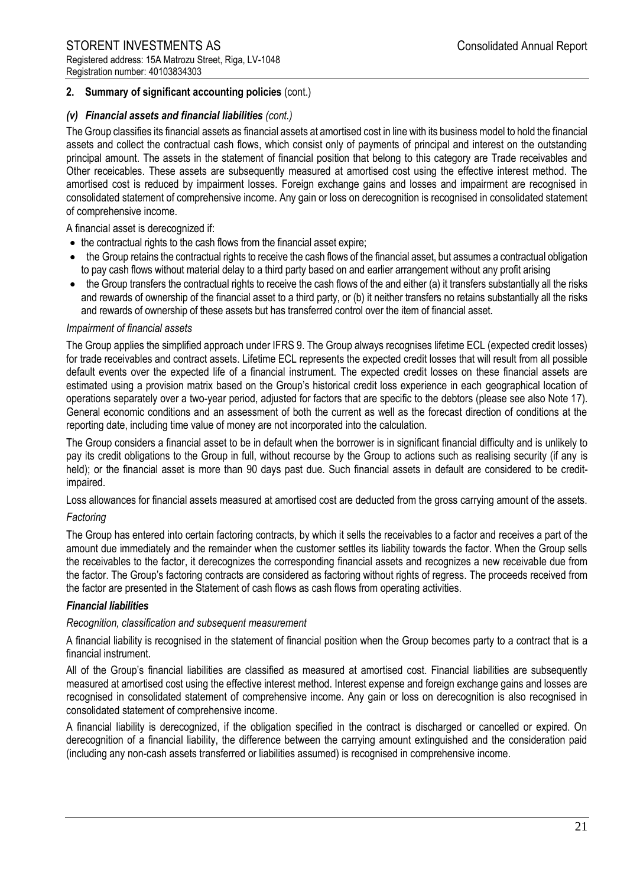## *(v) Financial assets and financial liabilities (cont.)*

The Group classifies its financial assets as financial assets at amortised cost in line with its business model to hold the financial assets and collect the contractual cash flows, which consist only of payments of principal and interest on the outstanding principal amount. The assets in the statement of financial position that belong to this category are Trade receivables and Other receicables. These assets are subsequently measured at amortised cost using the effective interest method. The amortised cost is reduced by impairment losses. Foreign exchange gains and losses and impairment are recognised in consolidated statement of comprehensive income. Any gain or loss on derecognition is recognised in consolidated statement of comprehensive income.

A financial asset is derecognized if:

- the contractual rights to the cash flows from the financial asset expire;
- the Group retains the contractual rights to receive the cash flows of the financial asset, but assumes a contractual obligation to pay cash flows without material delay to a third party based on and earlier arrangement without any profit arising
- the Group transfers the contractual rights to receive the cash flows of the and either (a) it transfers substantially all the risks and rewards of ownership of the financial asset to a third party, or (b) it neither transfers no retains substantially all the risks and rewards of ownership of these assets but has transferred control over the item of financial asset.

#### *Impairment of financial assets*

The Group applies the simplified approach under IFRS 9. The Group always recognises lifetime ECL (expected credit losses) for trade receivables and contract assets. Lifetime ECL represents the expected credit losses that will result from all possible default events over the expected life of a financial instrument. The expected credit losses on these financial assets are estimated using a provision matrix based on the Group's historical credit loss experience in each geographical location of operations separately over a two-year period, adjusted for factors that are specific to the debtors (please see also Note 17). General economic conditions and an assessment of both the current as well as the forecast direction of conditions at the reporting date, including time value of money are not incorporated into the calculation.

The Group considers a financial asset to be in default when the borrower is in significant financial difficulty and is unlikely to pay its credit obligations to the Group in full, without recourse by the Group to actions such as realising security (if any is held); or the financial asset is more than 90 days past due. Such financial assets in default are considered to be creditimpaired.

Loss allowances for financial assets measured at amortised cost are deducted from the gross carrying amount of the assets.

#### *Factoring*

The Group has entered into certain factoring contracts, by which it sells the receivables to a factor and receives a part of the amount due immediately and the remainder when the customer settles its liability towards the factor. When the Group sells the receivables to the factor, it derecognizes the corresponding financial assets and recognizes a new receivable due from the factor. The Group's factoring contracts are considered as factoring without rights of regress. The proceeds received from the factor are presented in the Statement of cash flows as cash flows from operating activities.

## *Financial liabilities*

#### *Recognition, classification and subsequent measurement*

A financial liability is recognised in the statement of financial position when the Group becomes party to a contract that is a financial instrument.

All of the Group's financial liabilities are classified as measured at amortised cost. Financial liabilities are subsequently measured at amortised cost using the effective interest method. Interest expense and foreign exchange gains and losses are recognised in consolidated statement of comprehensive income. Any gain or loss on derecognition is also recognised in consolidated statement of comprehensive income.

A financial liability is derecognized, if the obligation specified in the contract is discharged or cancelled or expired. On derecognition of a financial liability, the difference between the carrying amount extinguished and the consideration paid (including any non-cash assets transferred or liabilities assumed) is recognised in comprehensive income.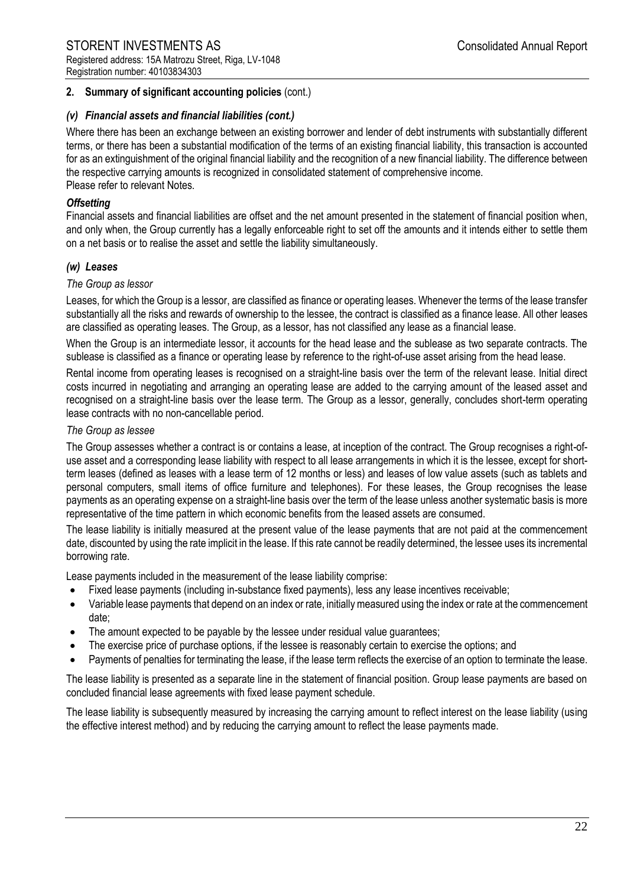## *(v) Financial assets and financial liabilities (cont.)*

Where there has been an exchange between an existing borrower and lender of debt instruments with substantially different terms, or there has been a substantial modification of the terms of an existing financial liability, this transaction is accounted for as an extinguishment of the original financial liability and the recognition of a new financial liability. The difference between the respective carrying amounts is recognized in consolidated statement of comprehensive income. Please refer to relevant Notes.

## *Offsetting*

Financial assets and financial liabilities are offset and the net amount presented in the statement of financial position when, and only when, the Group currently has a legally enforceable right to set off the amounts and it intends either to settle them on a net basis or to realise the asset and settle the liability simultaneously.

## *(w) Leases*

#### *The Group as lessor*

Leases, for which the Group is a lessor, are classified as finance or operating leases. Whenever the terms of the lease transfer substantially all the risks and rewards of ownership to the lessee, the contract is classified as a finance lease. All other leases are classified as operating leases. The Group, as a lessor, has not classified any lease as a financial lease.

When the Group is an intermediate lessor, it accounts for the head lease and the sublease as two separate contracts. The sublease is classified as a finance or operating lease by reference to the right-of-use asset arising from the head lease.

Rental income from operating leases is recognised on a straight-line basis over the term of the relevant lease. Initial direct costs incurred in negotiating and arranging an operating lease are added to the carrying amount of the leased asset and recognised on a straight-line basis over the lease term. The Group as a lessor, generally, concludes short-term operating lease contracts with no non-cancellable period.

## *The Group as lessee*

The Group assesses whether a contract is or contains a lease, at inception of the contract. The Group recognises a right-ofuse asset and a corresponding lease liability with respect to all lease arrangements in which it is the lessee, except for shortterm leases (defined as leases with a lease term of 12 months or less) and leases of low value assets (such as tablets and personal computers, small items of office furniture and telephones). For these leases, the Group recognises the lease payments as an operating expense on a straight-line basis over the term of the lease unless another systematic basis is more representative of the time pattern in which economic benefits from the leased assets are consumed.

The lease liability is initially measured at the present value of the lease payments that are not paid at the commencement date, discounted by using the rate implicit in the lease. If this rate cannot be readily determined, the lessee uses its incremental borrowing rate.

Lease payments included in the measurement of the lease liability comprise:

- Fixed lease payments (including in-substance fixed payments), less any lease incentives receivable;
- Variable lease payments that depend on an index or rate, initially measured using the index or rate at the commencement date;
- The amount expected to be payable by the lessee under residual value guarantees;
- The exercise price of purchase options, if the lessee is reasonably certain to exercise the options; and
- Payments of penalties for terminating the lease, if the lease term reflects the exercise of an option to terminate the lease.

The lease liability is presented as a separate line in the statement of financial position. Group lease payments are based on concluded financial lease agreements with fixed lease payment schedule.

The lease liability is subsequently measured by increasing the carrying amount to reflect interest on the lease liability (using the effective interest method) and by reducing the carrying amount to reflect the lease payments made.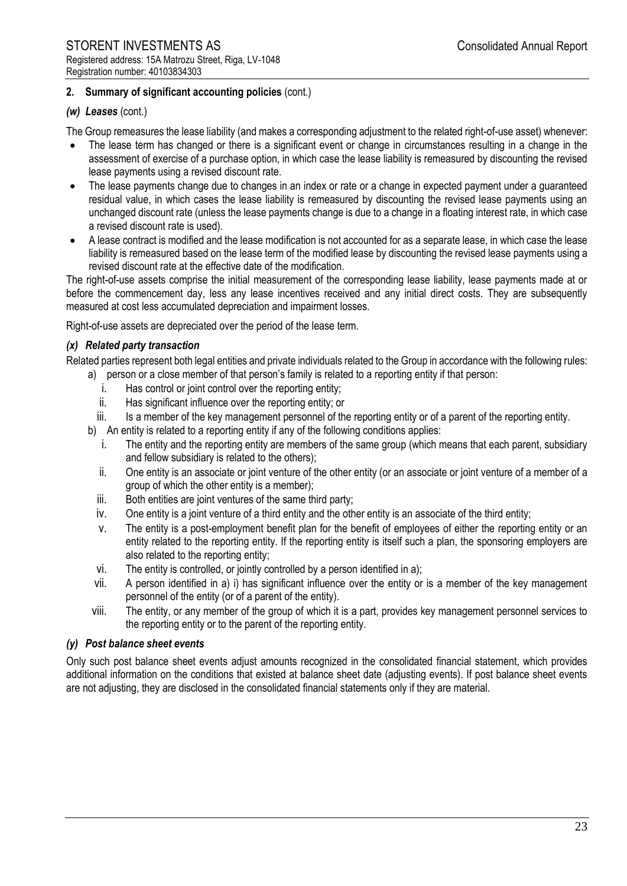#### *(w) Leases* (cont.)

The Group remeasures the lease liability (and makes a corresponding adjustment to the related right-of-use asset) whenever:

- The lease term has changed or there is a significant event or change in circumstances resulting in a change in the assessment of exercise of a purchase option, in which case the lease liability is remeasured by discounting the revised lease payments using a revised discount rate.
- The lease payments change due to changes in an index or rate or a change in expected payment under a guaranteed residual value, in which cases the lease liability is remeasured by discounting the revised lease payments using an unchanged discount rate (unless the lease payments change is due to a change in a floating interest rate, in which case a revised discount rate is used).
- A lease contract is modified and the lease modification is not accounted for as a separate lease, in which case the lease liability is remeasured based on the lease term of the modified lease by discounting the revised lease payments using a revised discount rate at the effective date of the modification.

The right-of-use assets comprise the initial measurement of the corresponding lease liability, lease payments made at or before the commencement day, less any lease incentives received and any initial direct costs. They are subsequently measured at cost less accumulated depreciation and impairment losses.

Right-of-use assets are depreciated over the period of the lease term.

#### *(x) Related party transaction*

Related parties represent both legal entities and private individuals related to the Group in accordance with the following rules:

a) person or a close member of that person's family is related to a reporting entity if that person:

- i. Has control or joint control over the reporting entity;
- ii. Has significant influence over the reporting entity; or
- iii. Is a member of the key management personnel of the reporting entity or of a parent of the reporting entity.
- b) An entity is related to a reporting entity if any of the following conditions applies:
	- i. The entity and the reporting entity are members of the same group (which means that each parent, subsidiary and fellow subsidiary is related to the others);
	- ii. One entity is an associate or joint venture of the other entity (or an associate or joint venture of a member of a group of which the other entity is a member);
	- iii. Both entities are joint ventures of the same third party;
	- iv. One entity is a joint venture of a third entity and the other entity is an associate of the third entity;
	- v. The entity is a post-employment benefit plan for the benefit of employees of either the reporting entity or an entity related to the reporting entity. If the reporting entity is itself such a plan, the sponsoring employers are also related to the reporting entity;
	- vi. The entity is controlled, or jointly controlled by a person identified in a);
- vii. A person identified in a) i) has significant influence over the entity or is a member of the key management personnel of the entity (or of a parent of the entity).
- viii. The entity, or any member of the group of which it is a part, provides key management personnel services to the reporting entity or to the parent of the reporting entity.

## *(y) Post balance sheet events*

Only such post balance sheet events adjust amounts recognized in the consolidated financial statement, which provides additional information on the conditions that existed at balance sheet date (adjusting events). If post balance sheet events are not adjusting, they are disclosed in the consolidated financial statements only if they are material.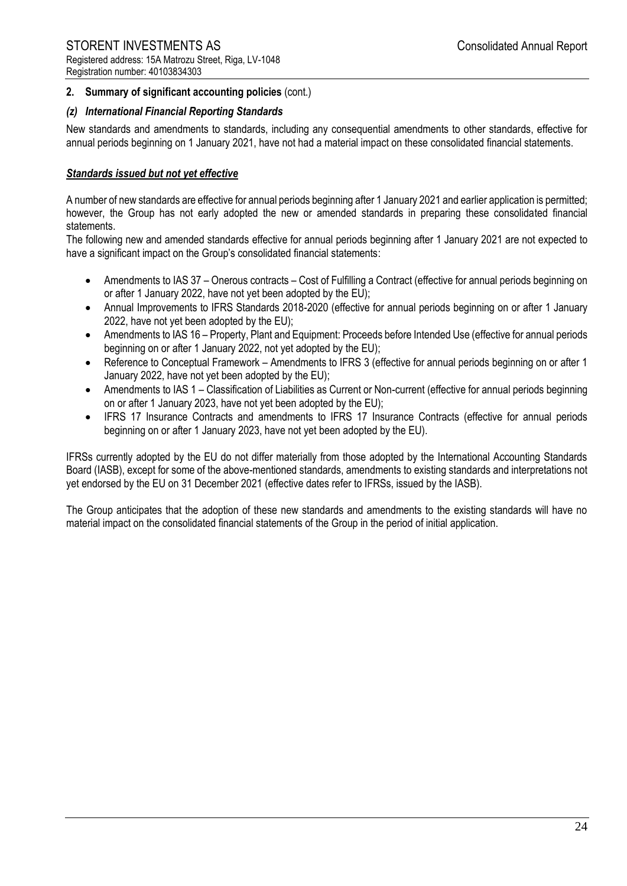## *(z) International Financial Reporting Standards*

New standards and amendments to standards, including any consequential amendments to other standards, effective for annual periods beginning on 1 January 2021, have not had a material impact on these consolidated financial statements.

## *Standards issued but not yet effective*

A number of new standards are effective for annual periods beginning after 1 January 2021 and earlier application is permitted; however, the Group has not early adopted the new or amended standards in preparing these consolidated financial statements.

The following new and amended standards effective for annual periods beginning after 1 January 2021 are not expected to have a significant impact on the Group's consolidated financial statements:

- Amendments to IAS 37 Onerous contracts Cost of Fulfilling a Contract (effective for annual periods beginning on or after 1 January 2022, have not yet been adopted by the EU);
- Annual Improvements to IFRS Standards 2018-2020 (effective for annual periods beginning on or after 1 January 2022, have not yet been adopted by the EU);
- Amendments to IAS 16 Property, Plant and Equipment: Proceeds before Intended Use (effective for annual periods beginning on or after 1 January 2022, not yet adopted by the EU);
- Reference to Conceptual Framework Amendments to IFRS 3 (effective for annual periods beginning on or after 1 January 2022, have not yet been adopted by the EU);
- Amendments to IAS 1 Classification of Liabilities as Current or Non-current (effective for annual periods beginning on or after 1 January 2023, have not yet been adopted by the EU);
- IFRS 17 Insurance Contracts and amendments to IFRS 17 Insurance Contracts (effective for annual periods beginning on or after 1 January 2023, have not yet been adopted by the EU).

IFRSs currently adopted by the EU do not differ materially from those adopted by the International Accounting Standards Board (IASB), except for some of the above-mentioned standards, amendments to existing standards and interpretations not yet endorsed by the EU on 31 December 2021 (effective dates refer to IFRSs, issued by the IASB).

The Group anticipates that the adoption of these new standards and amendments to the existing standards will have no material impact on the consolidated financial statements of the Group in the period of initial application.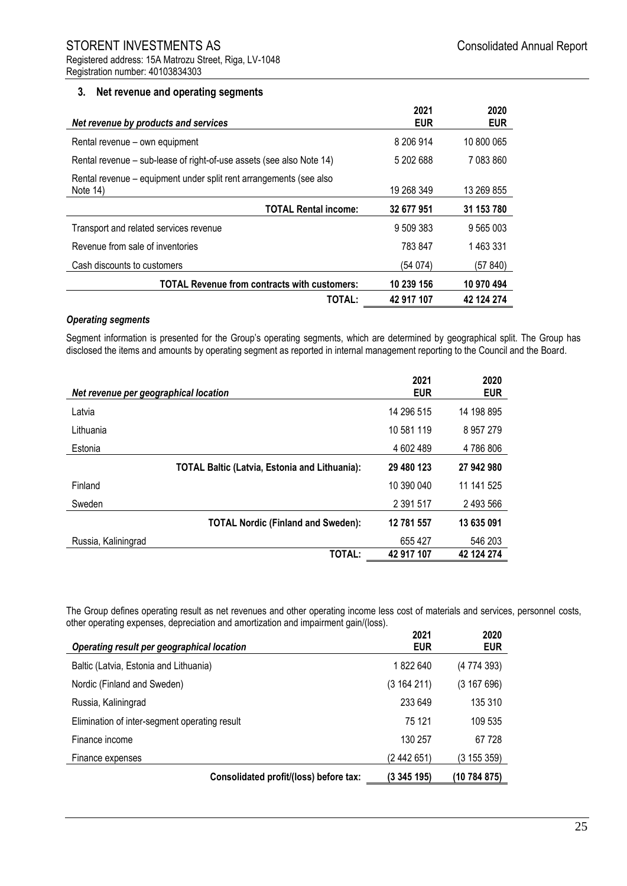Registration number: 40103834303

## **3. Net revenue and operating segments**

| Net revenue by products and services                                              | 2021<br><b>EUR</b> | 2020<br><b>EUR</b> |
|-----------------------------------------------------------------------------------|--------------------|--------------------|
| Rental revenue – own equipment                                                    | 8 206 914          | 10 800 065         |
| Rental revenue – sub-lease of right-of-use assets (see also Note 14)              | 5 202 688          | 7 083 860          |
| Rental revenue – equipment under split rent arrangements (see also<br>Note $14$ ) | 19 268 349         | 13 269 855         |
| <b>TOTAL Rental income:</b>                                                       | 32 677 951         | 31 153 780         |
| Transport and related services revenue                                            | 9 509 383          | 9 565 003          |
| Revenue from sale of inventories                                                  | 783 847            | 1463331            |
| Cash discounts to customers                                                       | (54 074)           | (57 840)           |
| <b>TOTAL Revenue from contracts with customers:</b>                               | 10 239 156         | 10 970 494         |
| <b>TOTAL:</b>                                                                     | 42 917 107         | 42 124 274         |

#### *Operating segments*

Segment information is presented for the Group's operating segments, which are determined by geographical split. The Group has disclosed the items and amounts by operating segment as reported in internal management reporting to the Council and the Board.

| Net revenue per geographical location                | 2021<br><b>EUR</b> | 2020<br><b>EUR</b> |
|------------------------------------------------------|--------------------|--------------------|
| Latvia                                               | 14 296 515         | 14 198 895         |
| Lithuania                                            | 10 581 119         | 8957279            |
| Estonia                                              | 4 602 489          | 4786806            |
| <b>TOTAL Baltic (Latvia, Estonia and Lithuania):</b> | 29 480 123         | 27 942 980         |
| Finland                                              | 10 390 040         | 11 141 525         |
| Sweden                                               | 2 391 517          | 2 493 566          |
| <b>TOTAL Nordic (Finland and Sweden):</b>            | 12 781 557         | 13 635 091         |
| Russia, Kaliningrad                                  | 655 427            | 546 203            |
| TOTAL:                                               | 42 917 107         | 42 124 274         |

The Group defines operating result as net revenues and other operating income less cost of materials and services, personnel costs, other operating expenses, depreciation and amortization and impairment gain/(loss).

| Operating result per geographical location    | 2021<br><b>EUR</b> | 2020<br><b>EUR</b> |
|-----------------------------------------------|--------------------|--------------------|
| Baltic (Latvia, Estonia and Lithuania)        | 1822640            | (4 774 393)        |
| Nordic (Finland and Sweden)                   | (3164211)          | (3167696)          |
| Russia, Kaliningrad                           | 233 649            | 135 310            |
| Elimination of inter-segment operating result | 75 121             | 109 535            |
| Finance income                                | 130 257            | 67728              |
| Finance expenses                              | (2 442 651)        | (3 155 359)        |
| Consolidated profit/(loss) before tax:        | (3 345 195)        | (10 784 875)       |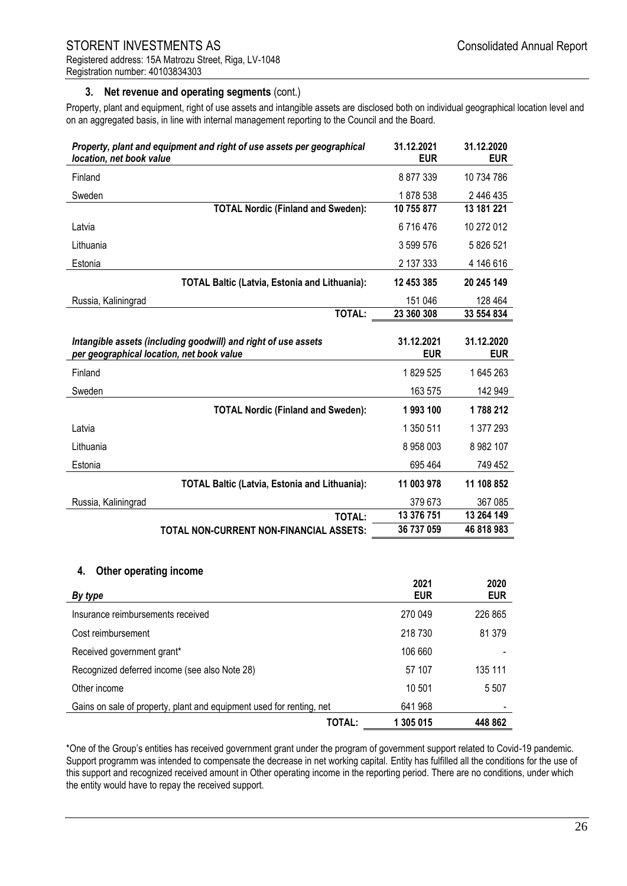## **3. Net revenue and operating segments** (cont.)

Property, plant and equipment, right of use assets and intangible assets are disclosed both on individual geographical location level and on an aggregated basis, in line with internal management reporting to the Council and the Board.

| Property, plant and equipment and right of use assets per geographical<br>location, net book value          | 31.12.2021<br><b>EUR</b> | 31.12.2020<br><b>EUR</b> |
|-------------------------------------------------------------------------------------------------------------|--------------------------|--------------------------|
| Finland                                                                                                     | 8877339                  | 10 734 786               |
| Sweden                                                                                                      | 1878 538                 | 2 446 435                |
| <b>TOTAL Nordic (Finland and Sweden):</b>                                                                   | 10 755 877               | 13 181 221               |
| Latvia                                                                                                      | 6716476                  | 10 272 012               |
| Lithuania                                                                                                   | 3 599 576                | 5 826 521                |
| Estonia                                                                                                     | 2 137 333                | 4 146 616                |
| <b>TOTAL Baltic (Latvia, Estonia and Lithuania):</b>                                                        | 12 453 385               | 20 245 149               |
| Russia, Kaliningrad                                                                                         | 151 046                  | 128 464                  |
| <b>TOTAL:</b>                                                                                               | 23 360 308               | 33 554 834               |
| Intangible assets (including goodwill) and right of use assets<br>per geographical location, net book value | 31.12.2021<br><b>EUR</b> | 31.12.2020<br><b>EUR</b> |
| Finland                                                                                                     | 1829 525                 | 1645263                  |
|                                                                                                             |                          |                          |
| Sweden                                                                                                      | 163 575                  | 142 949                  |
| <b>TOTAL Nordic (Finland and Sweden):</b>                                                                   | 1993100                  | 1788 212                 |
| Latvia                                                                                                      | 1 350 511                | 1 377 293                |
| Lithuania                                                                                                   | 8 958 003                | 8 982 107                |
| Estonia                                                                                                     | 695 464                  | 749 452                  |
| <b>TOTAL Baltic (Latvia, Estonia and Lithuania):</b>                                                        | 11 003 978               | 11 108 852               |
| Russia, Kaliningrad                                                                                         | 379 673                  | 367 085                  |
| <b>TOTAL:</b>                                                                                               | 13 376 751               | 13 264 149               |

#### **4. Other operating income**

| By type                                                              |                     | 2021<br>2020<br><b>EUR</b><br><b>EUR</b> |
|----------------------------------------------------------------------|---------------------|------------------------------------------|
| Insurance reimbursements received                                    | 270 049             | 226 865                                  |
| Cost reimbursement                                                   | 218 730             | 81 379                                   |
| Received government grant*                                           | 106 660             |                                          |
| Recognized deferred income (see also Note 28)                        |                     | 57 107<br>135 111                        |
| Other income                                                         |                     | 10 501<br>5 5 0 7                        |
| Gains on sale of property, plant and equipment used for renting, net | 641 968             |                                          |
|                                                                      | TOTAL:<br>1 305 015 | 448 862                                  |

\*One of the Group's entities has received government grant under the program of government support related to Covid-19 pandemic. Support programm was intended to compensate the decrease in net working capital. Entity has fulfilled all the conditions for the use of this support and recognized received amount in Other operating income in the reporting period. There are no conditions, under which the entity would have to repay the received support.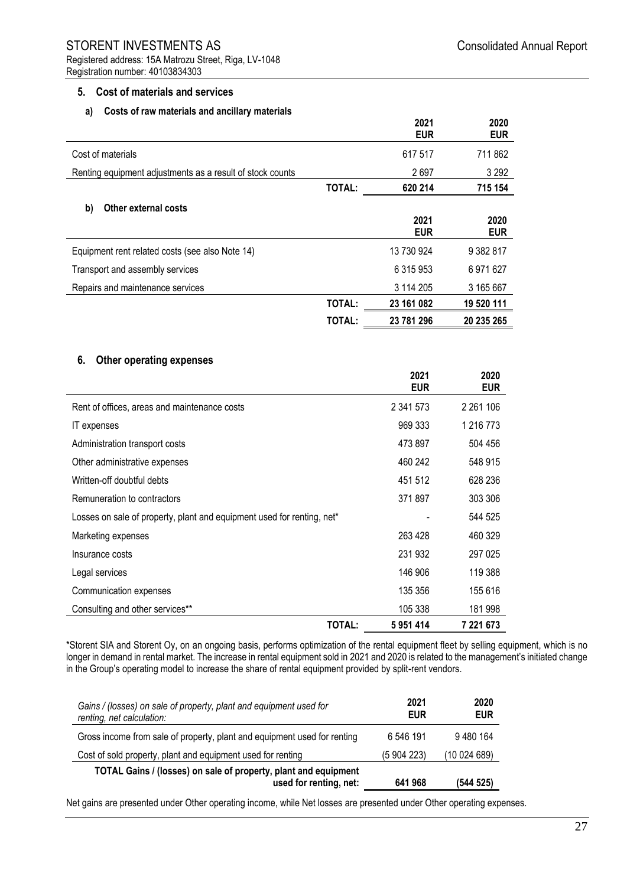## STORENT INVESTMENTS AS **STORENT** INVESTMENTS AS Registered address: 15A Matrozu Street, Riga, LV-1048

# Registration number: 40103834303

## **5. Cost of materials and services**

## **a) Costs of raw materials and ancillary materials**

|                                                           |               | 2021<br><b>EUR</b> | 2020<br><b>EUR</b> |
|-----------------------------------------------------------|---------------|--------------------|--------------------|
| Cost of materials                                         |               | 617 517            | 711 862            |
| Renting equipment adjustments as a result of stock counts |               | 2697               | 3 2 9 2            |
|                                                           | TOTAL:        | 620 214            | 715 154            |
| Other external costs<br>b)                                |               |                    |                    |
|                                                           |               | 2021<br><b>EUR</b> | 2020<br><b>EUR</b> |
| Equipment rent related costs (see also Note 14)           |               | 13 730 924         | 9 382 817          |
| Transport and assembly services                           |               | 6 315 953          | 6971627            |
| Repairs and maintenance services                          |               | 3 114 205          | 3 165 667          |
|                                                           | TOTAL:        | 23 161 082         | 19 520 111         |
|                                                           | <b>TOTAL:</b> | 23 781 296         | 20 235 265         |

## **6. Other operating expenses**

|                                                                        | 2021<br><b>EUR</b> | 2020<br><b>EUR</b> |
|------------------------------------------------------------------------|--------------------|--------------------|
| Rent of offices, areas and maintenance costs                           | 2 341 573          | 2 2 6 1 1 0 6      |
| <b>IT</b> expenses                                                     | 969 333            | 1 216 773          |
| Administration transport costs                                         | 473 897            | 504 456            |
| Other administrative expenses                                          | 460 242            | 548 915            |
| Written-off doubtful debts                                             | 451 512            | 628 236            |
| Remuneration to contractors                                            | 371897             | 303 306            |
| Losses on sale of property, plant and equipment used for renting, net* |                    | 544 525            |
| Marketing expenses                                                     | 263 428            | 460 329            |
| Insurance costs                                                        | 231 932            | 297 025            |
| Legal services                                                         | 146 906            | 119 388            |
| Communication expenses                                                 | 135 356            | 155 616            |
| Consulting and other services**                                        | 105 338            | 181 998            |
| <b>TOTAL:</b>                                                          | 5951414            | 7 221 673          |

\*Storent SIA and Storent Oy, on an ongoing basis, performs optimization of the rental equipment fleet by selling equipment, which is no longer in demand in rental market. The increase in rental equipment sold in 2021 and 2020 is related to the management's initiated change in the Group's operating model to increase the share of rental equipment provided by split-rent vendors.

| Gains / (losses) on sale of property, plant and equipment used for<br>renting, net calculation: | 2021<br><b>EUR</b> | 2020<br><b>EUR</b> |
|-------------------------------------------------------------------------------------------------|--------------------|--------------------|
| Gross income from sale of property, plant and equipment used for renting                        | 6 546 191          | 9480164            |
| Cost of sold property, plant and equipment used for renting                                     | (5 904 223)        | (10024689)         |
| TOTAL Gains / (losses) on sale of property, plant and equipment<br>used for renting, net:       | 641 968            | (544 525)          |

Net gains are presented under Other operating income, while Net losses are presented under Other operating expenses.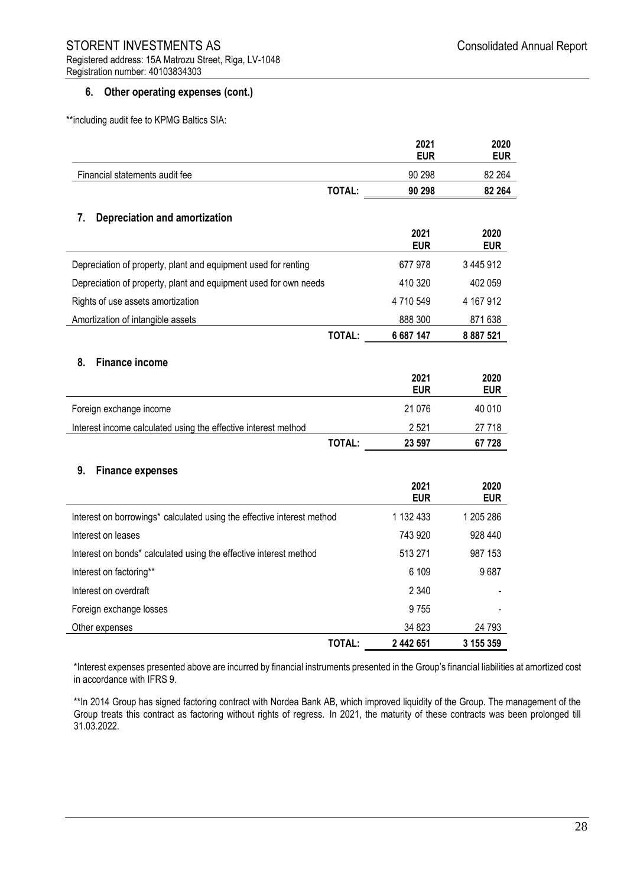## **6. Other operating expenses (cont.)**

\*\*including audit fee to KPMG Baltics SIA:

|                                                                        |               | 2021<br><b>EUR</b> | 2020<br><b>EUR</b> |
|------------------------------------------------------------------------|---------------|--------------------|--------------------|
| Financial statements audit fee                                         |               | 90 298             | 82 264             |
|                                                                        | <b>TOTAL:</b> | 90 298             | 82 264             |
| 7.<br><b>Depreciation and amortization</b>                             |               |                    |                    |
|                                                                        |               | 2021<br><b>EUR</b> | 2020<br><b>EUR</b> |
| Depreciation of property, plant and equipment used for renting         |               | 677978             | 3 445 912          |
| Depreciation of property, plant and equipment used for own needs       |               | 410 320            | 402 059            |
| Rights of use assets amortization                                      |               | 4710549            | 4 167 912          |
| Amortization of intangible assets                                      |               | 888 300            | 871 638            |
|                                                                        | TOTAL:        | 6 687 147          | 8 887 521          |
| <b>Finance income</b><br>8.                                            |               |                    |                    |
|                                                                        |               | 2021<br><b>EUR</b> | 2020<br><b>EUR</b> |
| Foreign exchange income                                                |               | 21 0 76            | 40 010             |
| Interest income calculated using the effective interest method         |               | 2521               | 27 718             |
|                                                                        | TOTAL:        | 23 597             | 67 728             |
| 9.<br><b>Finance expenses</b>                                          |               |                    |                    |
|                                                                        |               | 2021<br><b>EUR</b> | 2020<br><b>EUR</b> |
| Interest on borrowings* calculated using the effective interest method |               | 1 132 433          | 1 205 286          |
| Interest on leases                                                     |               | 743 920            | 928 440            |
| Interest on bonds* calculated using the effective interest method      |               | 513 271            | 987 153            |
| Interest on factoring**                                                |               | 6 109              | 9687               |
| Interest on overdraft                                                  |               | 2 3 4 0            |                    |
| Foreign exchange losses                                                |               | 9755               |                    |
| Other expenses                                                         |               | 34 823             | 24 793             |
|                                                                        | TOTAL:        | 2 442 651          | 3 155 359          |

\*Interest expenses presented above are incurred by financial instruments presented in the Group's financial liabilities at amortized cost in accordance with IFRS 9.

\*\*In 2014 Group has signed factoring contract with Nordea Bank AB, which improved liquidity of the Group. The management of the Group treats this contract as factoring without rights of regress. In 2021, the maturity of these contracts was been prolonged till 31.03.2022.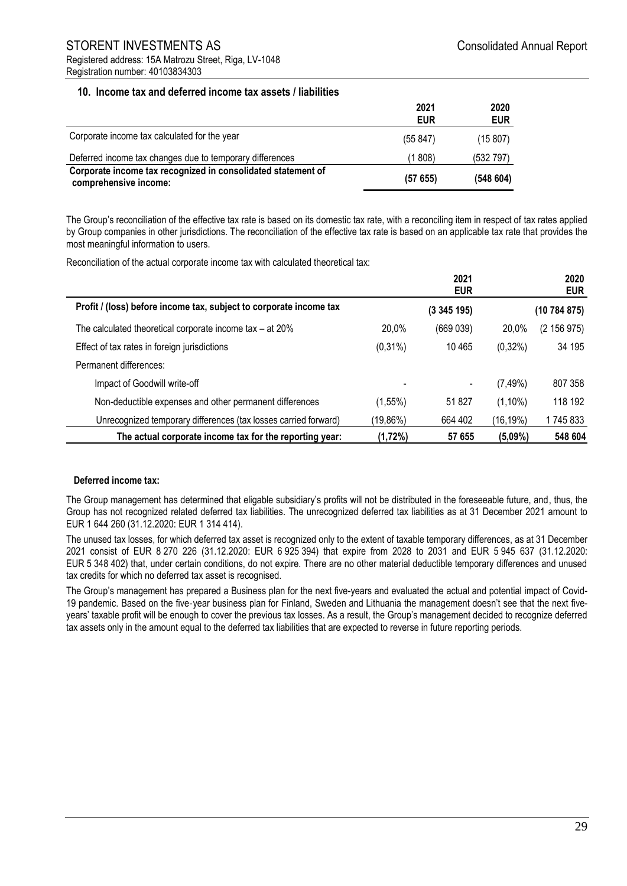## STORENT INVESTMENTS AS **STORENT** INVESTMENTS AS Registered address: 15A Matrozu Street, Riga, LV-1048 Registration number: 40103834303

## **10. Income tax and deferred income tax assets / liabilities**

|                                                                                       | 2021<br><b>EUR</b> | 2020<br><b>EUR</b> |
|---------------------------------------------------------------------------------------|--------------------|--------------------|
| Corporate income tax calculated for the year                                          | (55847)            | (15 807)           |
| Deferred income tax changes due to temporary differences                              | (1 808)            | (532 797)          |
| Corporate income tax recognized in consolidated statement of<br>comprehensive income: | (57655)            | (548604)           |

The Group's reconciliation of the effective tax rate is based on its domestic tax rate, with a reconciling item in respect of tax rates applied by Group companies in other jurisdictions. The reconciliation of the effective tax rate is based on an applicable tax rate that provides the most meaningful information to users.

Reconciliation of the actual corporate income tax with calculated theoretical tax:

|                                                                    |            | 2021<br><b>EUR</b> |              | 2020<br><b>EUR</b> |
|--------------------------------------------------------------------|------------|--------------------|--------------|--------------------|
| Profit / (loss) before income tax, subject to corporate income tax |            | (3345195)          |              | (10 784 875)       |
| The calculated theoretical corporate income tax $-$ at 20%         | 20.0%      | (669039)           | 20,0%        | (2 156 975)        |
| Effect of tax rates in foreign jurisdictions                       | $(0,31\%)$ | 10465              | $(0,32\%)$   | 34 195             |
| Permanent differences:                                             |            |                    |              |                    |
| Impact of Goodwill write-off                                       |            |                    | (7,49%)      | 807 358            |
| Non-deductible expenses and other permanent differences            | $(1,55\%)$ | 51 827             | $(1,10\%)$   | 118 192            |
| Unrecognized temporary differences (tax losses carried forward)    | (19,86%)   | 664 402            | $(16, 19\%)$ | 1 745 833          |
| The actual corporate income tax for the reporting year:            | (1,72%)    | 57 655             | $(5,09\%)$   | 548 604            |

## **Deferred income tax:**

The Group management has determined that eligable subsidiary's profits will not be distributed in the foreseeable future, and, thus, the Group has not recognized related deferred tax liabilities. The unrecognized deferred tax liabilities as at 31 December 2021 amount to EUR 1 644 260 (31.12.2020: EUR 1 314 414).

The unused tax losses, for which deferred tax asset is recognized only to the extent of taxable temporary differences, as at 31 December 2021 consist of EUR 8 270 226 (31.12.2020: EUR 6 925 394) that expire from 2028 to 2031 and EUR 5 945 637 (31.12.2020: EUR 5 348 402) that, under certain conditions, do not expire. There are no other material deductible temporary differences and unused tax credits for which no deferred tax asset is recognised.

The Group's management has prepared a Business plan for the next five-years and evaluated the actual and potential impact of Covid-19 pandemic. Based on the five‑year business plan for Finland, Sweden and Lithuania the management doesn't see that the next fiveyears' taxable profit will be enough to cover the previous tax losses. As a result, the Group's management decided to recognize deferred tax assets only in the amount equal to the deferred tax liabilities that are expected to reverse in future reporting periods.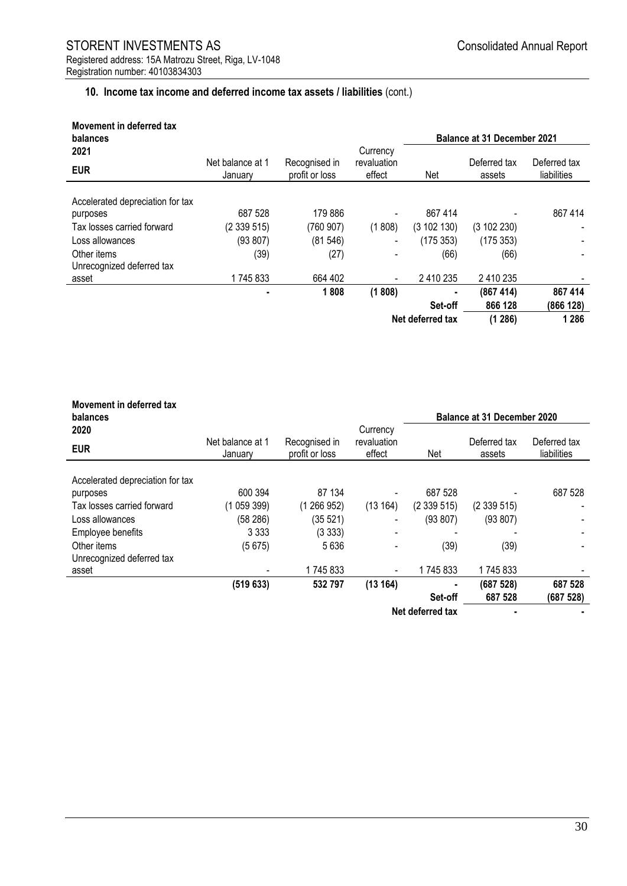## **10. Income tax income and deferred income tax assets / liabilities** (cont.)

| Movement in deferred tax<br>balances |                             |                                 |                       |                  |                        | <b>Balance at 31 December 2021</b> |  |
|--------------------------------------|-----------------------------|---------------------------------|-----------------------|------------------|------------------------|------------------------------------|--|
| 2021                                 |                             |                                 | Currency              |                  |                        |                                    |  |
| <b>EUR</b>                           | Net balance at 1<br>January | Recognised in<br>profit or loss | revaluation<br>effect | Net              | Deferred tax<br>assets | Deferred tax<br>liabilities        |  |
| Accelerated depreciation for tax     |                             |                                 |                       |                  |                        |                                    |  |
| purposes                             | 687 528                     | 179 886                         |                       | 867 414          |                        | 867 414                            |  |
| Tax losses carried forward           | (2339515)                   | (760907)                        | (1808)                | (3102130)        | (3 102 230)            |                                    |  |
| Loss allowances                      | (93 807)                    | (81546)                         |                       | (175353)         | (175353)               |                                    |  |
| Other items                          | (39)                        | (27)                            |                       | (66)             | (66)                   |                                    |  |
| Unrecognized deferred tax            |                             |                                 |                       |                  |                        |                                    |  |
| asset                                | 1745833                     | 664 402                         |                       | 2 410 235        | 2 410 235              |                                    |  |
|                                      |                             | 1808                            | (1808)                | ٠                | (867 414)              | 867 414                            |  |
|                                      |                             |                                 |                       | Set-off          | 866 128                | (866 128)                          |  |
|                                      |                             |                                 |                       | Net deferred tax | (1286)                 | 1 2 8 6                            |  |

| Movement in deferred tax<br>balances     |                             |                                 |                                   |                  | <b>Balance at 31 December 2020</b> |                             |
|------------------------------------------|-----------------------------|---------------------------------|-----------------------------------|------------------|------------------------------------|-----------------------------|
| 2020<br><b>EUR</b>                       | Net balance at 1<br>Januarv | Recognised in<br>profit or loss | Currency<br>revaluation<br>effect | Net              | Deferred tax<br>assets             | Deferred tax<br>liabilities |
| Accelerated depreciation for tax         |                             |                                 |                                   |                  |                                    |                             |
| purposes                                 | 600 394                     | 87 134                          |                                   | 687 528          |                                    | 687 528                     |
| Tax losses carried forward               | (105939)                    | (1266952)                       | (13164)                           | (2339515)        | (2339515)                          | $\overline{\phantom{0}}$    |
| Loss allowances                          | (58 286)                    | (35 521)                        |                                   | (93 807)         | (93 807)                           |                             |
| Employee benefits                        | 3 3 3 3                     | (3333)                          |                                   |                  |                                    |                             |
| Other items<br>Unrecognized deferred tax | (5675)                      | 5636                            |                                   | (39)             | (39)                               |                             |
| asset                                    |                             | 1745833                         |                                   | 1745833          | 1745833                            |                             |
|                                          | (519633)                    | 532797                          | (13164)                           | ٠                | (687 528)                          | 687 528                     |
|                                          |                             |                                 |                                   | Set-off          | 687 528                            | (687 528)                   |
|                                          |                             |                                 |                                   | Net deferred tax |                                    |                             |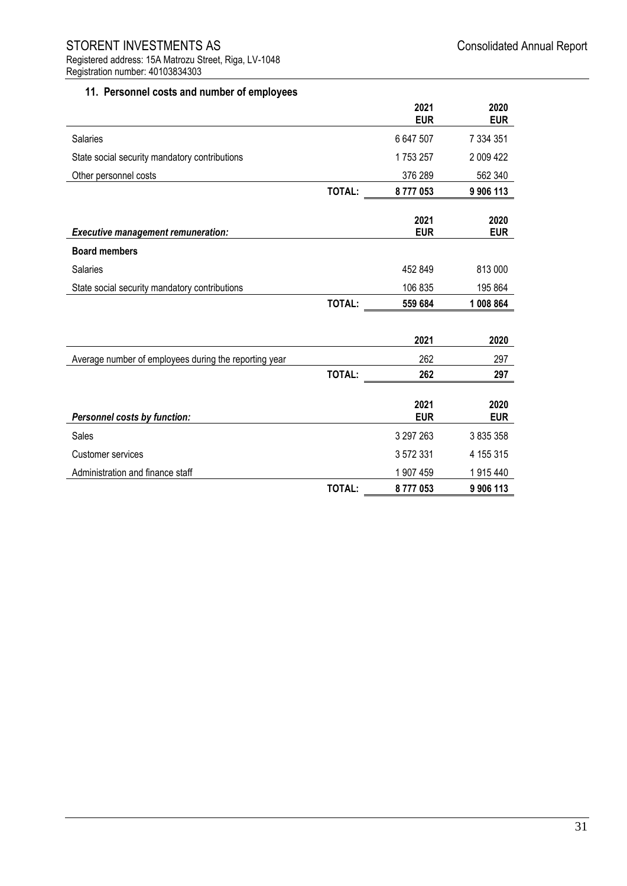## **11. Personnel costs and number of employees**

|                                                       |               | 2021<br><b>EUR</b> | 2020<br><b>EUR</b> |
|-------------------------------------------------------|---------------|--------------------|--------------------|
| Salaries                                              |               | 6 647 507          | 7 334 351          |
| State social security mandatory contributions         |               | 1753257            | 2 009 422          |
| Other personnel costs                                 |               | 376 289            | 562 340            |
|                                                       | <b>TOTAL:</b> | 8777053            | 9 906 113          |
| <b>Executive management remuneration:</b>             |               | 2021<br><b>EUR</b> | 2020<br><b>EUR</b> |
| <b>Board members</b>                                  |               |                    |                    |
| Salaries                                              |               | 452 849            | 813 000            |
| State social security mandatory contributions         |               | 106 835            | 195 864            |
|                                                       | <b>TOTAL:</b> | 559 684            | 1 008 864          |
|                                                       |               | 2021               | 2020               |
| Average number of employees during the reporting year |               | 262                | 297                |
|                                                       | <b>TOTAL:</b> | 262                | 297                |
| Personnel costs by function:                          |               | 2021<br><b>EUR</b> | 2020<br><b>EUR</b> |
| Sales                                                 |               | 3 297 263          | 3 835 358          |
| Customer services                                     |               | 3 572 331          | 4 155 315          |
| Administration and finance staff                      |               | 1 907 459          | 1915440            |
|                                                       | <b>TOTAL:</b> | 8777053            | 9 906 113          |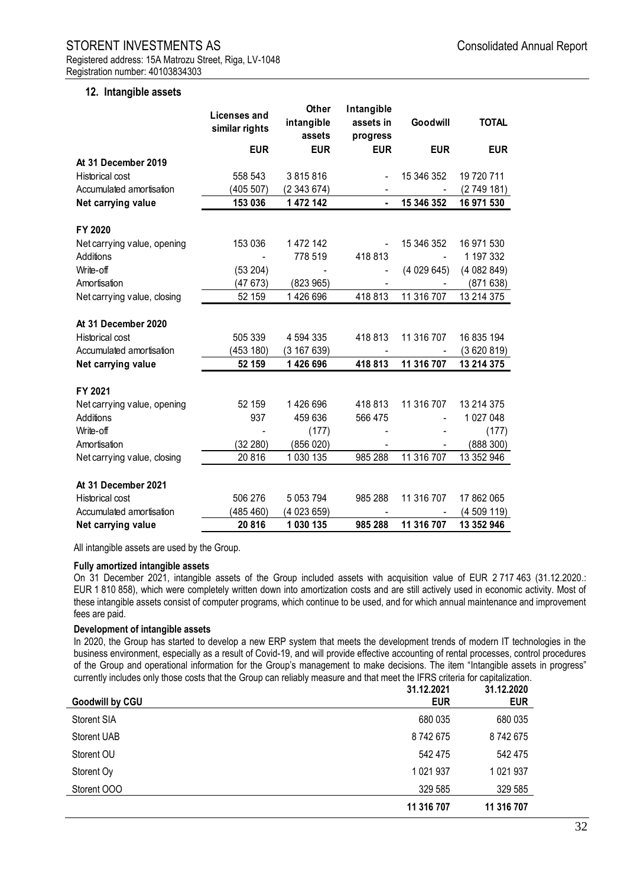#### **12. Intangible assets**

| <b>Consolidated Annual Rep</b> |  |
|--------------------------------|--|
|                                |  |

|                             | Licenses and<br>similar rights | <b>Other</b><br>intangible<br>assets | Intangible<br>assets in<br>progress | Goodwill   | <b>TOTAL</b> |
|-----------------------------|--------------------------------|--------------------------------------|-------------------------------------|------------|--------------|
|                             | <b>EUR</b>                     | <b>EUR</b>                           | <b>EUR</b>                          | <b>EUR</b> | <b>EUR</b>   |
| At 31 December 2019         |                                |                                      |                                     |            |              |
| <b>Historical cost</b>      | 558 543                        | 3815816                              | $\blacksquare$                      | 15 346 352 | 19 720 711   |
| Accumulated amortisation    | (405 507)                      | (2343674)                            |                                     |            | (2749181)    |
| Net carrying value          | 153 036                        | 1 472 142                            |                                     | 15 346 352 | 16 971 530   |
| FY 2020                     |                                |                                      |                                     |            |              |
| Net carrying value, opening | 153 036                        | 1 472 142                            |                                     | 15 346 352 | 16 971 530   |
| <b>Additions</b>            |                                | 778 519                              | 418 813                             |            | 1 197 332    |
| Write-off                   | (53 204)                       |                                      |                                     | (4029645)  | (4082849)    |
| Amortisation                | (47 673)                       | (823965)                             |                                     |            | (871 638)    |
| Net carrying value, closing | 52 159                         | 1 426 696                            | 418813                              | 11 316 707 | 13 214 375   |
| At 31 December 2020         |                                |                                      |                                     |            |              |
| Historical cost             | 505 339                        | 4 594 335                            | 418 813                             | 11 316 707 | 16 835 194   |
| Accumulated amortisation    | (453 180)                      | (3 167 639)                          |                                     |            | (3620819)    |
| Net carrying value          | 52 159                         | 1 426 696                            | 418 813                             | 11 316 707 | 13 214 375   |
| FY 2021                     |                                |                                      |                                     |            |              |
| Net carrying value, opening | 52 159                         | 1426696                              | 418813                              | 11 316 707 | 13 214 375   |
| Additions                   | 937                            | 459 636                              | 566 475                             |            | 1 027 048    |
| Write-off                   |                                | (177)                                |                                     |            | (177)        |
| Amortisation                | (32 280)                       | (856020)                             |                                     |            | (888 300)    |
| Net carrying value, closing | 20816                          | 1 030 135                            | 985 288                             | 11 316 707 | 13 352 946   |
| At 31 December 2021         |                                |                                      |                                     |            |              |
| Historical cost             | 506 276                        | 5 0 5 3 7 9 4                        | 985 288                             | 11 316 707 | 17 862 065   |
| Accumulated amortisation    | (485 460)                      | (4 023 659)                          |                                     |            | (4509119)    |
| Net carrying value          | 20816                          | 1 030 135                            | 985 288                             | 11 316 707 | 13 352 946   |

All intangible assets are used by the Group.

#### **Fully amortized intangible assets**

On 31 December 2021, intangible assets of the Group included assets with acquisition value of EUR 2 717 463 (31.12.2020.: EUR 1 810 858), which were completely written down into amortization costs and are still actively used in economic activity. Most of these intangible assets consist of computer programs, which continue to be used, and for which annual maintenance and improvement fees are paid.

#### **Development of intangible assets**

In 2020, the Group has started to develop a new ERP system that meets the development trends of modern IT technologies in the business environment, especially as a result of Covid-19, and will provide effective accounting of rental processes, control procedures of the Group and operational information for the Group's management to make decisions. The item "Intangible assets in progress" currently includes only those costs that the Group can reliably measure and that meet the IFRS criteria for capitalization.

| <b>Goodwill by CGU</b> | 31.12.2021<br><b>EUR</b> | 31.12.2020<br><b>EUR</b> |
|------------------------|--------------------------|--------------------------|
| <b>Storent SIA</b>     | 680 035                  | 680 035                  |
| <b>Storent UAB</b>     | 8742675                  | 8742675                  |
| Storent OU             | 542 475                  | 542 475                  |
| Storent Oy             | 1 0 2 1 9 3 7            | 1 0 2 1 9 3 7            |
| Storent OOO            | 329 585                  | 329 585                  |
|                        | 11 316 707               | 11 316 707               |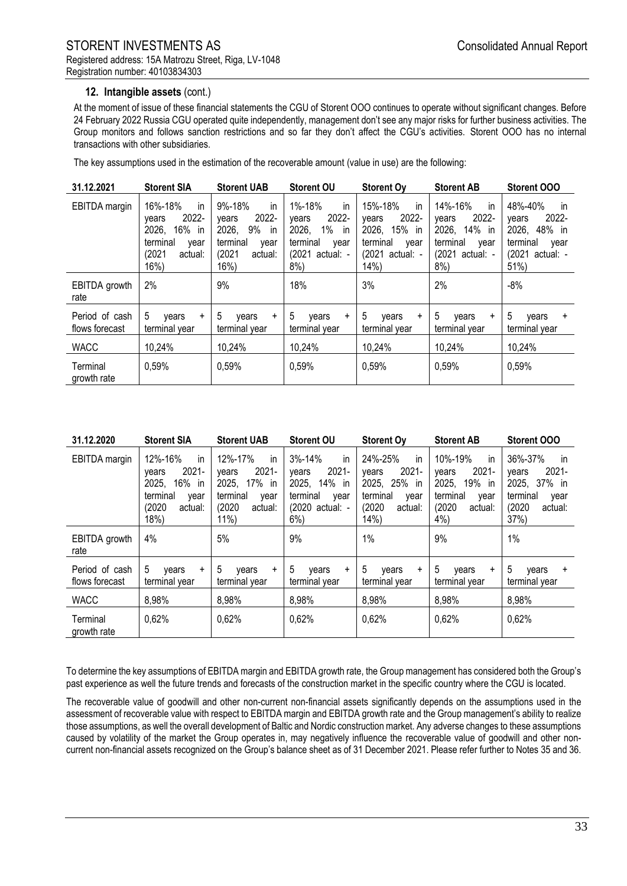## **12. Intangible assets** (cont.)

At the moment of issue of these financial statements the CGU of Storent OOO continues to operate without significant changes. Before 24 February 2022 Russia CGU operated quite independently, management don't see any major risks for further business activities. The Group monitors and follows sanction restrictions and so far they don't affect the CGU's activities. Storent OOO has no internal transactions with other subsidiaries.

The key assumptions used in the estimation of the recoverable amount (value in use) are the following:

| 31.12.2021                       | <b>Storent SIA</b>                                                                                    | <b>Storent UAB</b>                                                                                       | <b>Storent OU</b>                                                                                       | <b>Storent Oy</b>                                                                                 | <b>Storent AB</b>                                                                                   | Storent OOO                                                                                       |
|----------------------------------|-------------------------------------------------------------------------------------------------------|----------------------------------------------------------------------------------------------------------|---------------------------------------------------------------------------------------------------------|---------------------------------------------------------------------------------------------------|-----------------------------------------------------------------------------------------------------|---------------------------------------------------------------------------------------------------|
| EBITDA margin                    | 16%-18%<br>in<br>2022-<br>vears<br>16% in<br>2026,<br>terminal<br>vear<br>(2021<br>actual:<br>$16\%)$ | 9%-18%<br>in<br>2022-<br>vears<br>2026,<br>9%<br>- in<br>terminal<br>vear<br>(2021<br>actual:<br>$16\%)$ | 1%-18%<br>in<br>2022-<br>vears<br>2026,<br>$1\%$ in<br>terminal<br>vear<br>(2021)<br>actual: -<br>$8\%$ | 15%-18%<br>in<br>2022-<br>vears<br>15% in<br>2026,<br>terminal<br>vear<br>(2021 actual: -<br>14%) | 14%-16%<br>in<br>2022-<br>vears<br>2026,<br>14% in<br>terminal<br>vear<br>(2021 actual: -<br>$8%$ ) | 48%-40%<br>in<br>2022-<br>vears<br>2026,<br>48% in<br>terminal<br>year<br>(2021 actual: -<br>51%) |
| EBITDA growth<br>rate            | 2%                                                                                                    | 9%                                                                                                       | 18%                                                                                                     | 3%                                                                                                | 2%                                                                                                  | $-8%$                                                                                             |
| Period of cash<br>flows forecast | 5<br>vears<br>$+$<br>terminal year                                                                    | 5<br>vears<br>$\ddot{}$<br>terminal year                                                                 | 5<br>years<br>$+$<br>terminal year                                                                      | 5<br>vears<br>$+$<br>terminal year                                                                | 5<br>vears<br>$+$<br>terminal year                                                                  | 5<br>vears<br>$\ddot{}$<br>terminal year                                                          |
| <b>WACC</b>                      | 10,24%                                                                                                | 10,24%                                                                                                   | 10,24%                                                                                                  | 10,24%                                                                                            | 10,24%                                                                                              | 10,24%                                                                                            |
| Terminal<br>growth rate          | 0,59%                                                                                                 | 0,59%                                                                                                    | 0.59%                                                                                                   | 0,59%                                                                                             | 0,59%                                                                                               | 0,59%                                                                                             |

| 31.12.2020                       | <b>Storent SIA</b>                                                                                           | <b>Storent UAB</b>                                                                                          | <b>Storent OU</b>                                                                                          | <b>Storent Oy</b>                                                                                      | <b>Storent AB</b>                                                                                              | <b>Storent OOO</b>                                                                                    |
|----------------------------------|--------------------------------------------------------------------------------------------------------------|-------------------------------------------------------------------------------------------------------------|------------------------------------------------------------------------------------------------------------|--------------------------------------------------------------------------------------------------------|----------------------------------------------------------------------------------------------------------------|-------------------------------------------------------------------------------------------------------|
| <b>EBITDA</b> margin             | 12%-16%<br><i>in</i><br>$2021 -$<br>vears<br>2025,<br>16% in<br>terminal<br>vear<br>(2020<br>actual:<br>18%) | in<br>12%-17%<br>$2021 -$<br>vears<br>2025,<br>17%<br>in<br>terminal<br>vear<br>(2020)<br>actual:<br>$11\%$ | $3% - 14%$<br>in<br>$2021 -$<br>vears<br>2025,<br>14% in<br>terminal<br>vear<br>(2020 actual: -<br>$6\%$ ) | 24%-25%<br>in<br>$2021 -$<br>vears<br>2025,<br>25% in<br>terminal<br>vear<br>(2020)<br>actual:<br>14%) | in<br>10%-19%<br>$2021 -$<br>vears<br>2025,<br>19%<br>- in<br>terminal<br>vear<br>(2020)<br>actual:<br>$4\%$ ) | 36%-37%<br>in<br>$2021 -$<br>vears<br>2025,<br>37% in<br>terminal<br>year<br>(2020)<br>actual:<br>37% |
| EBITDA growth<br>rate            | 4%                                                                                                           | 5%                                                                                                          | 9%                                                                                                         | 1%                                                                                                     | 9%                                                                                                             | 1%                                                                                                    |
| Period of cash<br>flows forecast | 5<br>vears<br>$+$<br>terminal year                                                                           | 5<br>years<br>$+$<br>terminal year                                                                          | 5<br>vears<br>$+$<br>terminal year                                                                         | 5<br>vears<br>$+$<br>terminal year                                                                     | 5<br>vears<br>$\ddot{}$<br>terminal year                                                                       | 5<br>vears<br>$\ddot{}$<br>terminal year                                                              |
| <b>WACC</b>                      | 8,98%                                                                                                        | 8,98%                                                                                                       | 8,98%                                                                                                      | 8,98%                                                                                                  | 8,98%                                                                                                          | 8,98%                                                                                                 |
| Terminal<br>growth rate          | 0,62%                                                                                                        | 0.62%                                                                                                       | 0.62%                                                                                                      | 0,62%                                                                                                  | 0,62%                                                                                                          | 0,62%                                                                                                 |

To determine the key assumptions of EBITDA margin and EBITDA growth rate, the Group management has considered both the Group's past experience as well the future trends and forecasts of the construction market in the specific country where the CGU is located.

The recoverable value of goodwill and other non-current non-financial assets significantly depends on the assumptions used in the assessment of recoverable value with respect to EBITDA margin and EBITDA growth rate and the Group management's ability to realize those assumptions, as well the overall development of Baltic and Nordic construction market. Any adverse changes to these assumptions caused by volatility of the market the Group operates in, may negatively influence the recoverable value of goodwill and other noncurrent non-financial assets recognized on the Group's balance sheet as of 31 December 2021. Please refer further to Notes 35 and 36.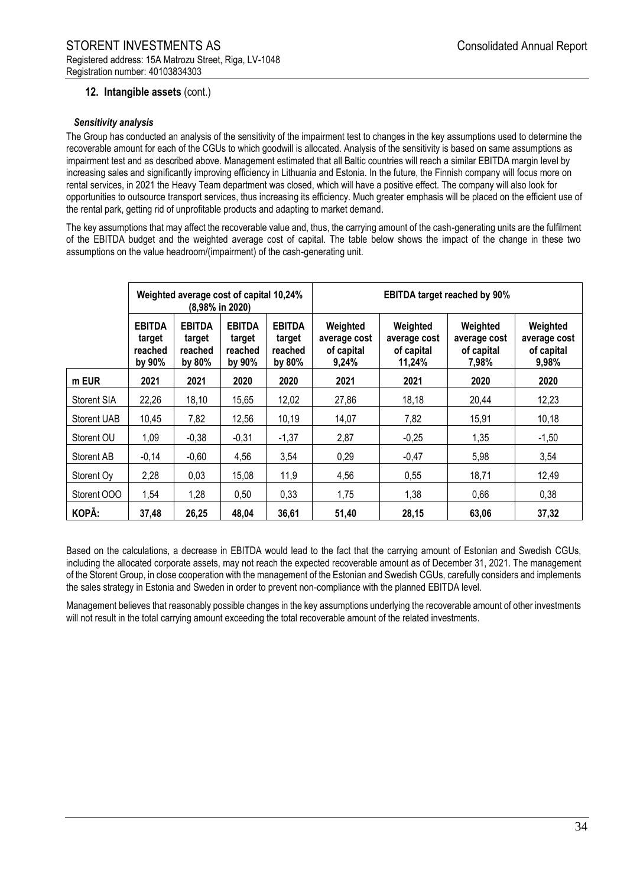## **12. Intangible assets** (cont.)

#### *Sensitivity analysis*

The Group has conducted an analysis of the sensitivity of the impairment test to changes in the key assumptions used to determine the recoverable amount for each of the CGUs to which goodwill is allocated. Analysis of the sensitivity is based on same assumptions as impairment test and as described above. Management estimated that all Baltic countries will reach a similar EBITDA margin level by increasing sales and significantly improving efficiency in Lithuania and Estonia. In the future, the Finnish company will focus more on rental services, in 2021 the Heavy Team department was closed, which will have a positive effect. The company will also look for opportunities to outsource transport services, thus increasing its efficiency. Much greater emphasis will be placed on the efficient use of the rental park, getting rid of unprofitable products and adapting to market demand.

The key assumptions that may affect the recoverable value and, thus, the carrying amount of the cash-generating units are the fulfilment of the EBITDA budget and the weighted average cost of capital. The table below shows the impact of the change in these two assumptions on the value headroom/(impairment) of the cash-generating unit.

|                    | Weighted average cost of capital 10,24%<br>$(8,98\%$ in 2020) |                                              |                                              | <b>EBITDA target reached by 90%</b>          |                                                 |                                                  |                                                 |                                                 |
|--------------------|---------------------------------------------------------------|----------------------------------------------|----------------------------------------------|----------------------------------------------|-------------------------------------------------|--------------------------------------------------|-------------------------------------------------|-------------------------------------------------|
|                    | <b>EBITDA</b><br>target<br>reached<br>by 90%                  | <b>EBITDA</b><br>target<br>reached<br>by 80% | <b>EBITDA</b><br>target<br>reached<br>by 90% | <b>EBITDA</b><br>target<br>reached<br>by 80% | Weighted<br>average cost<br>of capital<br>9,24% | Weighted<br>average cost<br>of capital<br>11,24% | Weighted<br>average cost<br>of capital<br>7,98% | Weighted<br>average cost<br>of capital<br>9,98% |
| m EUR              | 2021                                                          | 2021                                         | 2020                                         | 2020                                         | 2021                                            | 2021                                             | 2020                                            | 2020                                            |
| Storent SIA        | 22,26                                                         | 18,10                                        | 15,65                                        | 12,02                                        | 27,86                                           | 18,18                                            | 20,44                                           | 12,23                                           |
| <b>Storent UAB</b> | 10,45                                                         | 7,82                                         | 12,56                                        | 10,19                                        | 14,07                                           | 7,82                                             | 15,91                                           | 10,18                                           |
| Storent OU         | 1,09                                                          | $-0,38$                                      | $-0,31$                                      | $-1,37$                                      | 2,87                                            | $-0,25$                                          | 1,35                                            | $-1,50$                                         |
| Storent AB         | $-0,14$                                                       | $-0,60$                                      | 4,56                                         | 3,54                                         | 0,29                                            | $-0,47$                                          | 5,98                                            | 3,54                                            |
| Storent Oy         | 2,28                                                          | 0,03                                         | 15,08                                        | 11,9                                         | 4,56                                            | 0,55                                             | 18,71                                           | 12,49                                           |
| Storent OOO        | 1,54                                                          | 1,28                                         | 0,50                                         | 0,33                                         | 1,75                                            | 1,38                                             | 0,66                                            | 0,38                                            |
| KOPĀ:              | 37,48                                                         | 26,25                                        | 48,04                                        | 36,61                                        | 51,40                                           | 28,15                                            | 63,06                                           | 37,32                                           |

Based on the calculations, a decrease in EBITDA would lead to the fact that the carrying amount of Estonian and Swedish CGUs, including the allocated corporate assets, may not reach the expected recoverable amount as of December 31, 2021. The management of the Storent Group, in close cooperation with the management of the Estonian and Swedish CGUs, carefully considers and implements the sales strategy in Estonia and Sweden in order to prevent non-compliance with the planned EBITDA level.

Management believes that reasonably possible changes in the key assumptions underlying the recoverable amount of other investments will not result in the total carrying amount exceeding the total recoverable amount of the related investments.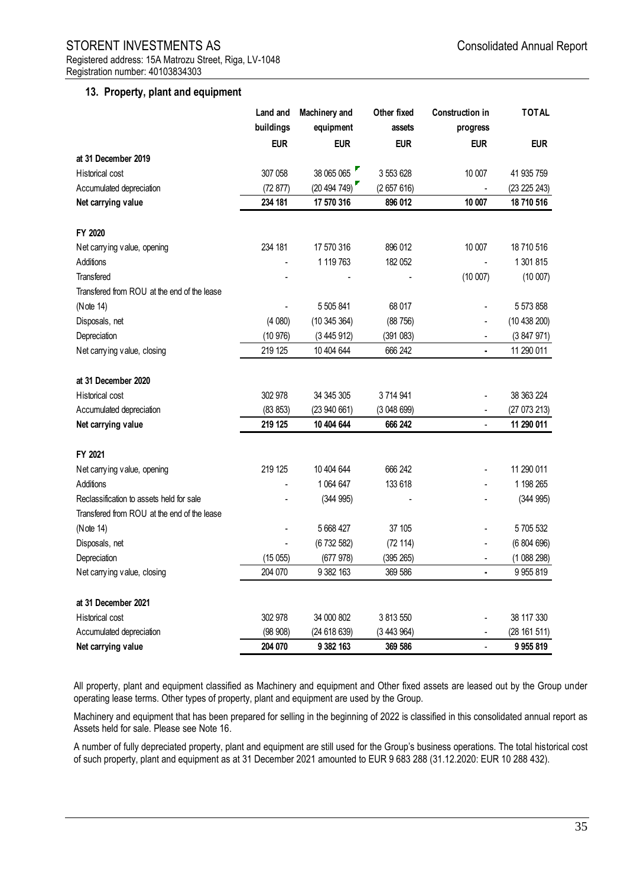#### **13. Property, plant and equipment**

|                                             | Land and   | Machinery and | Other fixed | <b>Construction in</b> | <b>TOTAL</b> |
|---------------------------------------------|------------|---------------|-------------|------------------------|--------------|
|                                             | buildings  | equipment     | assets      | progress               |              |
|                                             | <b>EUR</b> | <b>EUR</b>    | <b>EUR</b>  | <b>EUR</b>             | <b>EUR</b>   |
| at 31 December 2019                         |            |               |             |                        |              |
| Historical cost                             | 307 058    | 38 065 065    | 3 553 628   | 10 007                 | 41 935 759   |
| Accumulated depreciation                    | (72877)    | (20494749)    | (2657616)   |                        | (23 225 243) |
| Net carrying value                          | 234 181    | 17 570 316    | 896 012     | 10 007                 | 18 710 516   |
| FY 2020                                     |            |               |             |                        |              |
| Net carrying value, opening                 | 234 181    | 17 570 316    | 896 012     | 10 007                 | 18 710 516   |
| Additions                                   |            | 1 119 763     | 182 052     |                        | 1 301 815    |
| Transfered                                  |            |               |             | (10007)                | (10007)      |
| Transfered from ROU at the end of the lease |            |               |             |                        |              |
| (Note 14)                                   |            | 5 505 841     | 68 017      |                        | 5 573 858    |
| Disposals, net                              | (4080)     | (10345364)    | (88756)     |                        | (10438200)   |
| Depreciation                                | (10976)    | (3445912)     | (391083)    |                        | (3847971)    |
| Net carrying value, closing                 | 219 125    | 10 404 644    | 666 242     |                        | 11 290 011   |
| at 31 December 2020                         |            |               |             |                        |              |
| <b>Historical cost</b>                      | 302 978    | 34 345 305    | 3714941     |                        | 38 363 224   |
| Accumulated depreciation                    | (83 853)   | (23940661)    | (3048699)   |                        | (27 073 213) |
| Net carrying value                          | 219 125    | 10 404 644    | 666 242     | $\overline{a}$         | 11 290 011   |
| FY 2021                                     |            |               |             |                        |              |
| Net carrying value, opening                 | 219 125    | 10 404 644    | 666 242     |                        | 11 290 011   |
| Additions                                   |            | 1 064 647     | 133 618     |                        | 1 198 265    |
| Reclassification to assets held for sale    |            | (344995)      |             |                        | (344995)     |
| Transfered from ROU at the end of the lease |            |               |             |                        |              |
| (Note 14)                                   |            | 5 668 427     | 37 105      |                        | 5 705 532    |
| Disposals, net                              |            | (6732582)     | (72 114)    |                        | (6804696)    |
| Depreciation                                | (15055)    | (677978)      | (395 265)   |                        | (1088298)    |
| Net carrying value, closing                 | 204 070    | 9 382 163     | 369 586     |                        | 9 9 5 8 1 9  |
| at 31 December 2021                         |            |               |             |                        |              |
| <b>Historical cost</b>                      | 302 978    | 34 000 802    | 3 813 550   |                        | 38 117 330   |
| Accumulated depreciation                    | (98908)    | (24 618 639)  | (3443964)   |                        | (28 161 511) |
| Net carrying value                          | 204 070    | 9 382 163     | 369 586     |                        | 9 9 5 8 19   |

All property, plant and equipment classified as Machinery and equipment and Other fixed assets are leased out by the Group under operating lease terms. Other types of property, plant and equipment are used by the Group.

Machinery and equipment that has been prepared for selling in the beginning of 2022 is classified in this consolidated annual report as Assets held for sale. Please see Note 16.

A number of fully depreciated property, plant and equipment are still used for the Group's business operations. The total historical cost of such property, plant and equipment as at 31 December 2021 amounted to EUR 9 683 288 (31.12.2020: EUR 10 288 432).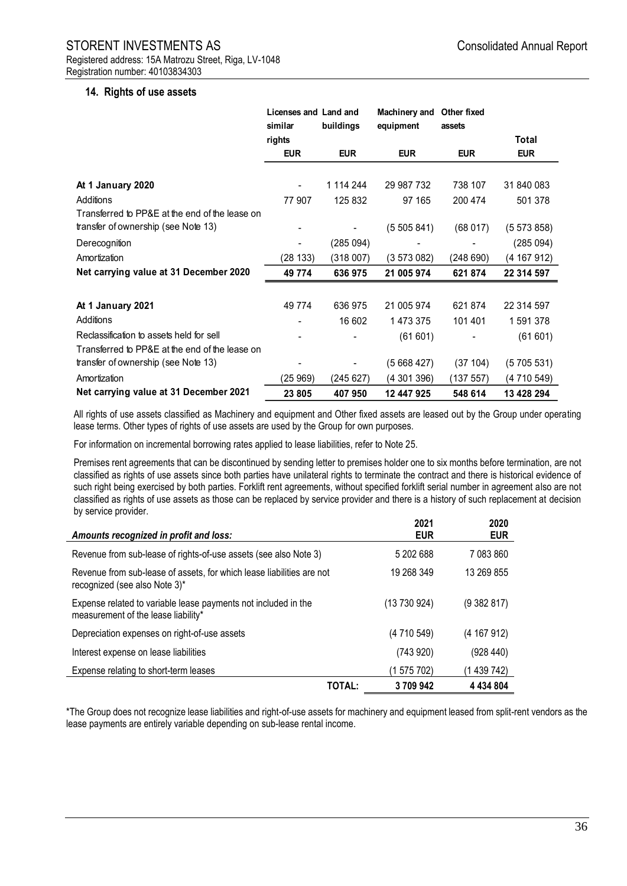#### **14. Rights of use assets**

|                                                | Licenses and Land and<br>similar | buildings  | Machinery and<br>equipment | Other fixed<br>assets |             |
|------------------------------------------------|----------------------------------|------------|----------------------------|-----------------------|-------------|
|                                                | rights                           |            |                            |                       | Total       |
|                                                | <b>EUR</b>                       | <b>EUR</b> | <b>EUR</b>                 | <b>EUR</b>            | <b>EUR</b>  |
|                                                |                                  |            |                            |                       |             |
| At 1 January 2020                              |                                  | 1 114 244  | 29 987 732                 | 738 107               | 31 840 083  |
| <b>Additions</b>                               | 77 907                           | 125 832    | 97 165                     | 200 474               | 501 378     |
| Transferred to PP&E at the end of the lease on |                                  |            |                            |                       |             |
| transfer of ownership (see Note 13)            |                                  |            | (5505841)                  | (68017)               | (5 573 858) |
| Derecognition                                  |                                  | (285 094)  |                            |                       | (285094)    |
| Amortization                                   | (28133)                          | (318007)   | (3573082)                  | (248690)              | (4 167 912) |
| Net carrying value at 31 December 2020         | 49 7 74                          | 636975     | 21 005 974                 | 621 874               | 22 314 597  |
|                                                |                                  |            |                            |                       |             |
| At 1 January 2021                              | 49 7 74                          | 636 975    | 21 005 974                 | 621 874               | 22 314 597  |
| Additions                                      |                                  | 16 602     | 1 473 375                  | 101 401               | 1 591 378   |
| Reclassification to assets held for sell       |                                  |            | (61601)                    |                       | (61601)     |
| Transferred to PP&E at the end of the lease on |                                  |            |                            |                       |             |
| transfer of ownership (see Note 13)            |                                  |            | (5668427)                  | (37104)               | (5 705 531) |
| Amortization                                   | (25969)                          | (245 627)  | (4 301 396)                | (137557)              | (4 710 549) |
| Net carrying value at 31 December 2021         | 23 805                           | 407950     | 12 447 925                 | 548 614               | 13 428 294  |

All rights of use assets classified as Machinery and equipment and Other fixed assets are leased out by the Group under operating lease terms. Other types of rights of use assets are used by the Group for own purposes.

For information on incremental borrowing rates applied to lease liabilities, refer to Note 25.

Premises rent agreements that can be discontinued by sending letter to premises holder one to six months before termination, are not classified as rights of use assets since both parties have unilateral rights to terminate the contract and there is historical evidence of such right being exercised by both parties. Forklift rent agreements, without specified forklift serial number in agreement also are not classified as rights of use assets as those can be replaced by service provider and there is a history of such replacement at decision by service provider.

| Amounts recognized in profit and loss:                                                                 |               | 2021<br><b>EUR</b> | 2020<br><b>EUR</b> |
|--------------------------------------------------------------------------------------------------------|---------------|--------------------|--------------------|
| Revenue from sub-lease of rights-of-use assets (see also Note 3)                                       |               | 5 202 688          | 7 083 860          |
| Revenue from sub-lease of assets, for which lease liabilities are not<br>recognized (see also Note 3)* |               | 19 268 349         | 13 269 855         |
| Expense related to variable lease payments not included in the<br>measurement of the lease liability*  |               | (13730924)         | (9382817)          |
| Depreciation expenses on right-of-use assets                                                           |               | (4 710 549)        | (4 167 912)        |
| Interest expense on lease liabilities                                                                  |               | (743920)           | (928 440)          |
| Expense relating to short-term leases                                                                  |               | (1575702)          | (1 439 742)        |
|                                                                                                        | <b>TOTAL:</b> | 3709942            | 4 4 3 4 8 0 4      |

\*The Group does not recognize lease liabilities and right-of-use assets for machinery and equipment leased from split-rent vendors as the lease payments are entirely variable depending on sub-lease rental income.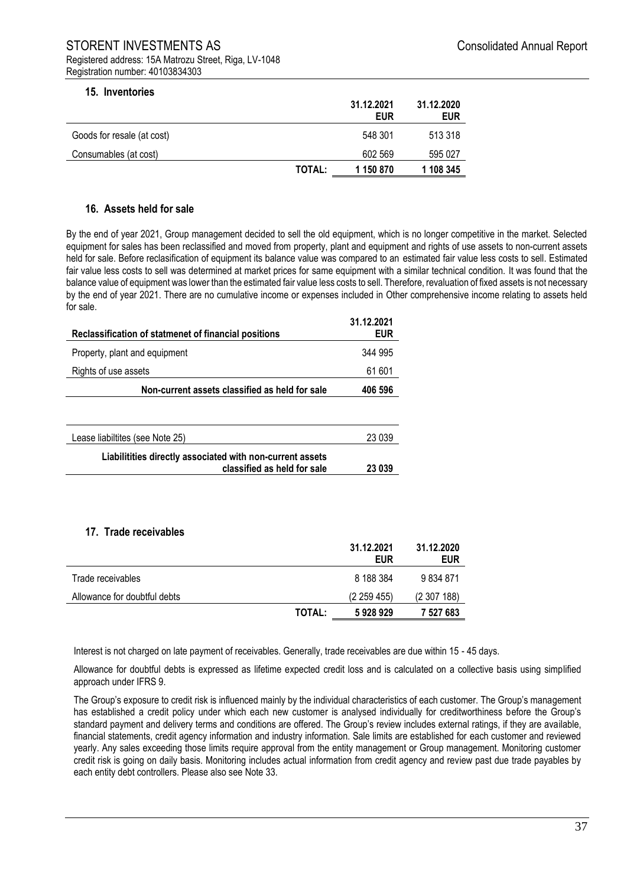# STORENT INVESTMENTS AS **STORENT** INVESTMENTS AS Registered address: 15A Matrozu Street, Riga, LV-1048

| 15. Inventories |  |
|-----------------|--|
|-----------------|--|

| <b>IV. IIIVEIILVIIES</b>   |               | 31.12.2021<br><b>EUR</b> | 31.12.2020<br><b>EUR</b> |
|----------------------------|---------------|--------------------------|--------------------------|
| Goods for resale (at cost) |               | 548 301                  | 513 318                  |
| Consumables (at cost)      |               | 602 569                  | 595 027                  |
|                            | <b>TOTAL:</b> | 1 150 870                | 1 108 345                |

#### **16. Assets held for sale**

By the end of year 2021, Group management decided to sell the old equipment, which is no longer competitive in the market. Selected equipment for sales has been reclassified and moved from property, plant and equipment and rights of use assets to non-current assets held for sale. Before reclasification of equipment its balance value was compared to an estimated fair value less costs to sell. Estimated fair value less costs to sell was determined at market prices for same equipment with a similar technical condition. It was found that the balance value of equipment was lower than the estimated fair value less costs to sell. Therefore, revaluation of fixed assets is not necessary by the end of year 2021. There are no cumulative income or expenses included in Other comprehensive income relating to assets held for sale.

| Reclassification of statmenet of financial positions                                     | 31.12.2021<br><b>EUR</b> |
|------------------------------------------------------------------------------------------|--------------------------|
| Property, plant and equipment                                                            | 344 995                  |
| Rights of use assets                                                                     | 61 601                   |
| Non-current assets classified as held for sale                                           | 406 596                  |
|                                                                                          |                          |
| Lease liabiltites (see Note 25)                                                          | 23 039                   |
| Liabilitities directly associated with non-current assets<br>classified as held for sale | 23 039                   |

#### **17. Trade receivables**

|                              |               | 31.12.2021<br>EUR | 31.12.2020<br><b>EUR</b> |
|------------------------------|---------------|-------------------|--------------------------|
| Trade receivables            |               | 8 188 384         | 9 834 871                |
| Allowance for doubtful debts |               | (2 259 455)       | (2307188)                |
|                              | <b>TOTAL:</b> | 5928929           | 7 527 683                |

Interest is not charged on late payment of receivables. Generally, trade receivables are due within 15 - 45 days.

Allowance for doubtful debts is expressed as lifetime expected credit loss and is calculated on a collective basis using simplified approach under IFRS 9.

The Group's exposure to credit risk is influenced mainly by the individual characteristics of each customer. The Group's management has established a credit policy under which each new customer is analysed individually for creditworthiness before the Group's standard payment and delivery terms and conditions are offered. The Group's review includes external ratings, if they are available, financial statements, credit agency information and industry information. Sale limits are established for each customer and reviewed yearly. Any sales exceeding those limits require approval from the entity management or Group management. Monitoring customer credit risk is going on daily basis. Monitoring includes actual information from credit agency and review past due trade payables by each entity debt controllers. Please also see Note 33.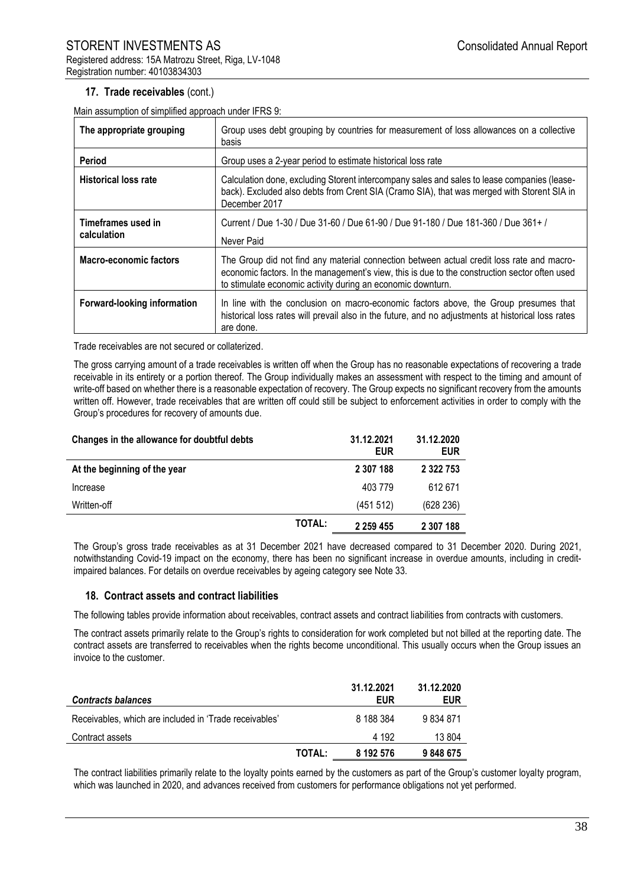## **17. Trade receivables** (cont.)

Main assumption of simplified approach under IFRS 9:

| The appropriate grouping          | Group uses debt grouping by countries for measurement of loss allowances on a collective<br>basis                                                                                                                                                         |
|-----------------------------------|-----------------------------------------------------------------------------------------------------------------------------------------------------------------------------------------------------------------------------------------------------------|
| Period                            | Group uses a 2-year period to estimate historical loss rate                                                                                                                                                                                               |
| <b>Historical loss rate</b>       | Calculation done, excluding Storent intercompany sales and sales to lease companies (lease-<br>back). Excluded also debts from Crent SIA (Cramo SIA), that was merged with Storent SIA in<br>December 2017                                                |
| Timeframes used in<br>calculation | Current / Due 1-30 / Due 31-60 / Due 61-90 / Due 91-180 / Due 181-360 / Due 361+ /<br>Never Paid                                                                                                                                                          |
| <b>Macro-economic factors</b>     | The Group did not find any material connection between actual credit loss rate and macro-<br>economic factors. In the management's view, this is due to the construction sector often used<br>to stimulate economic activity during an economic downturn. |
| Forward-looking information       | In line with the conclusion on macro-economic factors above, the Group presumes that<br>historical loss rates will prevail also in the future, and no adjustments at historical loss rates<br>are done.                                                   |

Trade receivables are not secured or collaterized.

The gross carrying amount of a trade receivables is written off when the Group has no reasonable expectations of recovering a trade receivable in its entirety or a portion thereof. The Group individually makes an assessment with respect to the timing and amount of write-off based on whether there is a reasonable expectation of recovery. The Group expects no significant recovery from the amounts written off. However, trade receivables that are written off could still be subject to enforcement activities in order to comply with the Group's procedures for recovery of amounts due.

| Changes in the allowance for doubtful debts |               | 31.12.2021<br><b>EUR</b> | 31.12.2020<br>EUR |
|---------------------------------------------|---------------|--------------------------|-------------------|
| At the beginning of the year                |               | 2 307 188                | 2 3 2 7 5 3       |
| Increase                                    |               | 403 779                  | 612 671           |
| Written-off                                 |               | (451 512)                | (628 236)         |
|                                             | <b>TOTAL:</b> | 2 2 5 4 4 5 5            | 2 307 188         |

The Group's gross trade receivables as at 31 December 2021 have decreased compared to 31 December 2020. During 2021, notwithstanding Covid-19 impact on the economy, there has been no significant increase in overdue amounts, including in creditimpaired balances. For details on overdue receivables by ageing category see Note 33.

#### **18. Contract assets and contract liabilities**

The following tables provide information about receivables, contract assets and contract liabilities from contracts with customers.

The contract assets primarily relate to the Group's rights to consideration for work completed but not billed at the reporting date. The contract assets are transferred to receivables when the rights become unconditional. This usually occurs when the Group issues an invoice to the customer.

| <b>Contracts balances</b>                              |        | 31.12.2021<br>EUR | 31.12.2020<br><b>EUR</b> |
|--------------------------------------------------------|--------|-------------------|--------------------------|
| Receivables, which are included in 'Trade receivables' |        | 8 188 384         | 9 834 871                |
| Contract assets                                        |        | 4 192             | 13 804                   |
|                                                        | TOTAL: | 8 192 576         | 9848675                  |

The contract liabilities primarily relate to the loyalty points earned by the customers as part of the Group's customer loyalty program, which was launched in 2020, and advances received from customers for performance obligations not yet performed.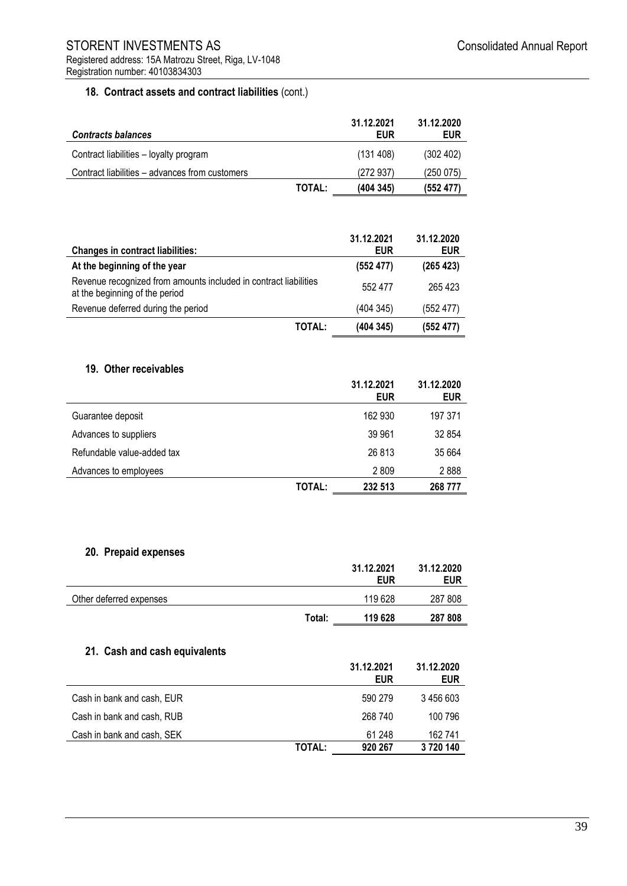## **18. Contract assets and contract liabilities** (cont.)

| <b>Contracts balances</b>                      |               | 31.12.2021<br><b>EUR</b> | 31.12.2020<br><b>EUR</b> |
|------------------------------------------------|---------------|--------------------------|--------------------------|
| Contract liabilities - loyalty program         |               | (131 408)                | (302 402)                |
| Contract liabilities – advances from customers |               | (272937)                 | (250075)                 |
|                                                | <b>TOTAL:</b> | (404 345)                | (552 477)                |

| <b>Changes in contract liabilities:</b>                                                            | 31.12.2021<br><b>EUR</b> | 31.12.2020<br><b>EUR</b> |
|----------------------------------------------------------------------------------------------------|--------------------------|--------------------------|
| At the beginning of the year                                                                       | (552 477)                | (265 423)                |
| Revenue recognized from amounts included in contract liabilities<br>at the beginning of the period | 552 477                  | 265 423                  |
| Revenue deferred during the period                                                                 | (404345)                 | (552 477)                |
| <b>TOTAL:</b>                                                                                      | (404345)                 | (552 477)                |

## **19. Other receivables**

|                            |        | 31.12.2021<br><b>EUR</b> | 31.12.2020<br><b>EUR</b> |
|----------------------------|--------|--------------------------|--------------------------|
| Guarantee deposit          |        | 162 930                  | 197 371                  |
| Advances to suppliers      |        | 39 961                   | 32 854                   |
| Refundable value-added tax |        | 26813                    | 35 664                   |
| Advances to employees      |        | 2809                     | 2888                     |
|                            | TOTAL: | 232 513                  | 268 777                  |

## **20. Prepaid expenses**

|                               |        | 31.12.2021<br><b>EUR</b> | 31.12.2020<br><b>EUR</b> |
|-------------------------------|--------|--------------------------|--------------------------|
| Other deferred expenses       |        | 119628                   | 287 808                  |
|                               | Total: | 119 628                  | 287 808                  |
| 21. Cash and cash equivalents |        | 31.12.2021<br><b>EUR</b> | 31.12.2020<br><b>EUR</b> |
| Cash in bank and cash, EUR    |        | 590 279                  | 3 456 603                |
| Cash in bank and cash, RUB    |        | 268 740                  | 100 796                  |
| Cash in bank and cash, SEK    |        | 61 248                   | 162741                   |
|                               |        |                          | 3720140                  |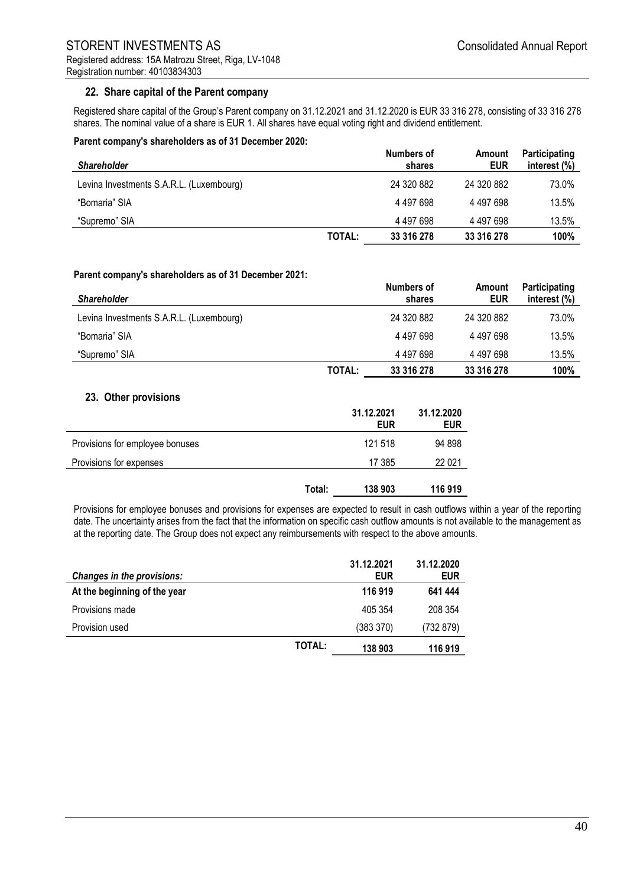## **22. Share capital of the Parent company**

Registered share capital of the Group's Parent company on 31.12.2021 and 31.12.2020 is EUR 33 316 278, consisting of 33 316 278 shares. The nominal value of a share is EUR 1. All shares have equal voting right and dividend entitlement.

#### **Parent company's shareholders as of 31 December 2020:**

| <b>Shareholder</b>                       |        | Numbers of<br>shares | Amount<br><b>EUR</b> | Participating<br>interest (%) |
|------------------------------------------|--------|----------------------|----------------------|-------------------------------|
| Levina Investments S.A.R.L. (Luxembourg) |        | 24 320 882           | 24 320 882           | 73.0%                         |
| "Bomaria" SIA                            |        | 4 497 698            | 4 497 698            | 13.5%                         |
| "Supremo" SIA                            |        | 4 497 698            | 4 497 698            | 13.5%                         |
|                                          | TOTAL: | 33 316 278           | 33 316 278           | 100%                          |

#### **Parent company's shareholders as of 31 December 2021:**

| <b>Shareholder</b>                       |        | Numbers of<br>shares | Amount<br>EUR | Participating<br>interest (%) |
|------------------------------------------|--------|----------------------|---------------|-------------------------------|
| Levina Investments S.A.R.L. (Luxembourg) |        | 24 320 882           | 24 320 882    | 73.0%                         |
| "Bomaria" SIA                            |        | 4 497 698            | 4 497 698     | 13.5%                         |
| "Supremo" SIA                            |        | 4 497 698            | 4 497 698     | 13.5%                         |
|                                          | TOTAL: | 33 316 278           | 33 316 278    | 100%                          |

## **23. Other provisions**

|                                 |        | 31.12.2021<br><b>EUR</b> | 31.12.2020<br><b>EUR</b> |
|---------------------------------|--------|--------------------------|--------------------------|
| Provisions for employee bonuses |        | 121 518                  | 94 898                   |
| Provisions for expenses         |        | 17 385                   | 22 0 21                  |
|                                 | Total: | 138 903                  | 116919                   |

Provisions for employee bonuses and provisions for expenses are expected to result in cash outflows within a year of the reporting date. The uncertainty arises from the fact that the information on specific cash outflow amounts is not available to the management as at the reporting date. The Group does not expect any reimbursements with respect to the above amounts.

| <b>Changes in the provisions:</b> |               | 31.12.2021<br><b>EUR</b> | 31.12.2020<br><b>EUR</b> |
|-----------------------------------|---------------|--------------------------|--------------------------|
| At the beginning of the year      |               | 116 919                  | 641 444                  |
| Provisions made                   |               | 405 354                  | 208 354                  |
| Provision used                    |               | (383 370)                | (732 879)                |
|                                   | <b>TOTAL:</b> | 138 903                  | 116919                   |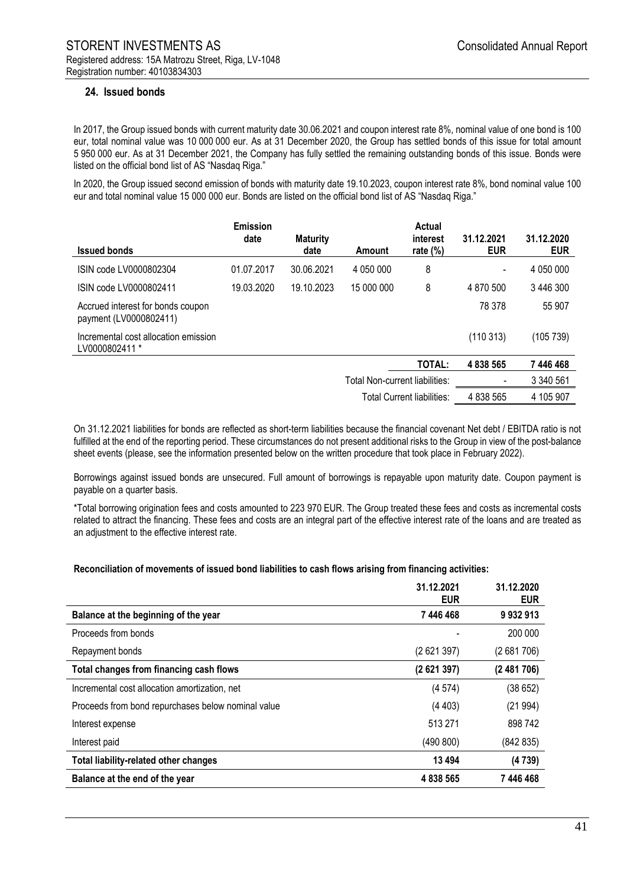## **24. Issued bonds**

In 2017, the Group issued bonds with current maturity date 30.06.2021 and coupon interest rate 8%, nominal value of one bond is 100 eur, total nominal value was 10 000 000 eur. As at 31 December 2020, the Group has settled bonds of this issue for total amount 5 950 000 eur. As at 31 December 2021, the Company has fully settled the remaining outstanding bonds of this issue. Bonds were listed on the official bond list of AS "Nasdaq Riga."

In 2020, the Group issued second emission of bonds with maturity date 19.10.2023, coupon interest rate 8%, bond nominal value 100 eur and total nominal value 15 000 000 eur. Bonds are listed on the official bond list of AS "Nasdaq Riga."

| <b>Issued bonds</b>                                         | <b>Emission</b><br>date | <b>Maturity</b><br>date | Amount                         | Actual<br>interest<br>rate $(\%)$ | 31.12.2021<br><b>EUR</b> | 31.12.2020<br><b>EUR</b> |
|-------------------------------------------------------------|-------------------------|-------------------------|--------------------------------|-----------------------------------|--------------------------|--------------------------|
| ISIN code LV0000802304                                      | 01.07.2017              | 30.06.2021              | 4 050 000                      | 8                                 |                          | 4 050 000                |
| ISIN code LV0000802411                                      | 19.03.2020              | 19.10.2023              | 15 000 000                     | 8                                 | 4 870 500                | 3446300                  |
| Accrued interest for bonds coupon<br>payment (LV0000802411) |                         |                         |                                |                                   | 78 378                   | 55 907                   |
| Incremental cost allocation emission<br>LV0000802411 *      |                         |                         |                                |                                   | (110313)                 | (105 739)                |
|                                                             |                         |                         |                                | TOTAL:                            | 4 838 565                | 7446468                  |
|                                                             |                         |                         | Total Non-current liabilities: |                                   | -                        | 3 340 561                |
|                                                             |                         |                         |                                | Total Current liabilities:        | 4 838 565                | 4 105 907                |

On 31.12.2021 liabilities for bonds are reflected as short-term liabilities because the financial covenant Net debt / EBITDA ratio is not fulfilled at the end of the reporting period. These circumstances do not present additional risks to the Group in view of the post-balance sheet events (please, see the information presented below on the written procedure that took place in February 2022).

Borrowings against issued bonds are unsecured. Full amount of borrowings is repayable upon maturity date. Coupon payment is payable on a quarter basis.

\*Total borrowing origination fees and costs amounted to 223 970 EUR. The Group treated these fees and costs as incremental costs related to attract the financing. These fees and costs are an integral part of the effective interest rate of the loans and are treated as an adjustment to the effective interest rate.

#### **Reconciliation of movements of issued bond liabilities to cash flows arising from financing activities:**

|                                                    | 31.12.2021<br><b>EUR</b> | 31.12.2020<br><b>EUR</b> |
|----------------------------------------------------|--------------------------|--------------------------|
| Balance at the beginning of the year               | 7 446 468                | 9932913                  |
| Proceeds from bonds                                |                          | 200 000                  |
| Repayment bonds                                    | (2621397)                | (2681706)                |
| Total changes from financing cash flows            | (2621397)                | (2481706)                |
| Incremental cost allocation amortization, net      | (4574)                   | (38652)                  |
| Proceeds from bond repurchases below nominal value | (4403)                   | (21994)                  |
| Interest expense                                   | 513 271                  | 898 742                  |
| Interest paid                                      | (490 800)                | (842 835)                |
| <b>Total liability-related other changes</b>       | 13 4 94                  | (4739)                   |
| Balance at the end of the year                     | 4 838 565                | 7 446 468                |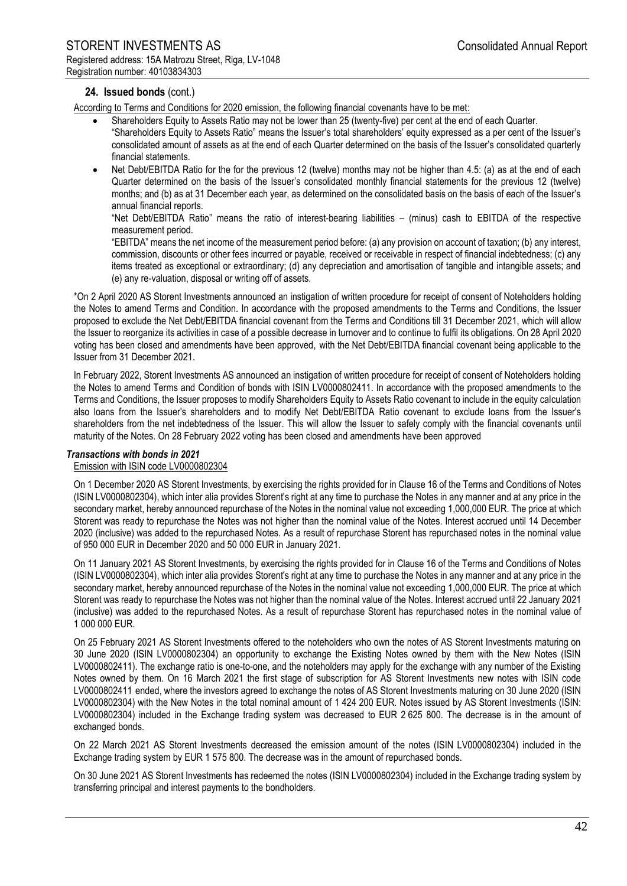## **24. Issued bonds** (cont.)

According to Terms and Conditions for 2020 emission, the following financial covenants have to be met:

- Shareholders Equity to Assets Ratio may not be lower than 25 (twenty-five) per cent at the end of each Quarter. "Shareholders Equity to Assets Ratio" means the Issuer's total shareholders' equity expressed as a per cent of the Issuer's consolidated amount of assets as at the end of each Quarter determined on the basis of the Issuer's consolidated quarterly financial statements.
- Net Debt/EBITDA Ratio for the for the previous 12 (twelve) months may not be higher than 4.5: (a) as at the end of each Quarter determined on the basis of the Issuer's consolidated monthly financial statements for the previous 12 (twelve) months; and (b) as at 31 December each year, as determined on the consolidated basis on the basis of each of the Issuer's annual financial reports.

"Net Debt/EBITDA Ratio" means the ratio of interest-bearing liabilities – (minus) cash to EBITDA of the respective measurement period.

"EBITDA" means the net income of the measurement period before: (a) any provision on account of taxation; (b) any interest, commission, discounts or other fees incurred or payable, received or receivable in respect of financial indebtedness; (c) any items treated as exceptional or extraordinary; (d) any depreciation and amortisation of tangible and intangible assets; and (e) any re-valuation, disposal or writing off of assets.

\*On 2 April 2020 AS Storent Investments announced an instigation of written procedure for receipt of consent of Noteholders holding the Notes to amend Terms and Condition. In accordance with the proposed amendments to the Terms and Conditions, the Issuer proposed to exclude the Net Debt/EBITDA financial covenant from the Terms and Conditions till 31 December 2021, which will allow the Issuer to reorganize its activities in case of a possible decrease in turnover and to continue to fulfil its obligations. On 28 April 2020 voting has been closed and amendments have been approved, with the Net Debt/EBITDA financial covenant being applicable to the Issuer from 31 December 2021.

In February 2022, Storent Investments AS announced an instigation of written procedure for receipt of consent of Noteholders holding the Notes to amend Terms and Condition of bonds with ISIN LV0000802411. In accordance with the proposed amendments to the Terms and Conditions, the Issuer proposes to modify Shareholders Equity to Assets Ratio covenant to include in the equity calculation also loans from the Issuer's shareholders and to modify Net Debt/EBITDA Ratio covenant to exclude loans from the Issuer's shareholders from the net indebtedness of the Issuer. This will allow the Issuer to safely comply with the financial covenants until maturity of the Notes. On 28 February 2022 voting has been closed and amendments have been approved

#### *Transactions with bonds in 2021*

#### Emission with ISIN code LV0000802304

On 1 December 2020 AS Storent Investments, by exercising the rights provided for in Clause 16 of the Terms and Conditions of Notes (ISIN LV0000802304), which inter alia provides Storent's right at any time to purchase the Notes in any manner and at any price in the secondary market, hereby announced repurchase of the Notes in the nominal value not exceeding 1,000,000 EUR. The price at which Storent was ready to repurchase the Notes was not higher than the nominal value of the Notes. Interest accrued until 14 December 2020 (inclusive) was added to the repurchased Notes. As a result of repurchase Storent has repurchased notes in the nominal value of 950 000 EUR in December 2020 and 50 000 EUR in January 2021.

On 11 January 2021 AS Storent Investments, by exercising the rights provided for in Clause 16 of the Terms and Conditions of Notes (ISIN LV0000802304), which inter alia provides Storent's right at any time to purchase the Notes in any manner and at any price in the secondary market, hereby announced repurchase of the Notes in the nominal value not exceeding 1,000,000 EUR. The price at which Storent was ready to repurchase the Notes was not higher than the nominal value of the Notes. Interest accrued until 22 January 2021 (inclusive) was added to the repurchased Notes. As a result of repurchase Storent has repurchased notes in the nominal value of 1 000 000 EUR.

On 25 February 2021 AS Storent Investments offered to the noteholders who own the notes of AS Storent Investments maturing on 30 June 2020 (ISIN LV0000802304) an opportunity to exchange the Existing Notes owned by them with the New Notes (ISIN LV0000802411). The exchange ratio is one-to-one, and the noteholders may apply for the exchange with any number of the Existing Notes owned by them. On 16 March 2021 the first stage of subscription for AS Storent Investments new notes with ISIN code LV0000802411 ended, where the investors agreed to exchange the notes of AS Storent Investments maturing on 30 June 2020 (ISIN LV0000802304) with the New Notes in the total nominal amount of 1 424 200 EUR. Notes issued by AS Storent Investments (ISIN: LV0000802304) included in the Exchange trading system was decreased to EUR 2 625 800. The decrease is in the amount of exchanged bonds.

On 22 March 2021 AS Storent Investments decreased the emission amount of the notes (ISIN LV0000802304) included in the Exchange trading system by EUR 1 575 800. The decrease was in the amount of repurchased bonds.

On 30 June 2021 AS Storent Investments has redeemed the notes (ISIN LV0000802304) included in the Exchange trading system by transferring principal and interest payments to the bondholders.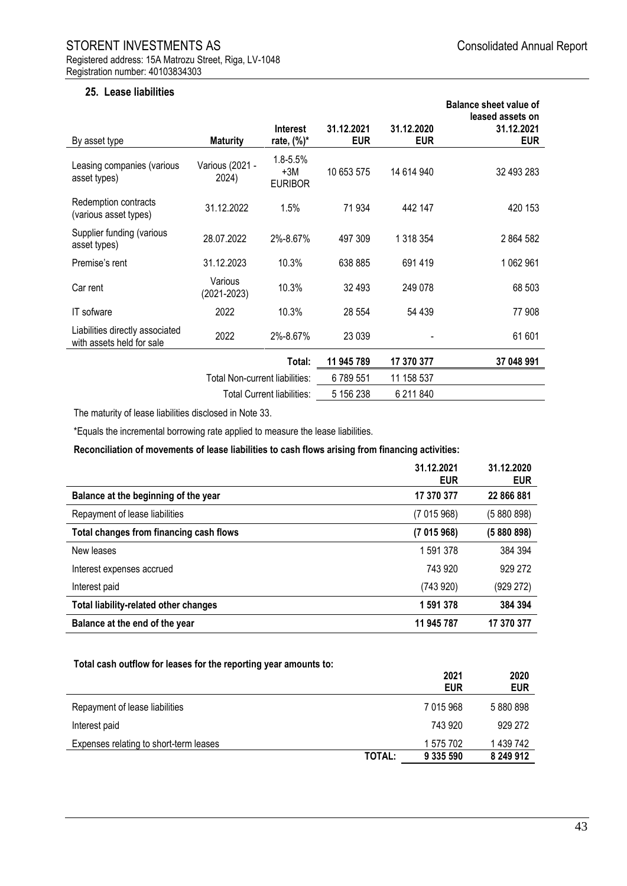## **25. Lease liabilities**

|                                                              |                                |                                     |                          |                          | <b>Balance sheet value of</b><br>leased assets on |
|--------------------------------------------------------------|--------------------------------|-------------------------------------|--------------------------|--------------------------|---------------------------------------------------|
| By asset type                                                | <b>Maturity</b>                | <b>Interest</b><br>rate, $(\%)^*$   | 31.12.2021<br><b>EUR</b> | 31.12.2020<br><b>EUR</b> | 31.12.2021<br><b>EUR</b>                          |
| Leasing companies (various<br>asset types)                   | Various (2021 -<br>2024)       | 1.8-5.5%<br>$+3M$<br><b>EURIBOR</b> | 10 653 575               | 14 614 940               | 32 493 283                                        |
| Redemption contracts<br>(various asset types)                | 31.12.2022                     | 1.5%                                | 71 934                   | 442 147                  | 420 153                                           |
| Supplier funding (various<br>asset types)                    | 28.07.2022                     | 2%-8.67%                            | 497 309                  | 1 318 354                | 2 864 582                                         |
| Premise's rent                                               | 31.12.2023                     | 10.3%                               | 638 885                  | 691 419                  | 1 062 961                                         |
| Car rent                                                     | Various<br>(2021-2023)         | 10.3%                               | 32 493                   | 249 078                  | 68 503                                            |
| IT sofware                                                   | 2022                           | 10.3%                               | 28 554                   | 54 439                   | 77 908                                            |
| Liabilities directly associated<br>with assets held for sale | 2022                           | 2%-8.67%                            | 23 0 39                  |                          | 61 601                                            |
|                                                              |                                | Total:                              | 11 945 789               | 17 370 377               | 37 048 991                                        |
|                                                              | Total Non-current liabilities: |                                     | 6789551                  | 11 158 537               |                                                   |
|                                                              |                                | <b>Total Current liabilities:</b>   | 5 156 238                | 6 211 840                |                                                   |

The maturity of lease liabilities disclosed in Note 33.

\*Equals the incremental borrowing rate applied to measure the lease liabilities.

**Reconciliation of movements of lease liabilities to cash flows arising from financing activities:**

|                                              | 31.12.2021<br><b>EUR</b> | 31.12.2020<br><b>EUR</b> |
|----------------------------------------------|--------------------------|--------------------------|
| Balance at the beginning of the year         | 17 370 377               | 22 866 881               |
| Repayment of lease liabilities               | (7015968)                | (5880898)                |
| Total changes from financing cash flows      | (7015968)                | (5880898)                |
| New leases                                   | 1 591 378                | 384 394                  |
| Interest expenses accrued                    | 743 920                  | 929 272                  |
| Interest paid                                | (743920)                 | (929 272)                |
| <b>Total liability-related other changes</b> | 1 591 378                | 384 394                  |
| Balance at the end of the year               | 11 945 787               | 17 370 377               |

#### **Total cash outflow for leases for the reporting year amounts to:**

|                                        |        | 2021<br><b>EUR</b> | 2020<br><b>EUR</b> |
|----------------------------------------|--------|--------------------|--------------------|
| Repayment of lease liabilities         |        | 7 015 968          | 5 880 898          |
| Interest paid                          |        | 743 920            | 929 272            |
| Expenses relating to short-term leases |        | 1 575 702          | 1 439 742          |
|                                        | TOTAL: | 9 335 590          | 8 249 912          |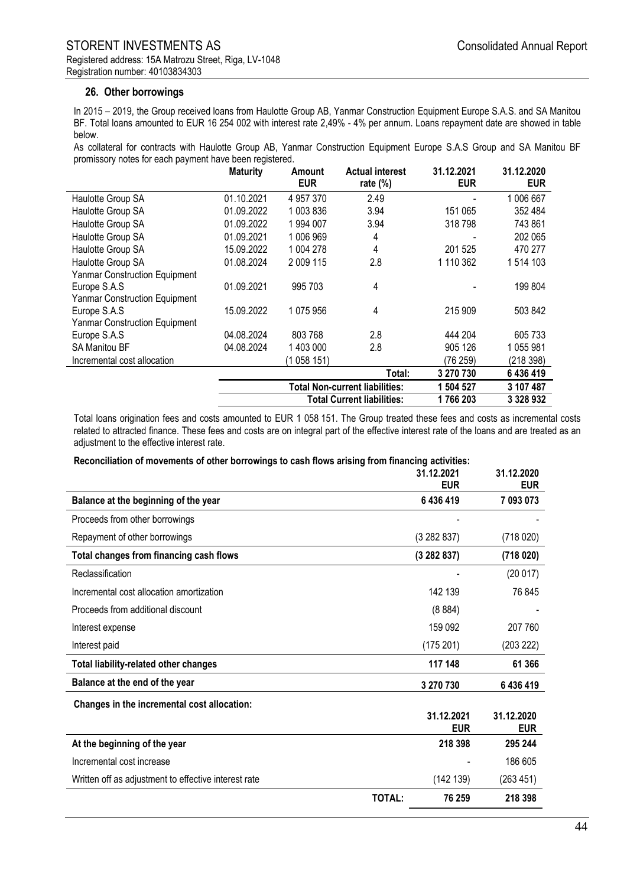## **26. Other borrowings**

In 2015 – 2019, the Group received loans from Haulotte Group AB, Yanmar Construction Equipment Europe S.A.S. and SA Manitou BF. Total loans amounted to EUR 16 254 002 with interest rate 2,49% - 4% per annum. Loans repayment date are showed in table below.

As collateral for contracts with Haulotte Group AB, Yanmar Construction Equipment Europe S.A.S Group and SA Manitou BF promissory notes for each payment have been registered.

|                                      | <b>Maturity</b>                       | Amount<br><b>EUR</b> | <b>Actual interest</b><br>rate $(\%)$ | 31.12.2021<br><b>EUR</b> | 31.12.2020<br><b>EUR</b> |
|--------------------------------------|---------------------------------------|----------------------|---------------------------------------|--------------------------|--------------------------|
| Haulotte Group SA                    | 01.10.2021                            | 4 957 370            | 2.49                                  |                          | 1 006 667                |
| Haulotte Group SA                    | 01.09.2022                            | 1 003 836            | 3.94                                  | 151 065                  | 352 484                  |
| Haulotte Group SA                    | 01.09.2022                            | 1994 007             | 3.94                                  | 318 798                  | 743 861                  |
| Haulotte Group SA                    | 01.09.2021                            | 1 006 969            | 4                                     |                          | 202 065                  |
| Haulotte Group SA                    | 15.09.2022                            | 1 004 278            | 4                                     | 201 525                  | 470 277                  |
| Haulotte Group SA                    | 01.08.2024                            | 2 009 115            | 2.8                                   | 1 110 362                | 1 514 103                |
| <b>Yanmar Construction Equipment</b> |                                       |                      |                                       |                          |                          |
| Europe S.A.S                         | 01.09.2021                            | 995 703              | 4                                     |                          | 199 804                  |
| Yanmar Construction Equipment        |                                       |                      |                                       |                          |                          |
| Europe S.A.S                         | 15.09.2022                            | 1 075 956            | 4                                     | 215 909                  | 503 842                  |
| Yanmar Construction Equipment        |                                       |                      |                                       |                          |                          |
| Europe S.A.S                         | 04.08.2024                            | 803 768              | 2.8                                   | 444 204                  | 605 733                  |
| <b>SA Manitou BF</b>                 | 04.08.2024                            | 1 403 000            | 2.8                                   | 905 126                  | 1055981                  |
| Incremental cost allocation          |                                       | (1 058 151)          |                                       | (76 259)                 | (218 398)                |
|                                      |                                       |                      | Total:                                | 3 270 730                | 6436419                  |
|                                      | <b>Total Non-current liabilities:</b> |                      |                                       | 1 504 527                | 3 107 487                |
|                                      | <b>Total Current liabilities:</b>     |                      |                                       | 1766203                  | 3 328 932                |

Total loans origination fees and costs amounted to EUR 1 058 151. The Group treated these fees and costs as incremental costs related to attracted finance. These fees and costs are on integral part of the effective interest rate of the loans and are treated as an adjustment to the effective interest rate.

#### **Reconciliation of movements of other borrowings to cash flows arising from financing activities:**

|                                                      |               | 31.12.2021<br><b>EUR</b> | 31.12.2020<br><b>EUR</b> |
|------------------------------------------------------|---------------|--------------------------|--------------------------|
| Balance at the beginning of the year                 |               | 6 436 419                | 7 093 073                |
| Proceeds from other borrowings                       |               |                          |                          |
| Repayment of other borrowings                        |               | (3282837)                | (718020)                 |
| Total changes from financing cash flows              |               | (3282837)                | (718020)                 |
| Reclassification                                     |               |                          | (20017)                  |
| Incremental cost allocation amortization             |               | 142 139                  | 76 845                   |
| Proceeds from additional discount                    |               | (8884)                   |                          |
| Interest expense                                     |               | 159 092                  | 207 760                  |
| Interest paid                                        |               | (175201)                 | (203 222)                |
| <b>Total liability-related other changes</b>         |               | 117 148                  | 61 366                   |
| Balance at the end of the year                       |               | 3 270 730                | 6436419                  |
| Changes in the incremental cost allocation:          |               |                          |                          |
|                                                      |               | 31.12.2021<br><b>EUR</b> | 31.12.2020<br><b>EUR</b> |
| At the beginning of the year                         |               | 218 398                  | 295 244                  |
| Incremental cost increase                            |               |                          | 186 605                  |
| Written off as adjustment to effective interest rate |               | (142 139)                | (263 451)                |
|                                                      | <b>TOTAL:</b> | 76 259                   | 218 398                  |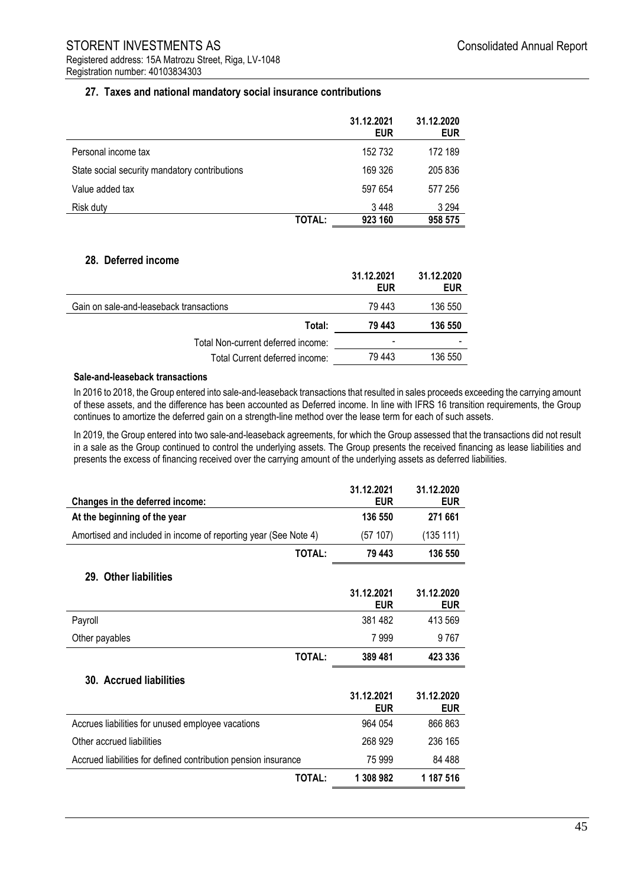## **27. Taxes and national mandatory social insurance contributions**

|                                               |        | 31.12.2021<br><b>EUR</b> | 31.12.2020<br><b>EUR</b> |
|-----------------------------------------------|--------|--------------------------|--------------------------|
| Personal income tax                           |        | 152 732                  | 172 189                  |
| State social security mandatory contributions |        | 169 326                  | 205 836                  |
| Value added tax                               |        | 597 654                  | 577 256                  |
| Risk duty                                     |        | 3448                     | 3 2 9 4                  |
|                                               | TOTAL: | 923 160                  | 958 575                  |

#### **28. Deferred income**

L

|                                         | 31.12.2021<br><b>EUR</b> | 31.12.2020<br><b>EUR</b> |
|-----------------------------------------|--------------------------|--------------------------|
| Gain on sale-and-leaseback transactions | 79 443                   | 136 550                  |
| Total:                                  | 79 443                   | 136 550                  |
| Total Non-current deferred income:      | $\overline{\phantom{0}}$ |                          |
| Total Current deferred income:          | 79443                    | 136 550                  |

#### **Sale-and-leaseback transactions**

In 2016 to 2018, the Group entered into sale-and-leaseback transactions that resulted in sales proceeds exceeding the carrying amount of these assets, and the difference has been accounted as Deferred income. In line with IFRS 16 transition requirements, the Group continues to amortize the deferred gain on a strength-line method over the lease term for each of such assets.

In 2019, the Group entered into two sale-and-leaseback agreements, for which the Group assessed that the transactions did not result in a sale as the Group continued to control the underlying assets. The Group presents the received financing as lease liabilities and presents the excess of financing received over the carrying amount of the underlying assets as deferred liabilities.

| Changes in the deferred income:                                 |               | 31.12.2021<br><b>EUR</b> | 31.12.2020<br><b>EUR</b> |
|-----------------------------------------------------------------|---------------|--------------------------|--------------------------|
| At the beginning of the year                                    |               | 136 550                  | 271 661                  |
| Amortised and included in income of reporting year (See Note 4) |               | (57107)                  | (135 111)                |
|                                                                 | TOTAL:        | 79 443                   | 136 550                  |
| 29. Other liabilities                                           |               |                          |                          |
|                                                                 |               | 31.12.2021<br><b>EUR</b> | 31.12.2020<br><b>EUR</b> |
| Payroll                                                         |               | 381 482                  | 413 569                  |
| Other payables                                                  |               | 7999                     | 9 767                    |
|                                                                 | TOTAL:        | 389 481                  | 423 336                  |
| 30. Accrued liabilities                                         |               |                          |                          |
|                                                                 |               | 31.12.2021<br><b>EUR</b> | 31.12.2020<br><b>EUR</b> |
| Accrues liabilities for unused employee vacations               |               | 964 054                  | 866 863                  |
| Other accrued liabilities                                       |               | 268 929                  | 236 165                  |
| Accrued liabilities for defined contribution pension insurance  |               | 75 999                   | 84 488                   |
|                                                                 | <b>TOTAL:</b> | 1 308 982                | 1 187 516                |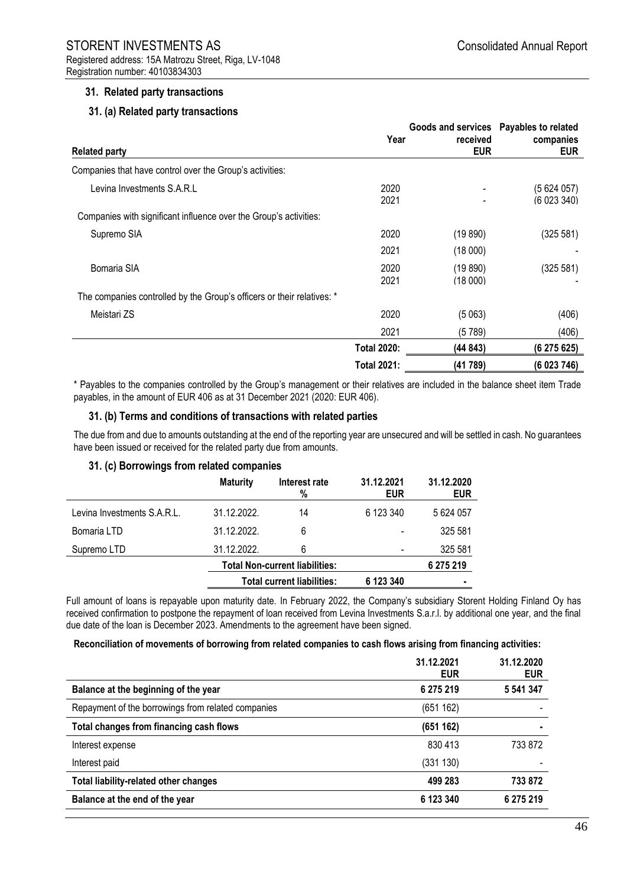## **31. Related party transactions**

## **31. (a) Related party transactions**

|                                                                        |                    | Goods and services Payables to related |                         |  |
|------------------------------------------------------------------------|--------------------|----------------------------------------|-------------------------|--|
| <b>Related party</b>                                                   | Year               | received<br><b>EUR</b>                 | companies<br><b>EUR</b> |  |
| Companies that have control over the Group's activities:               |                    |                                        |                         |  |
| Levina Investments S.A.R.L                                             | 2020<br>2021       |                                        | (5624057)<br>(6023340)  |  |
| Companies with significant influence over the Group's activities:      |                    |                                        |                         |  |
| Supremo SIA                                                            | 2020               | (19 890)                               | (325 581)               |  |
|                                                                        | 2021               | (18000)                                |                         |  |
| Bomaria SIA                                                            | 2020<br>2021       | (19 890)<br>(18000)                    | (325 581)               |  |
| The companies controlled by the Group's officers or their relatives: * |                    |                                        |                         |  |
| Meistari ZS                                                            | 2020               | (5063)                                 | (406)                   |  |
|                                                                        | 2021               | (5789)                                 | (406)                   |  |
|                                                                        | <b>Total 2020:</b> | (44843)                                | (6275625)               |  |
|                                                                        | <b>Total 2021:</b> | (41789)                                | (6 023 746)             |  |

\* Payables to the companies controlled by the Group's management or their relatives are included in the balance sheet item Trade payables, in the amount of EUR 406 as at 31 December 2021 (2020: EUR 406).

#### **31. (b) Terms and conditions of transactions with related parties**

The due from and due to amounts outstanding at the end of the reporting year are unsecured and will be settled in cash. No guarantees have been issued or received for the related party due from amounts.

#### **31. (c) Borrowings from related companies**

|                             | <b>Maturity</b> | Interest rate<br>%                    | 31.12.2021<br><b>EUR</b> | 31.12.2020<br><b>EUR</b> |
|-----------------------------|-----------------|---------------------------------------|--------------------------|--------------------------|
| Levina Investments S.A.R.L. | 31.12.2022.     | 14                                    | 6 123 340                | 5 624 057                |
| Bomaria LTD                 | 31.12.2022.     | 6                                     |                          | 325 581                  |
| Supremo LTD                 | 31.12.2022.     | 6                                     |                          | 325 581                  |
|                             |                 | <b>Total Non-current liabilities:</b> |                          | 6 275 219                |
|                             |                 | <b>Total current liabilities:</b>     | 6 123 340                | ٠                        |

Full amount of loans is repayable upon maturity date. In February 2022, the Company's subsidiary Storent Holding Finland Oy has received confirmation to postpone the repayment of loan received from Levina Investments S.a.r.l. by additional one year, and the final due date of the loan is December 2023. Amendments to the agreement have been signed.

#### **Reconciliation of movements of borrowing from related companies to cash flows arising from financing activities:**

|                                                    | 31.12.2021<br><b>EUR</b> | 31.12.2020<br><b>EUR</b> |
|----------------------------------------------------|--------------------------|--------------------------|
| Balance at the beginning of the year               | 6 275 219                | 5 541 347                |
| Repayment of the borrowings from related companies | (651 162)                |                          |
| Total changes from financing cash flows            | (651 162)                | ٠                        |
| Interest expense                                   | 830 413                  | 733 872                  |
| Interest paid                                      | (331 130)                |                          |
| <b>Total liability-related other changes</b>       | 499 283                  | 733 872                  |
| Balance at the end of the year                     | 6 123 340                | 6 275 219                |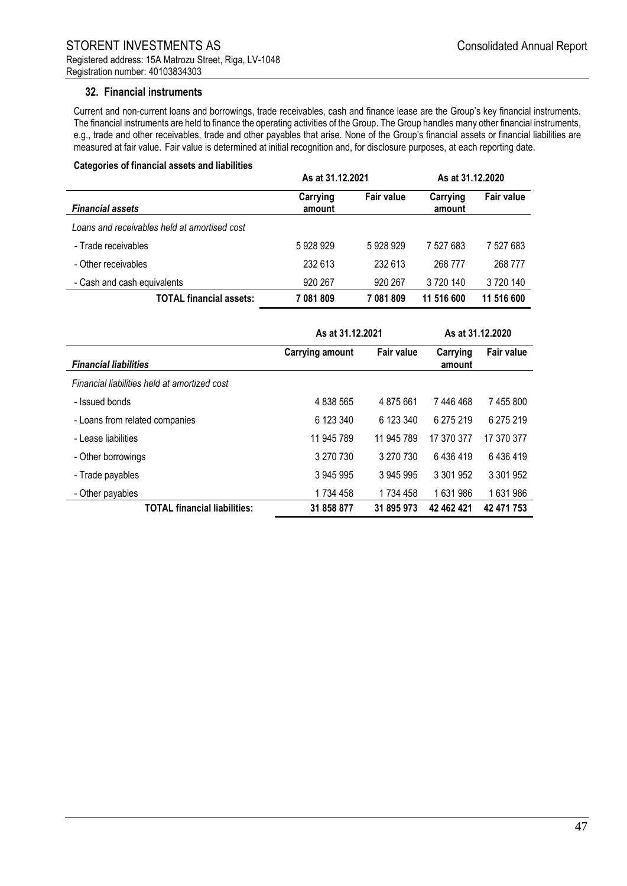#### **32. Financial instruments**

Current and non-current loans and borrowings, trade receivables, cash and finance lease are the Group's key financial instruments. The financial instruments are held to finance the operating activities of the Group. The Group handles many other financial instruments, e.g., trade and other receivables, trade and other payables that arise. None of the Group's financial assets or financial liabilities are measured at fair value. Fair value is determined at initial recognition and, for disclosure purposes, at each reporting date.

#### **Categories of financial assets and liabilities**

|                                              | As at 31.12.2021   |                   | As at 31.12.2020   |                   |
|----------------------------------------------|--------------------|-------------------|--------------------|-------------------|
| <b>Financial assets</b>                      | Carrying<br>amount | <b>Fair value</b> | Carrying<br>amount | <b>Fair value</b> |
| Loans and receivables held at amortised cost |                    |                   |                    |                   |
| - Trade receivables                          | 5928929            | 5928929           | 7 527 683          | 7 527 683         |
| - Other receivables                          | 232 613            | 232 613           | 268 777            | 268 777           |
| - Cash and cash equivalents                  | 920 267            | 920 267           | 3720140            | 3720140           |
| <b>TOTAL financial assets:</b>               | 7081809            | 7081809           | 11 516 600         | 11 516 600        |

|                                              | As at 31.12.2021       | As at 31.12.2020  |                    |                   |
|----------------------------------------------|------------------------|-------------------|--------------------|-------------------|
| <b>Financial liabilities</b>                 | <b>Carrying amount</b> | <b>Fair value</b> | Carrying<br>amount | <b>Fair value</b> |
| Financial liabilities held at amortized cost |                        |                   |                    |                   |
| - Issued bonds                               | 4 838 565              | 4 875 661         | 7446468            | 7455800           |
| - Loans from related companies               | 6 123 340              | 6 123 340         | 6 275 219          | 6 275 219         |
| - Lease liabilities                          | 11 945 789             | 11 945 789        | 17 370 377         | 17 370 377        |
| - Other borrowings                           | 3 270 730              | 3 270 730         | 6436419            | 6436419           |
| - Trade payables                             | 3 945 995              | 3 945 995         | 3 301 952          | 3 301 952         |
| - Other payables                             | 1 734 458              | 1 734 458         | 1631986            | 1631986           |
| <b>TOTAL financial liabilities:</b>          | 31 858 877             | 31 895 973        | 42 462 421         | 42 471 753        |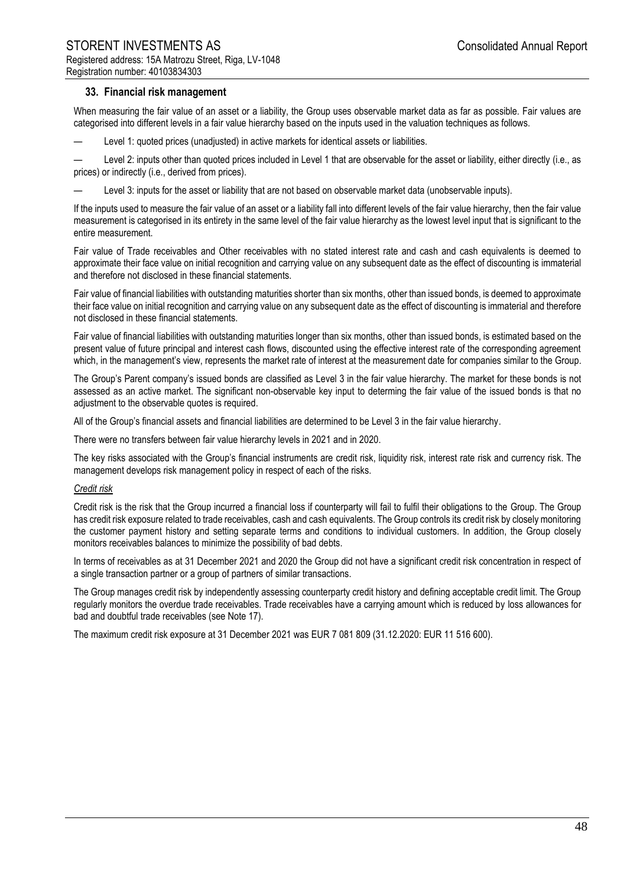#### **33. Financial risk management**

When measuring the fair value of an asset or a liability, the Group uses observable market data as far as possible. Fair values are categorised into different levels in a fair value hierarchy based on the inputs used in the valuation techniques as follows.

— Level 1: quoted prices (unadjusted) in active markets for identical assets or liabilities.

Level 2: inputs other than quoted prices included in Level 1 that are observable for the asset or liability, either directly (i.e., as prices) or indirectly (i.e., derived from prices).

Level 3: inputs for the asset or liability that are not based on observable market data (unobservable inputs).

If the inputs used to measure the fair value of an asset or a liability fall into different levels of the fair value hierarchy, then the fair value measurement is categorised in its entirety in the same level of the fair value hierarchy as the lowest level input that is significant to the entire measurement.

Fair value of Trade receivables and Other receivables with no stated interest rate and cash and cash equivalents is deemed to approximate their face value on initial recognition and carrying value on any subsequent date as the effect of discounting is immaterial and therefore not disclosed in these financial statements.

Fair value of financial liabilities with outstanding maturities shorter than six months, other than issued bonds, is deemed to approximate their face value on initial recognition and carrying value on any subsequent date as the effect of discounting is immaterial and therefore not disclosed in these financial statements.

Fair value of financial liabilities with outstanding maturities longer than six months, other than issued bonds, is estimated based on the present value of future principal and interest cash flows, discounted using the effective interest rate of the corresponding agreement which, in the management's view, represents the market rate of interest at the measurement date for companies similar to the Group.

The Group's Parent company's issued bonds are classified as Level 3 in the fair value hierarchy. The market for these bonds is not assessed as an active market. The significant non-observable key input to determing the fair value of the issued bonds is that no adjustment to the observable quotes is required.

All of the Group's financial assets and financial liabilities are determined to be Level 3 in the fair value hierarchy.

There were no transfers between fair value hierarchy levels in 2021 and in 2020.

The key risks associated with the Group's financial instruments are credit risk, liquidity risk, interest rate risk and currency risk. The management develops risk management policy in respect of each of the risks.

#### *Credit risk*

Credit risk is the risk that the Group incurred a financial loss if counterparty will fail to fulfil their obligations to the Group. The Group has credit risk exposure related to trade receivables, cash and cash equivalents. The Group controls its credit risk by closely monitoring the customer payment history and setting separate terms and conditions to individual customers. In addition, the Group closely monitors receivables balances to minimize the possibility of bad debts.

In terms of receivables as at 31 December 2021 and 2020 the Group did not have a significant credit risk concentration in respect of a single transaction partner or a group of partners of similar transactions.

The Group manages credit risk by independently assessing counterparty credit history and defining acceptable credit limit. The Group regularly monitors the overdue trade receivables. Trade receivables have a carrying amount which is reduced by loss allowances for bad and doubtful trade receivables (see Note 17).

The maximum credit risk exposure at 31 December 2021 was EUR 7 081 809 (31.12.2020: EUR 11 516 600).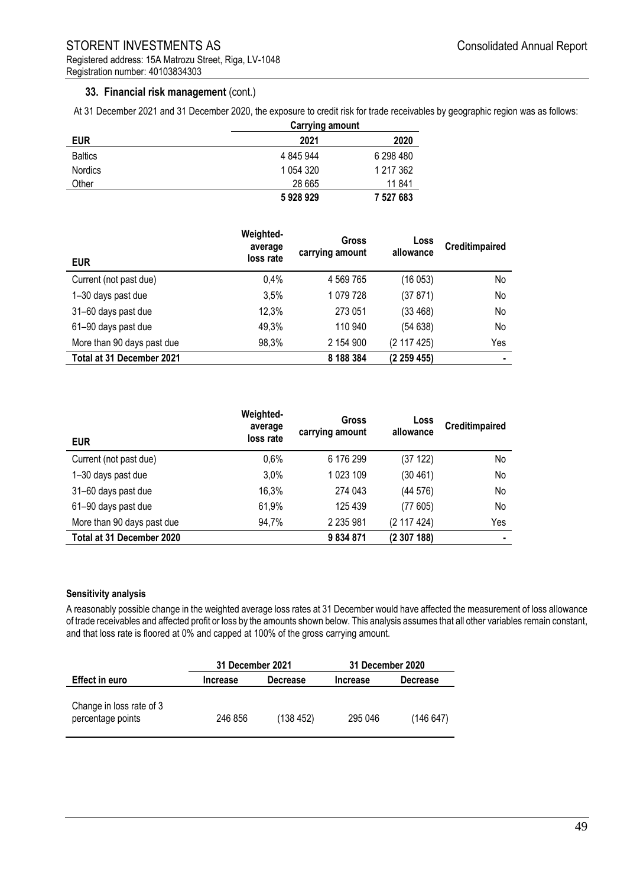## **33. Financial risk management** (cont.)

At 31 December 2021 and 31 December 2020, the exposure to credit risk for trade receivables by geographic region was as follows:

| <b>EUR</b>     | <b>Carrying amount</b> |           |
|----------------|------------------------|-----------|
|                | 2021                   | 2020      |
| <b>Baltics</b> | 4 845 944              | 6 298 480 |
| <b>Nordics</b> | 1 0 54 3 20            | 1 217 362 |
| Other          | 28 665                 | 11 841    |
|                | 5928929                | 7 527 683 |

| <b>EUR</b>                 | Weighted-<br>average<br>loss rate | Gross<br>carrying amount | Loss<br>allowance | <b>Creditimpaired</b> |
|----------------------------|-----------------------------------|--------------------------|-------------------|-----------------------|
| Current (not past due)     | 0.4%                              | 4 569 765                | (16 053)          | No                    |
| 1-30 days past due         | 3,5%                              | 1 079 728                | (37 871)          | No                    |
| 31-60 days past due        | 12,3%                             | 273 051                  | (33 468)          | No                    |
| 61-90 days past due        | 49,3%                             | 110 940                  | (54 638)          | No                    |
| More than 90 days past due | 98,3%                             | 2 154 900                | (2 117 425)       | Yes                   |
| Total at 31 December 2021  |                                   | 8 188 384                | (2259455)         | $\blacksquare$        |

| <b>EUR</b>                 | Weighted-<br>average<br>loss rate | Gross<br>carrying amount | Loss<br>allowance | <b>Creditimpaired</b> |
|----------------------------|-----------------------------------|--------------------------|-------------------|-----------------------|
| Current (not past due)     | 0,6%                              | 6 176 299                | (37 122)          | No                    |
| 1-30 days past due         | 3.0%                              | 1 023 109                | (30 461)          | No                    |
| 31-60 days past due        | 16,3%                             | 274 043                  | (44576)           | No                    |
| 61-90 days past due        | 61,9%                             | 125 439                  | (77605)           | No                    |
| More than 90 days past due | 94,7%                             | 2 235 981                | (2 117 424)       | Yes                   |
| Total at 31 December 2020  |                                   | 9834871                  | (2307188)         |                       |

#### **Sensitivity analysis**

A reasonably possible change in the weighted average loss rates at 31 December would have affected the measurement of loss allowance of trade receivables and affected profit or loss by the amounts shown below. This analysis assumes that all other variables remain constant, and that loss rate is floored at 0% and capped at 100% of the gross carrying amount.

|                                               | 31 December 2021            |          | 31 December 2020 |                 |  |
|-----------------------------------------------|-----------------------------|----------|------------------|-----------------|--|
| <b>Effect in euro</b>                         | <b>Decrease</b><br>Increase |          | <b>Increase</b>  | <b>Decrease</b> |  |
| Change in loss rate of 3<br>percentage points | 246 856                     | (138452) | 295 046          | (146647)        |  |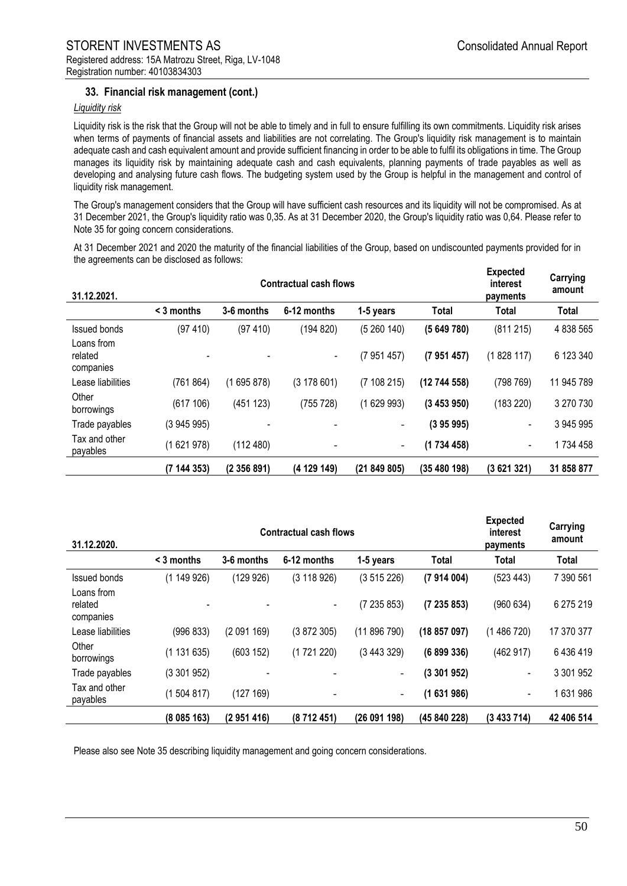## **33. Financial risk management (cont.)**

#### *Liquidity risk*

Liquidity risk is the risk that the Group will not be able to timely and in full to ensure fulfilling its own commitments. Liquidity risk arises when terms of payments of financial assets and liabilities are not correlating. The Group's liquidity risk management is to maintain adequate cash and cash equivalent amount and provide sufficient financing in order to be able to fulfil its obligations in time. The Group manages its liquidity risk by maintaining adequate cash and cash equivalents, planning payments of trade payables as well as developing and analysing future cash flows. The budgeting system used by the Group is helpful in the management and control of liquidity risk management.

The Group's management considers that the Group will have sufficient cash resources and its liquidity will not be compromised. As at 31 December 2021, the Group's liquidity ratio was 0,35. As at 31 December 2020, the Group's liquidity ratio was 0,64. Please refer to Note 35 for going concern considerations.

At 31 December 2021 and 2020 the maturity of the financial liabilities of the Group, based on undiscounted payments provided for in the agreements can be disclosed as follows:

| 31.12.2021.                        | <b>Contractual cash flows</b> |               |             |            |            | <b>Expected</b><br>interest<br>payments | Carrying<br>amount |
|------------------------------------|-------------------------------|---------------|-------------|------------|------------|-----------------------------------------|--------------------|
|                                    | $\leq$ 3 months               | 3-6 months    | 6-12 months | 1-5 years  | Total      | Total                                   | Total              |
| <b>Issued bonds</b>                | (97 410)                      | (97 410)      | (194 820)   | (5260140)  | (5649780)  | (811215)                                | 4 838 565          |
| Loans from<br>related<br>companies |                               |               | ٠           | (7951457)  | (7951457)  | (1828117)                               | 6 123 340          |
| Lease liabilities                  | (761864)                      | (1695878)     | (3178601)   | (7108215)  | (12744558) | (798769)                                | 11 945 789         |
| Other<br>borrowings                | (617106)                      | 123)<br>(451) | (755 728)   | (1629993)  | (3453950)  | (183 220)                               | 3 270 730          |
| Trade payables                     | (3945995)                     |               |             |            | (395995)   |                                         | 3 945 995          |
| Tax and other<br>payables          | (1621978)                     | (112 480)     | -           | ٠          | (1734458)  | $\blacksquare$                          | 1734 458           |
|                                    | (7144353)                     | (2356891)     | (4 129 149) | (21849805) | (35480198) | (3621321)                               | 31 858 877         |

| 31.12.2020.                        | <b>Contractual cash flows</b> |            |                   |              |              | <b>Expected</b><br>interest<br>payments | Carrying<br>amount |
|------------------------------------|-------------------------------|------------|-------------------|--------------|--------------|-----------------------------------------|--------------------|
|                                    | $\leq$ 3 months               | 3-6 months | 6-12 months       | 1-5 years    | <b>Total</b> | Total                                   | Total              |
| <b>Issued bonds</b>                | (1149926)                     | (129926)   | (3 118 926)       | (3515226)    | (7914004)    | (523 443)                               | 7 390 561          |
| Loans from<br>related<br>companies |                               |            | $\blacksquare$    | (7 235 853)  | (7235853)    | (960634)                                | 6 275 219          |
| Lease liabilities                  | (996 833)                     | (2091169)  | (3872305)         | (11896790)   | (18857097)   | (1486720)                               | 17 370 377         |
| Other<br>borrowings                | (1131635)                     | (603 152)  | 220)<br>(1721)    | (3443329)    | (6899336)    | (462917)                                | 6436419            |
| Trade payables                     | (3301952)                     |            |                   | Ξ.           | (3301952)    | $\overline{\phantom{a}}$                | 3 301 952          |
| Tax and other<br>payables          | (1504817)                     | (127169)   | $\qquad \qquad -$ | ۰            | (1631986)    | $\blacksquare$                          | 1631986            |
|                                    | (8085163)                     | (2951416)  | (8712451)         | (26 091 198) | (45 840 228) | (3 433 714)                             | 42 406 514         |

Please also see Note 35 describing liquidity management and going concern considerations.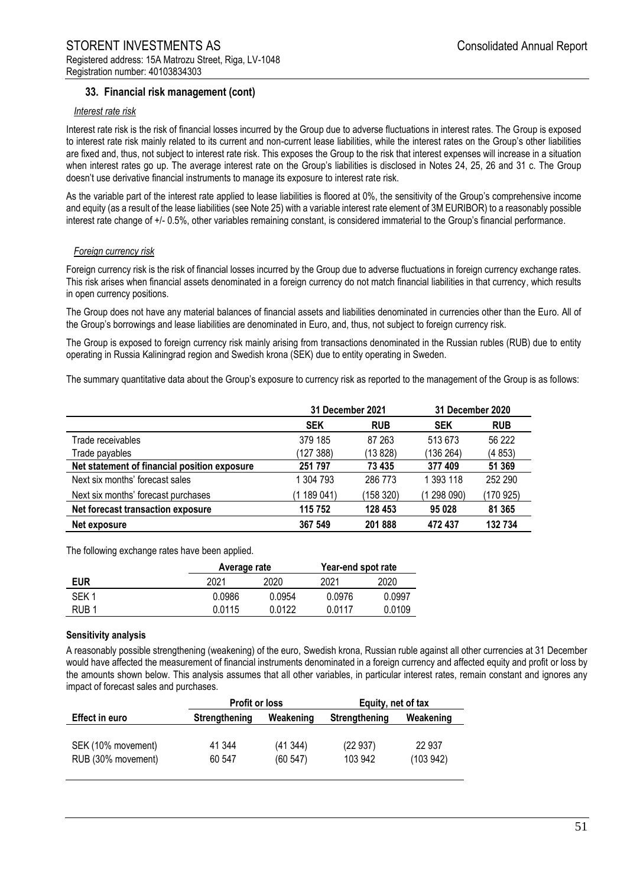## **33. Financial risk management (cont)**

#### *Interest rate risk*

Interest rate risk is the risk of financial losses incurred by the Group due to adverse fluctuations in interest rates. The Group is exposed to interest rate risk mainly related to its current and non-current lease liabilities, while the interest rates on the Group's other liabilities are fixed and, thus, not subject to interest rate risk. This exposes the Group to the risk that interest expenses will increase in a situation when interest rates go up. The average interest rate on the Group's liabilities is disclosed in Notes 24, 25, 26 and 31 c. The Group doesn't use derivative financial instruments to manage its exposure to interest rate risk.

As the variable part of the interest rate applied to lease liabilities is floored at 0%, the sensitivity of the Group's comprehensive income and equity (as a result of the lease liabilities (see Note 25) with a variable interest rate element of 3M EURIBOR) to a reasonably possible interest rate change of +/- 0.5%, other variables remaining constant, is considered immaterial to the Group's financial performance.

#### *Foreign currency risk*

Foreign currency risk is the risk of financial losses incurred by the Group due to adverse fluctuations in foreign currency exchange rates. This risk arises when financial assets denominated in a foreign currency do not match financial liabilities in that currency, which results in open currency positions.

The Group does not have any material balances of financial assets and liabilities denominated in currencies other than the Euro. All of the Group's borrowings and lease liabilities are denominated in Euro, and, thus, not subject to foreign currency risk.

The Group is exposed to foreign currency risk mainly arising from transactions denominated in the Russian rubles (RUB) due to entity operating in Russia Kaliningrad region and Swedish krona (SEK) due to entity operating in Sweden.

The summary quantitative data about the Group's exposure to currency risk as reported to the management of the Group is as follows:

|                                              | 31 December 2021 |            | 31 December 2020 |            |
|----------------------------------------------|------------------|------------|------------------|------------|
|                                              | <b>SEK</b>       | <b>RUB</b> | <b>SEK</b>       | <b>RUB</b> |
| Trade receivables                            | 379 185          | 87 263     | 513673           | 56 222     |
| Trade payables                               | (127 388)        | (13 828)   | (136 264)        | (4853)     |
| Net statement of financial position exposure | 251 797          | 73 435     | 377409           | 51 369     |
| Next six months' forecast sales              | 1 304 793        | 286 773    | 1 393 118        | 252 290    |
| Next six months' forecast purchases          | (1 189 041)      | (158 320)  | (1298090)        | (170 925)  |
| Net forecast transaction exposure            | 115 752          | 128 453    | 95 0 28          | 81 365     |
| Net exposure                                 | 367 549          | 201888     | 472 437          | 132 734    |

The following exchange rates have been applied.

|            | Average rate |        | Year-end spot rate |        |  |
|------------|--------------|--------|--------------------|--------|--|
| <b>EUR</b> | 2021         | 2020   | 2021               | 2020   |  |
| SFK 1      | 0.0986       | 0.0954 | 0.0976             | 0.0997 |  |
| RUB 1      | 0.0115       | 0.0122 | 0.0117             | 0.0109 |  |

#### **Sensitivity analysis**

A reasonably possible strengthening (weakening) of the euro, Swedish krona, Russian ruble against all other currencies at 31 December would have affected the measurement of financial instruments denominated in a foreign currency and affected equity and profit or loss by the amounts shown below. This analysis assumes that all other variables, in particular interest rates, remain constant and ignores any impact of forecast sales and purchases.

|                       | <b>Profit or loss</b> |           | Equity, net of tax   |           |
|-----------------------|-----------------------|-----------|----------------------|-----------|
| <b>Effect in euro</b> | Strengthening         | Weakening | <b>Strengthening</b> | Weakening |
|                       |                       |           |                      |           |
| SEK (10% movement)    | 41 344                | (41344)   | (22937)              | 22 937    |
| RUB (30% movement)    | 60 547                | (60547)   | 103 942              | (103942)  |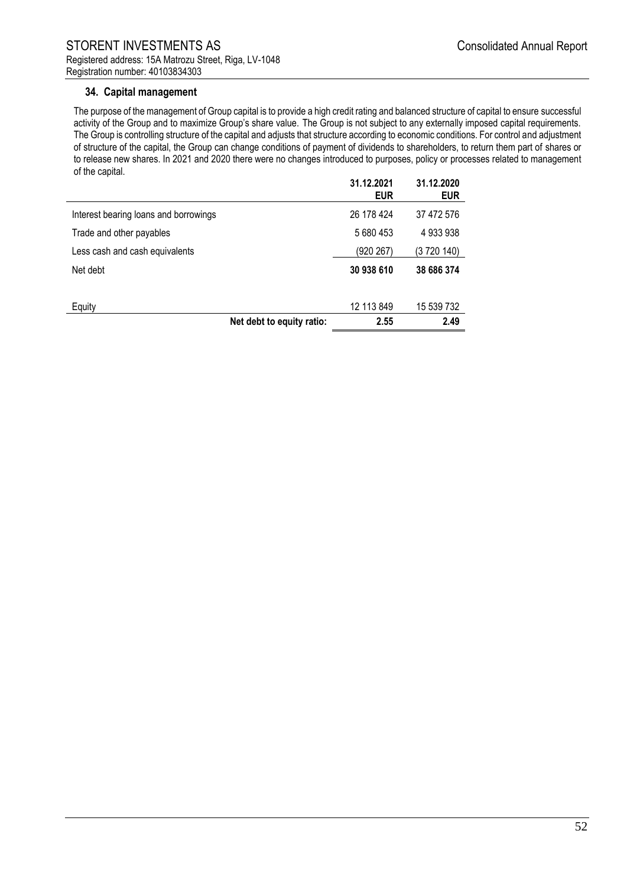## **34. Capital management**

The purpose of the management of Group capital is to provide a high credit rating and balanced structure of capital to ensure successful activity of the Group and to maximize Group's share value. The Group is not subject to any externally imposed capital requirements. The Group is controlling structure of the capital and adjusts that structure according to economic conditions. For control and adjustment of structure of the capital, the Group can change conditions of payment of dividends to shareholders, to return them part of shares or to release new shares. In 2021 and 2020 there were no changes introduced to purposes, policy or processes related to management of the capital.

|                                       |                           | 31.12.2021<br><b>EUR</b> | 31.12.2020<br><b>EUR</b> |
|---------------------------------------|---------------------------|--------------------------|--------------------------|
| Interest bearing loans and borrowings |                           | 26 178 424               | 37 472 576               |
| Trade and other payables              |                           | 5 680 453                | 4 933 938                |
| Less cash and cash equivalents        |                           | (920 267)                | (3 720 140)              |
| Net debt                              |                           | 30 938 610               | 38 686 374               |
| Equity                                |                           | 12 113 849               | 15 539 732               |
|                                       | Net debt to equity ratio: | 2.55                     | 2.49                     |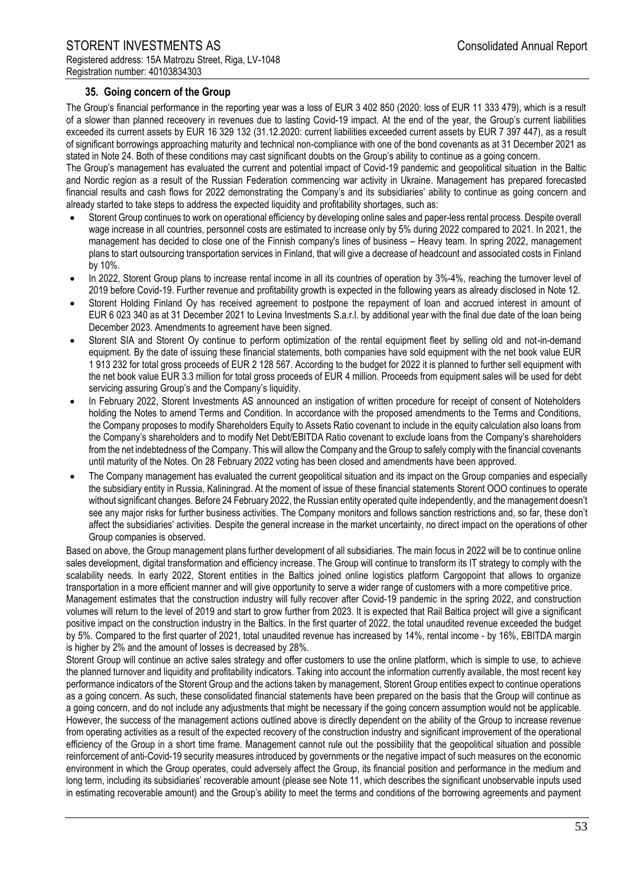## **35. Going concern of the Group**

The Group's financial performance in the reporting year was a loss of EUR 3 402 850 (2020: loss of EUR 11 333 479), which is a result of a slower than planned receovery in revenues due to lasting Covid-19 impact. At the end of the year, the Group's current liabilities exceeded its current assets by EUR 16 329 132 (31.12.2020: current liabilities exceeded current assets by EUR 7 397 447), as a result of significant borrowings approaching maturity and technical non-compliance with one of the bond covenants as at 31 December 2021 as stated in Note 24. Both of these conditions may cast significant doubts on the Group's ability to continue as a going concern.

The Group's management has evaluated the current and potential impact of Covid-19 pandemic and geopolitical situation in the Baltic and Nordic region as a result of the Russian Federation commencing war activity in Ukraine. Management has prepared forecasted financial results and cash flows for 2022 demonstrating the Company's and its subsidiaries' ability to continue as going concern and already started to take steps to address the expected liquidity and profitability shortages, such as:

- Storent Group continues to work on operational efficiency by developing online sales and paper-less rental process. Despite overall wage increase in all countries, personnel costs are estimated to increase only by 5% during 2022 compared to 2021. In 2021, the management has decided to close one of the Finnish company's lines of business – Heavy team. In spring 2022, management plans to start outsourcing transportation services in Finland, that will give a decrease of headcount and associated costs in Finland by 10%.
- In 2022, Storent Group plans to increase rental income in all its countries of operation by 3%-4%, reaching the turnover level of 2019 before Covid-19. Further revenue and profitability growth is expected in the following years as already disclosed in Note 12.
- Storent Holding Finland Oy has received agreement to postpone the repayment of loan and accrued interest in amount of EUR 6 023 340 as at 31 December 2021 to Levina Investments S.a.r.l. by additional year with the final due date of the loan being December 2023. Amendments to agreement have been signed.
- Storent SIA and Storent Oy continue to perform optimization of the rental equipment fleet by selling old and not-in-demand equipment. By the date of issuing these financial statements, both companies have sold equipment with the net book value EUR 1 913 232 for total gross proceeds of EUR 2 128 567. According to the budget for 2022 it is planned to further sell equipment with the net book value EUR 3.3 million for total gross proceeds of EUR 4 million. Proceeds from equipment sales will be used for debt servicing assuring Group's and the Company's liquidity.
- In February 2022, Storent Investments AS announced an instigation of written procedure for receipt of consent of Noteholders holding the Notes to amend Terms and Condition. In accordance with the proposed amendments to the Terms and Conditions, the Company proposes to modify Shareholders Equity to Assets Ratio covenant to include in the equity calculation also loans from the Company's shareholders and to modify Net Debt/EBITDA Ratio covenant to exclude loans from the Company's shareholders from the net indebtedness of the Company. This will allow the Company and the Group to safely comply with the financial covenants until maturity of the Notes. On 28 February 2022 voting has been closed and amendments have been approved.
- The Company management has evaluated the current geopolitical situation and its impact on the Group companies and especially the subsidiary entity in Russia, Kaliningrad. At the moment of issue of these financial statements Storent OOO continues to operate without significant changes. Before 24 February 2022, the Russian entity operated quite independently, and the management doesn't see any major risks for further business activities. The Company monitors and follows sanction restrictions and, so far, these don't affect the subsidiaries' activities. Despite the general increase in the market uncertainty, no direct impact on the operations of other Group companies is observed.

Based on above, the Group management plans further development of all subsidiaries. The main focus in 2022 will be to continue online sales development, digital transformation and efficiency increase. The Group will continue to transform its IT strategy to comply with the scalability needs. In early 2022, Storent entities in the Baltics joined online logistics platform Cargopoint that allows to organize transportation in a more efficient manner and will give opportunity to serve a wider range of customers with a more competitive price. Management estimates that the construction industry will fully recover after Covid-19 pandemic in the spring 2022, and construction volumes will return to the level of 2019 and start to grow further from 2023. It is expected that Rail Baltica project will give a significant positive impact on the construction industry in the Baltics. In the first quarter of 2022, the total unaudited revenue exceeded the budget by 5%. Compared to the first quarter of 2021, total unaudited revenue has increased by 14%, rental income - by 16%, EBITDA margin is higher by 2% and the amount of losses is decreased by 28%.

Storent Group will continue an active sales strategy and offer customers to use the online platform, which is simple to use, to achieve the planned turnover and liquidity and profitability indicators. Taking into account the information currently available, the most recent key performance indicators of the Storent Group and the actions taken by management, Storent Group entities expect to continue operations as a going concern. As such, these consolidated financial statements have been prepared on the basis that the Group will continue as a going concern, and do not include any adjustments that might be necessary if the going concern assumption would not be applicable. However, the success of the management actions outlined above is directly dependent on the ability of the Group to increase revenue from operating activities as a result of the expected recovery of the construction industry and significant improvement of the operational efficiency of the Group in a short time frame. Management cannot rule out the possibility that the geopolitical situation and possible reinforcement of anti-Covid-19 security measures introduced by governments or the negative impact of such measures on the economic environment in which the Group operates, could adversely affect the Group, its financial position and performance in the medium and long term, including its subsidiaries' recoverable amount (please see Note 11, which describes the significant unobservable inputs used in estimating recoverable amount) and the Group's ability to meet the terms and conditions of the borrowing agreements and payment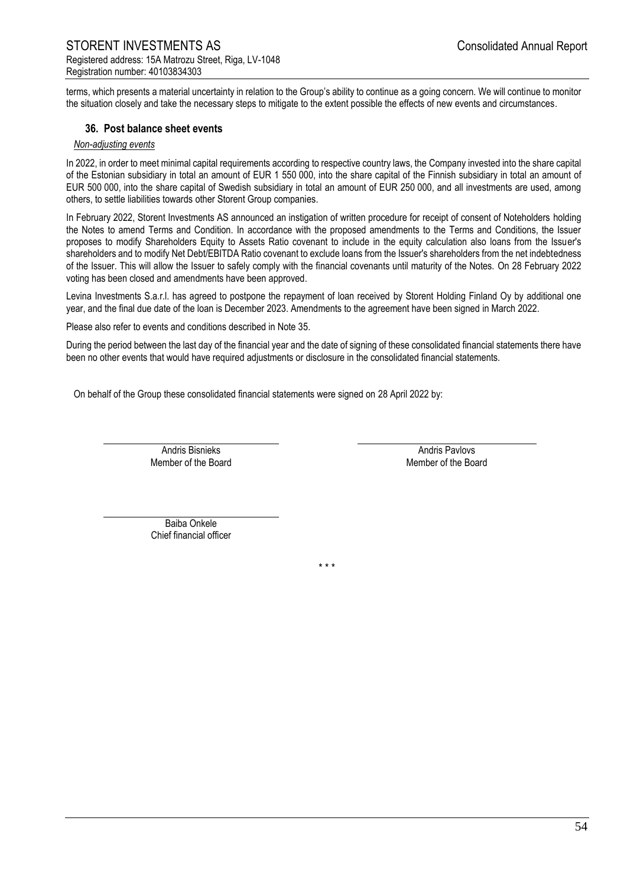terms, which presents a material uncertainty in relation to the Group's ability to continue as a going concern. We will continue to monitor the situation closely and take the necessary steps to mitigate to the extent possible the effects of new events and circumstances.

#### **36. Post balance sheet events**

#### *Non-adjusting events*

In 2022, in order to meet minimal capital requirements according to respective country laws, the Company invested into the share capital of the Estonian subsidiary in total an amount of EUR 1 550 000, into the share capital of the Finnish subsidiary in total an amount of EUR 500 000, into the share capital of Swedish subsidiary in total an amount of EUR 250 000, and all investments are used, among others, to settle liabilities towards other Storent Group companies.

In February 2022, Storent Investments AS announced an instigation of written procedure for receipt of consent of Noteholders holding the Notes to amend Terms and Condition. In accordance with the proposed amendments to the Terms and Conditions, the Issuer proposes to modify Shareholders Equity to Assets Ratio covenant to include in the equity calculation also loans from the Issuer's shareholders and to modify Net Debt/EBITDA Ratio covenant to exclude loans from the Issuer's shareholders from the net indebtedness of the Issuer. This will allow the Issuer to safely comply with the financial covenants until maturity of the Notes. On 28 February 2022 voting has been closed and amendments have been approved.

Levina Investments S.a.r.l. has agreed to postpone the repayment of loan received by Storent Holding Finland Oy by additional one year, and the final due date of the loan is December 2023. Amendments to the agreement have been signed in March 2022.

Please also refer to events and conditions described in Note 35.

During the period between the last day of the financial year and the date of signing of these consolidated financial statements there have been no other events that would have required adjustments or disclosure in the consolidated financial statements.

On behalf of the Group these consolidated financial statements were signed on 28 April 2022 by:

Andris Bisnieks **Andris Pavlovs** Andris Pavlovs Member of the Board **Member of the Board** Member of the Board

Baiba Onkele Chief financial officer

\* \* \*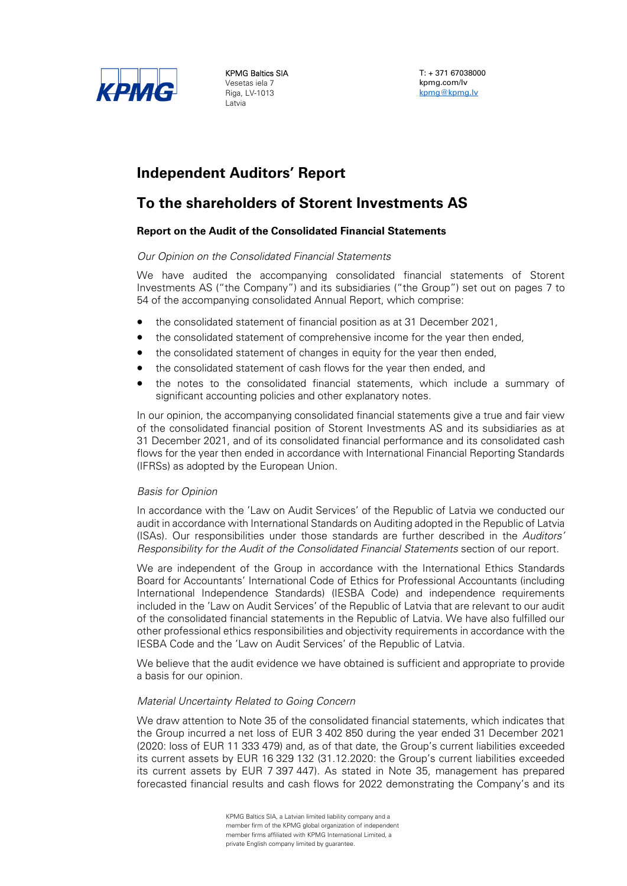

KPMG Baltics SIA Vesetas iela 7 Riga, LV-1013 Latvia

T: + 371 67038000 kpmg.com/lv kpmg@kpmg.lv

# **Independent Auditors' Report**

# **To the shareholders of Storent Investments AS**

## **Report on the Audit of the Consolidated Financial Statements**

## *Our Opinion on the Consolidated Financial Statements*

We have audited the accompanying consolidated financial statements of Storent Investments AS ("the Company") and its subsidiaries ("the Group") set out on pages 7 to 54 of the accompanying consolidated Annual Report, which comprise:

- the consolidated statement of financial position as at 31 December 2021,
- the consolidated statement of comprehensive income for the year then ended,
- the consolidated statement of changes in equity for the year then ended,
- the consolidated statement of cash flows for the year then ended, and
- the notes to the consolidated financial statements, which include a summary of significant accounting policies and other explanatory notes.

In our opinion, the accompanying consolidated financial statements give a true and fair view of the consolidated financial position of Storent Investments AS and its subsidiaries as at 31 December 2021, and of its consolidated financial performance and its consolidated cash flows for the year then ended in accordance with International Financial Reporting Standards (IFRSs) as adopted by the European Union.

#### *Basis for Opinion*

In accordance with the 'Law on Audit Services' of the Republic of Latvia we conducted our audit in accordance with International Standards on Auditing adopted in the Republic of Latvia (ISAs). Our responsibilities under those standards are further described in the *Auditors' Responsibility for the Audit of the Consolidated Financial Statements* section of our report.

We are independent of the Group in accordance with the International Ethics Standards Board for Accountants' International Code of Ethics for Professional Accountants (including International Independence Standards) (IESBA Code) and independence requirements included in the 'Law on Audit Services' of the Republic of Latvia that are relevant to our audit of the consolidated financial statements in the Republic of Latvia. We have also fulfilled our other professional ethics responsibilities and objectivity requirements in accordance with the IESBA Code and the 'Law on Audit Services' of the Republic of Latvia.

We believe that the audit evidence we have obtained is sufficient and appropriate to provide a basis for our opinion.

#### *Material Uncertainty Related to Going Concern*

We draw attention to Note 35 of the consolidated financial statements, which indicates that the Group incurred a net loss of EUR 3 402 850 during the year ended 31 December 2021 (2020: loss of EUR 11 333 479) and, as of that date, the Group's current liabilities exceeded its current assets by EUR 16 329 132 (31.12.2020: the Group's current liabilities exceeded its current assets by EUR 7 397 447). As stated in Note 35, management has prepared forecasted financial results and cash flows for 2022 demonstrating the Company's and its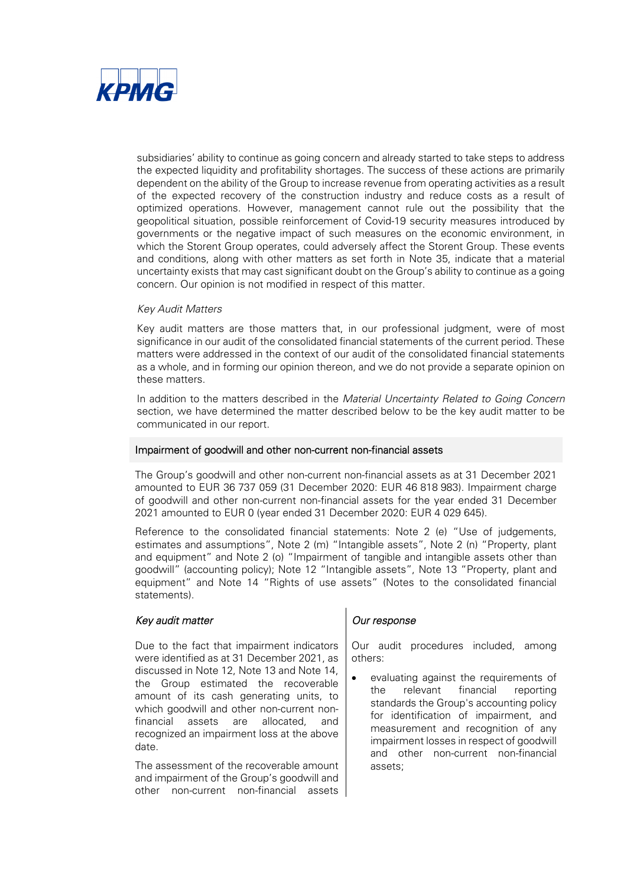

subsidiaries' ability to continue as going concern and already started to take steps to address the expected liquidity and profitability shortages. The success of these actions are primarily dependent on the ability of the Group to increase revenue from operating activities as a result of the expected recovery of the construction industry and reduce costs as a result of optimized operations. However, management cannot rule out the possibility that the geopolitical situation, possible reinforcement of Covid-19 security measures introduced by governments or the negative impact of such measures on the economic environment, in which the Storent Group operates, could adversely affect the Storent Group. These events and conditions, along with other matters as set forth in Note 35, indicate that a material uncertainty exists that may cast significant doubt on the Group's ability to continue as a going concern. Our opinion is not modified in respect of this matter.

#### *Key Audit Matters*

Key audit matters are those matters that, in our professional judgment, were of most significance in our audit of the consolidated financial statements of the current period. These matters were addressed in the context of our audit of the consolidated financial statements as a whole, and in forming our opinion thereon, and we do not provide a separate opinion on these matters.

In addition to the matters described in the *Material Uncertainty Related to Going Concern* section, we have determined the matter described below to be the key audit matter to be communicated in our report.

#### Impairment of goodwill and other non-current non-financial assets

The Group's goodwill and other non-current non-financial assets as at 31 December 2021 amounted to EUR 36 737 059 (31 December 2020: EUR 46 818 983). Impairment charge of goodwill and other non-current non-financial assets for the year ended 31 December 2021 amounted to EUR 0 (year ended 31 December 2020: EUR 4 029 645).

Reference to the consolidated financial statements: Note 2 (e) "Use of judgements, estimates and assumptions", Note 2 (m) "Intangible assets", Note 2 (n) "Property, plant and equipment" and Note 2 (o) "Impairment of tangible and intangible assets other than goodwill" (accounting policy); Note 12 "Intangible assets", Note 13 "Property, plant and equipment" and Note 14 "Rights of use assets" (Notes to the consolidated financial statements).

#### *Key audit matter COUT RESPONSE CUT response*

Due to the fact that impairment indicators were identified as at 31 December 2021, as discussed in Note 12, Note 13 and Note 14, the Group estimated the recoverable amount of its cash generating units, to which goodwill and other non-current nonfinancial assets are allocated, and recognized an impairment loss at the above date.

The assessment of the recoverable amount and impairment of the Group's goodwill and other non-current non-financial assets

Our audit procedures included, among others:

 evaluating against the requirements of the relevant financial reporting standards the Group's accounting policy for identification of impairment, and measurement and recognition of any impairment losses in respect of goodwill and other non-current non-financial assets;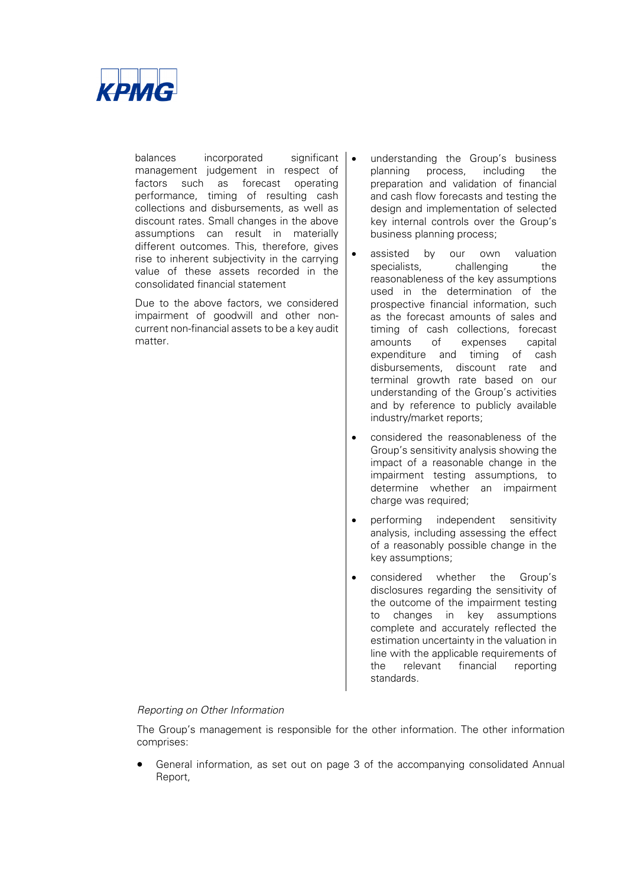

balances incorporated significant management judgement in respect of factors such as forecast operating performance, timing of resulting cash collections and disbursements, as well as discount rates. Small changes in the above assumptions can result in materially different outcomes. This, therefore, gives rise to inherent subjectivity in the carrying value of these assets recorded in the consolidated financial statement

Due to the above factors, we considered impairment of goodwill and other noncurrent non-financial assets to be a key audit matter.

- understanding the Group's business planning process, including the preparation and validation of financial and cash flow forecasts and testing the design and implementation of selected key internal controls over the Group's business planning process;
- assisted by our own valuation specialists, challenging the reasonableness of the key assumptions used in the determination of the prospective financial information, such as the forecast amounts of sales and timing of cash collections, forecast amounts of expenses capital expenditure and timing of cash disbursements, discount rate and terminal growth rate based on our understanding of the Group's activities and by reference to publicly available industry/market reports;
- considered the reasonableness of the Group's sensitivity analysis showing the impact of a reasonable change in the impairment testing assumptions, to determine whether an impairment charge was required;
- performing independent sensitivity analysis, including assessing the effect of a reasonably possible change in the key assumptions;
- considered whether the Group's disclosures regarding the sensitivity of the outcome of the impairment testing to changes in key assumptions complete and accurately reflected the estimation uncertainty in the valuation in line with the applicable requirements of the relevant financial reporting standards.

#### *Reporting on Other Information*

The Group's management is responsible for the other information. The other information comprises:

 General information, as set out on page 3 of the accompanying consolidated Annual Report,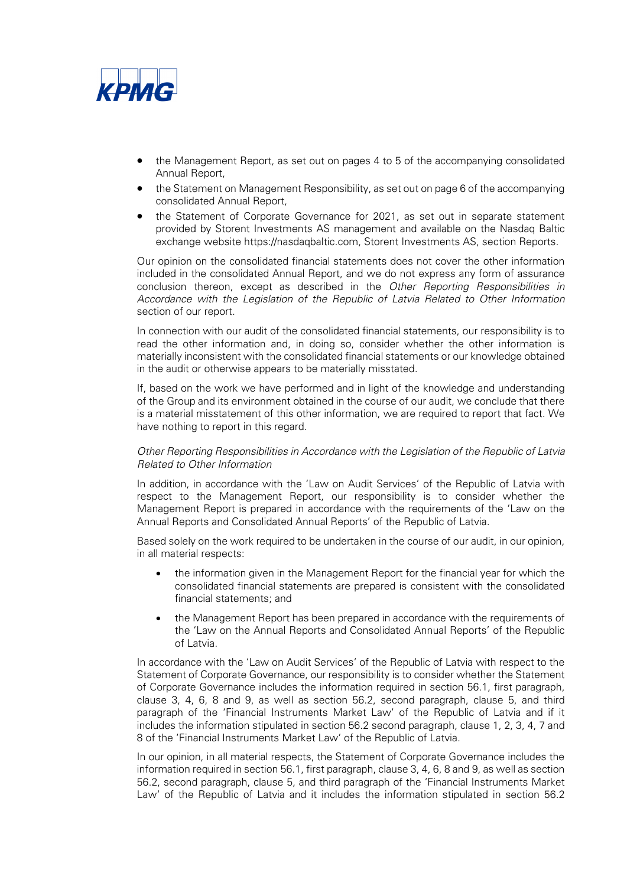

- the Management Report, as set out on pages 4 to 5 of the accompanying consolidated Annual Report,
- the Statement on Management Responsibility, as set out on page 6 of the accompanying consolidated Annual Report,
- the Statement of Corporate Governance for 2021, as set out in separate statement provided by Storent Investments AS management and available on the Nasdaq Baltic exchange website https://nasdaqbaltic.com, Storent Investments AS, section Reports.

Our opinion on the consolidated financial statements does not cover the other information included in the consolidated Annual Report, and we do not express any form of assurance conclusion thereon, except as described in the *Other Reporting Responsibilities in Accordance with the Legislation of the Republic of Latvia Related to Other Information*  section of our report.

In connection with our audit of the consolidated financial statements, our responsibility is to read the other information and, in doing so, consider whether the other information is materially inconsistent with the consolidated financial statements or our knowledge obtained in the audit or otherwise appears to be materially misstated.

If, based on the work we have performed and in light of the knowledge and understanding of the Group and its environment obtained in the course of our audit, we conclude that there is a material misstatement of this other information, we are required to report that fact. We have nothing to report in this regard.

#### *Other Reporting Responsibilities in Accordance with the Legislation of the Republic of Latvia Related to Other Information*

In addition, in accordance with the 'Law on Audit Services' of the Republic of Latvia with respect to the Management Report, our responsibility is to consider whether the Management Report is prepared in accordance with the requirements of the 'Law on the Annual Reports and Consolidated Annual Reports' of the Republic of Latvia.

Based solely on the work required to be undertaken in the course of our audit, in our opinion, in all material respects:

- the information given in the Management Report for the financial year for which the consolidated financial statements are prepared is consistent with the consolidated financial statements; and
- the Management Report has been prepared in accordance with the requirements of the 'Law on the Annual Reports and Consolidated Annual Reports' of the Republic of Latvia.

In accordance with the 'Law on Audit Services' of the Republic of Latvia with respect to the Statement of Corporate Governance, our responsibility is to consider whether the Statement of Corporate Governance includes the information required in section 56.1, first paragraph, clause 3, 4, 6, 8 and 9, as well as section 56.2, second paragraph, clause 5, and third paragraph of the 'Financial Instruments Market Law' of the Republic of Latvia and if it includes the information stipulated in section 56.2 second paragraph, clause 1, 2, 3, 4, 7 and 8 of the 'Financial Instruments Market Law' of the Republic of Latvia.

In our opinion, in all material respects, the Statement of Corporate Governance includes the information required in section 56.1, first paragraph, clause 3, 4, 6, 8 and 9, as well as section 56.2, second paragraph, clause 5, and third paragraph of the 'Financial Instruments Market Law' of the Republic of Latvia and it includes the information stipulated in section 56.2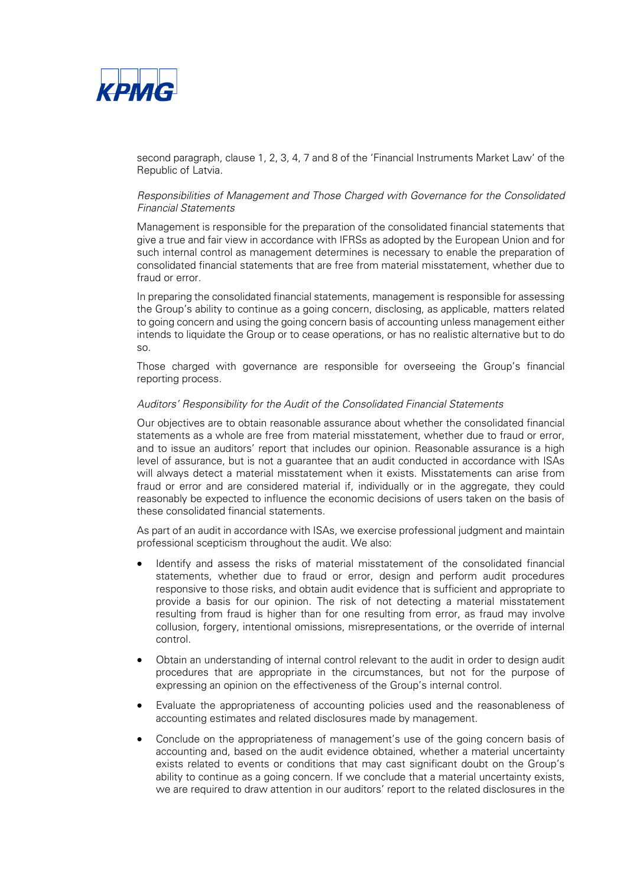

second paragraph, clause 1, 2, 3, 4, 7 and 8 of the 'Financial Instruments Market Law' of the Republic of Latvia.

#### *Responsibilities of Management and Those Charged with Governance for the Consolidated Financial Statements*

Management is responsible for the preparation of the consolidated financial statements that give a true and fair view in accordance with IFRSs as adopted by the European Union and for such internal control as management determines is necessary to enable the preparation of consolidated financial statements that are free from material misstatement, whether due to fraud or error.

In preparing the consolidated financial statements, management is responsible for assessing the Group's ability to continue as a going concern, disclosing, as applicable, matters related to going concern and using the going concern basis of accounting unless management either intends to liquidate the Group or to cease operations, or has no realistic alternative but to do so.

Those charged with governance are responsible for overseeing the Group's financial reporting process.

#### *Auditors' Responsibility for the Audit of the Consolidated Financial Statements*

Our objectives are to obtain reasonable assurance about whether the consolidated financial statements as a whole are free from material misstatement, whether due to fraud or error, and to issue an auditors' report that includes our opinion. Reasonable assurance is a high level of assurance, but is not a guarantee that an audit conducted in accordance with ISAs will always detect a material misstatement when it exists. Misstatements can arise from fraud or error and are considered material if, individually or in the aggregate, they could reasonably be expected to influence the economic decisions of users taken on the basis of these consolidated financial statements.

As part of an audit in accordance with ISAs, we exercise professional judgment and maintain professional scepticism throughout the audit. We also:

- Identify and assess the risks of material misstatement of the consolidated financial statements, whether due to fraud or error, design and perform audit procedures responsive to those risks, and obtain audit evidence that is sufficient and appropriate to provide a basis for our opinion. The risk of not detecting a material misstatement resulting from fraud is higher than for one resulting from error, as fraud may involve collusion, forgery, intentional omissions, misrepresentations, or the override of internal control.
- Obtain an understanding of internal control relevant to the audit in order to design audit procedures that are appropriate in the circumstances, but not for the purpose of expressing an opinion on the effectiveness of the Group's internal control.
- Evaluate the appropriateness of accounting policies used and the reasonableness of accounting estimates and related disclosures made by management.
- Conclude on the appropriateness of management's use of the going concern basis of accounting and, based on the audit evidence obtained, whether a material uncertainty exists related to events or conditions that may cast significant doubt on the Group's ability to continue as a going concern. If we conclude that a material uncertainty exists, we are required to draw attention in our auditors' report to the related disclosures in the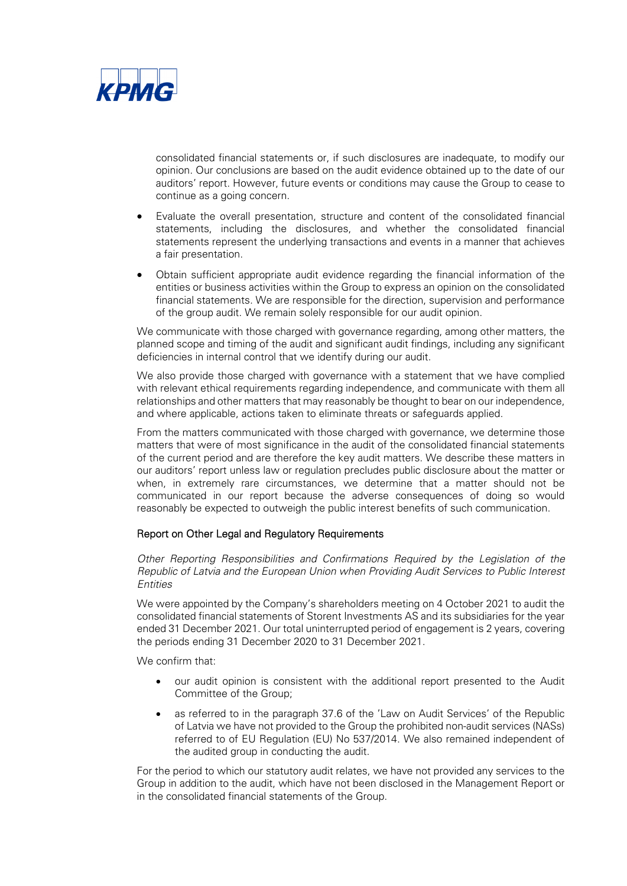

consolidated financial statements or, if such disclosures are inadequate, to modify our opinion. Our conclusions are based on the audit evidence obtained up to the date of our auditors' report. However, future events or conditions may cause the Group to cease to continue as a going concern.

- Evaluate the overall presentation, structure and content of the consolidated financial statements, including the disclosures, and whether the consolidated financial statements represent the underlying transactions and events in a manner that achieves a fair presentation.
- Obtain sufficient appropriate audit evidence regarding the financial information of the entities or business activities within the Group to express an opinion on the consolidated financial statements. We are responsible for the direction, supervision and performance of the group audit. We remain solely responsible for our audit opinion.

We communicate with those charged with governance regarding, among other matters, the planned scope and timing of the audit and significant audit findings, including any significant deficiencies in internal control that we identify during our audit.

We also provide those charged with governance with a statement that we have complied with relevant ethical requirements regarding independence, and communicate with them all relationships and other matters that may reasonably be thought to bear on our independence, and where applicable, actions taken to eliminate threats or safeguards applied.

From the matters communicated with those charged with governance, we determine those matters that were of most significance in the audit of the consolidated financial statements of the current period and are therefore the key audit matters. We describe these matters in our auditors' report unless law or regulation precludes public disclosure about the matter or when, in extremely rare circumstances, we determine that a matter should not be communicated in our report because the adverse consequences of doing so would reasonably be expected to outweigh the public interest benefits of such communication.

#### Report on Other Legal and Regulatory Requirements

*Other Reporting Responsibilities and Confirmations Required by the Legislation of the Republic of Latvia and the European Union when Providing Audit Services to Public Interest Entities* 

We were appointed by the Company's shareholders meeting on 4 October 2021 to audit the consolidated financial statements of Storent Investments AS and its subsidiaries for the year ended 31 December 2021. Our total uninterrupted period of engagement is 2 years, covering the periods ending 31 December 2020 to 31 December 2021.

We confirm that:

- our audit opinion is consistent with the additional report presented to the Audit Committee of the Group;
- as referred to in the paragraph 37.6 of the 'Law on Audit Services' of the Republic of Latvia we have not provided to the Group the prohibited non-audit services (NASs) referred to of EU Regulation (EU) No 537/2014. We also remained independent of the audited group in conducting the audit.

For the period to which our statutory audit relates, we have not provided any services to the Group in addition to the audit, which have not been disclosed in the Management Report or in the consolidated financial statements of the Group.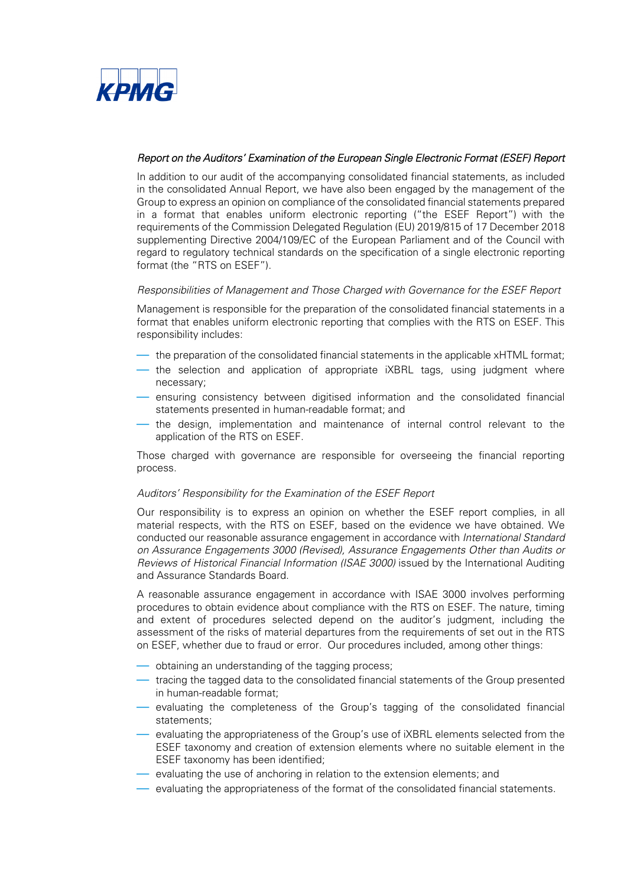

## *Report on the Auditors' Examination of the European Single Electronic Format (ESEF) Report*

In addition to our audit of the accompanying consolidated financial statements, as included in the consolidated Annual Report, we have also been engaged by the management of the Group to express an opinion on compliance of the consolidated financial statements prepared in a format that enables uniform electronic reporting ("the ESEF Report") with the requirements of the Commission Delegated Regulation (EU) 2019/815 of 17 December 2018 supplementing Directive 2004/109/EC of the European Parliament and of the Council with regard to regulatory technical standards on the specification of a single electronic reporting format (the "RTS on ESEF").

#### *Responsibilities of Management and Those Charged with Governance for the ESEF Report*

Management is responsible for the preparation of the consolidated financial statements in a format that enables uniform electronic reporting that complies with the RTS on ESEF. This responsibility includes:

- the preparation of the consolidated financial statements in the applicable xHTML format;
- the selection and application of appropriate iXBRL tags, using judgment where necessary;
- ensuring consistency between digitised information and the consolidated financial statements presented in human-readable format; and
- the design, implementation and maintenance of internal control relevant to the application of the RTS on ESEF.

Those charged with governance are responsible for overseeing the financial reporting process.

#### *Auditors' Responsibility for the Examination of the ESEF Report*

Our responsibility is to express an opinion on whether the ESEF report complies, in all material respects, with the RTS on ESEF, based on the evidence we have obtained. We conducted our reasonable assurance engagement in accordance with *International Standard on Assurance Engagements 3000 (Revised), Assurance Engagements Other than Audits or Reviews of Historical Financial Information (ISAE 3000)* issued by the International Auditing and Assurance Standards Board.

A reasonable assurance engagement in accordance with ISAE 3000 involves performing procedures to obtain evidence about compliance with the RTS on ESEF. The nature, timing and extent of procedures selected depend on the auditor's judgment, including the assessment of the risks of material departures from the requirements of set out in the RTS on ESEF, whether due to fraud or error. Our procedures included, among other things:

- obtaining an understanding of the tagging process;
- tracing the tagged data to the consolidated financial statements of the Group presented in human-readable format;
- evaluating the completeness of the Group's tagging of the consolidated financial statements;
- evaluating the appropriateness of the Group's use of iXBRL elements selected from the ESEF taxonomy and creation of extension elements where no suitable element in the ESEF taxonomy has been identified;
- evaluating the use of anchoring in relation to the extension elements; and
- evaluating the appropriateness of the format of the consolidated financial statements.